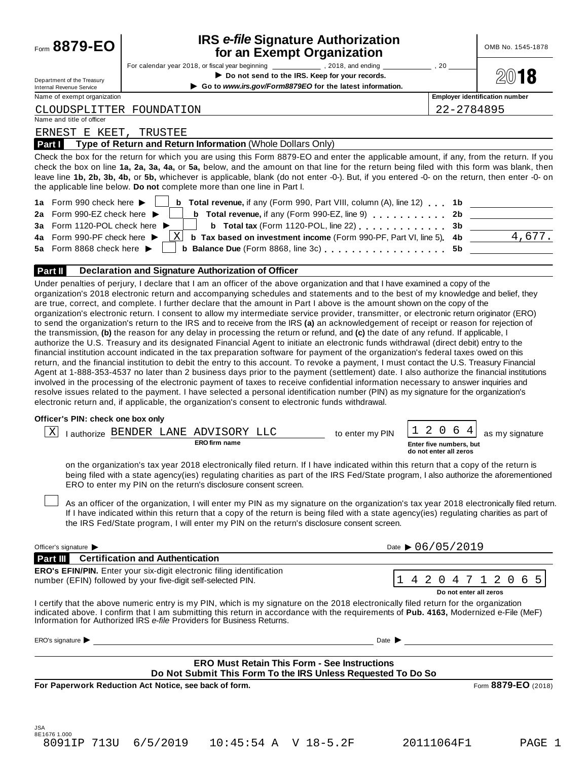# **IRS** *e-file* **Signature Authorization**

| Form 8879-EO                                                   | <b>IRS e-file Signature Authorization</b><br>for an Exempt Organization                                                                                                                                                                                                                                                                                                                                                                                                                                                                                                                                                                                                                                                                                                                                                                                                                                                                                                                                                                                                                                                                                                                                                                                                                                                                                                                 |                                                   | OMB No. 1545-1878                     |
|----------------------------------------------------------------|-----------------------------------------------------------------------------------------------------------------------------------------------------------------------------------------------------------------------------------------------------------------------------------------------------------------------------------------------------------------------------------------------------------------------------------------------------------------------------------------------------------------------------------------------------------------------------------------------------------------------------------------------------------------------------------------------------------------------------------------------------------------------------------------------------------------------------------------------------------------------------------------------------------------------------------------------------------------------------------------------------------------------------------------------------------------------------------------------------------------------------------------------------------------------------------------------------------------------------------------------------------------------------------------------------------------------------------------------------------------------------------------|---------------------------------------------------|---------------------------------------|
| Department of the Treasury                                     | Do not send to the IRS. Keep for your records.<br>Go to www.irs.gov/Form8879EO for the latest information.                                                                                                                                                                                                                                                                                                                                                                                                                                                                                                                                                                                                                                                                                                                                                                                                                                                                                                                                                                                                                                                                                                                                                                                                                                                                              | ,20                                               |                                       |
| <b>Internal Revenue Service</b><br>Name of exempt organization |                                                                                                                                                                                                                                                                                                                                                                                                                                                                                                                                                                                                                                                                                                                                                                                                                                                                                                                                                                                                                                                                                                                                                                                                                                                                                                                                                                                         |                                                   | <b>Employer identification number</b> |
| CLOUDSPLITTER FOUNDATION                                       |                                                                                                                                                                                                                                                                                                                                                                                                                                                                                                                                                                                                                                                                                                                                                                                                                                                                                                                                                                                                                                                                                                                                                                                                                                                                                                                                                                                         | 22-2784895                                        |                                       |
| Name and title of officer                                      |                                                                                                                                                                                                                                                                                                                                                                                                                                                                                                                                                                                                                                                                                                                                                                                                                                                                                                                                                                                                                                                                                                                                                                                                                                                                                                                                                                                         |                                                   |                                       |
| ERNEST E KEET,                                                 | TRUSTEE                                                                                                                                                                                                                                                                                                                                                                                                                                                                                                                                                                                                                                                                                                                                                                                                                                                                                                                                                                                                                                                                                                                                                                                                                                                                                                                                                                                 |                                                   |                                       |
| Part I                                                         | Type of Return and Return Information (Whole Dollars Only)                                                                                                                                                                                                                                                                                                                                                                                                                                                                                                                                                                                                                                                                                                                                                                                                                                                                                                                                                                                                                                                                                                                                                                                                                                                                                                                              |                                                   |                                       |
| 1a Form 990 check here ▶                                       | Check the box for the return for which you are using this Form 8879-EO and enter the applicable amount, if any, from the return. If you<br>check the box on line 1a, 2a, 3a, 4a, or 5a, below, and the amount on that line for the return being filed with this form was blank, then<br>leave line 1b, 2b, 3b, 4b, or 5b, whichever is applicable, blank (do not enter -0-). But, if you entered -0- on the return, then enter -0- on<br>the applicable line below. Do not complete more than one line in Part I.<br><b>b</b> Total revenue, if any (Form 990, Part VIII, column (A), line 12) . 1b                                                                                                                                                                                                                                                                                                                                                                                                                                                                                                                                                                                                                                                                                                                                                                                     |                                                   |                                       |
| 2a Form 990-EZ check here ▶                                    | <b>b</b> Total revenue, if any (Form 990-EZ, line 9)                                                                                                                                                                                                                                                                                                                                                                                                                                                                                                                                                                                                                                                                                                                                                                                                                                                                                                                                                                                                                                                                                                                                                                                                                                                                                                                                    | 2b                                                |                                       |
| <b>3a</b> Form 1120-POL check here <b>I</b>                    | b Total tax (Form 1120-POL, line 22)                                                                                                                                                                                                                                                                                                                                                                                                                                                                                                                                                                                                                                                                                                                                                                                                                                                                                                                                                                                                                                                                                                                                                                                                                                                                                                                                                    | 3b                                                |                                       |
| 4a Form 990-PF check here                                      | Χ<br><b>b</b> Tax based on investment income (Form 990-PF, Part VI, line 5).                                                                                                                                                                                                                                                                                                                                                                                                                                                                                                                                                                                                                                                                                                                                                                                                                                                                                                                                                                                                                                                                                                                                                                                                                                                                                                            | 4b                                                | 4,677.                                |
| 5a Form 8868 check here ▶                                      |                                                                                                                                                                                                                                                                                                                                                                                                                                                                                                                                                                                                                                                                                                                                                                                                                                                                                                                                                                                                                                                                                                                                                                                                                                                                                                                                                                                         | 5b                                                |                                       |
|                                                                |                                                                                                                                                                                                                                                                                                                                                                                                                                                                                                                                                                                                                                                                                                                                                                                                                                                                                                                                                                                                                                                                                                                                                                                                                                                                                                                                                                                         |                                                   |                                       |
| Part II                                                        | Declaration and Signature Authorization of Officer                                                                                                                                                                                                                                                                                                                                                                                                                                                                                                                                                                                                                                                                                                                                                                                                                                                                                                                                                                                                                                                                                                                                                                                                                                                                                                                                      |                                                   |                                       |
|                                                                | organization's electronic return. I consent to allow my intermediate service provider, transmitter, or electronic return originator (ERO)<br>to send the organization's return to the IRS and to receive from the IRS (a) an acknowledgement of receipt or reason for rejection of<br>the transmission, (b) the reason for any delay in processing the return or refund, and (c) the date of any refund. If applicable, I<br>authorize the U.S. Treasury and its designated Financial Agent to initiate an electronic funds withdrawal (direct debit) entry to the<br>financial institution account indicated in the tax preparation software for payment of the organization's federal taxes owed on this<br>return, and the financial institution to debit the entry to this account. To revoke a payment, I must contact the U.S. Treasury Financial<br>Agent at 1-888-353-4537 no later than 2 business days prior to the payment (settlement) date. I also authorize the financial institutions<br>involved in the processing of the electronic payment of taxes to receive confidential information necessary to answer inquiries and<br>resolve issues related to the payment. I have selected a personal identification number (PIN) as my signature for the organization's<br>electronic return and, if applicable, the organization's consent to electronic funds withdrawal. |                                                   |                                       |
| Officer's PIN: check one box only                              |                                                                                                                                                                                                                                                                                                                                                                                                                                                                                                                                                                                                                                                                                                                                                                                                                                                                                                                                                                                                                                                                                                                                                                                                                                                                                                                                                                                         |                                                   |                                       |
|                                                                | ADVISORY LLC                                                                                                                                                                                                                                                                                                                                                                                                                                                                                                                                                                                                                                                                                                                                                                                                                                                                                                                                                                                                                                                                                                                                                                                                                                                                                                                                                                            | 2<br>$\overline{0}$<br>6<br>4                     |                                       |
| Χ                                                              | I authorize BENDER LANE<br>to enter my PIN<br><b>ERO firm name</b>                                                                                                                                                                                                                                                                                                                                                                                                                                                                                                                                                                                                                                                                                                                                                                                                                                                                                                                                                                                                                                                                                                                                                                                                                                                                                                                      |                                                   | as my signature                       |
|                                                                |                                                                                                                                                                                                                                                                                                                                                                                                                                                                                                                                                                                                                                                                                                                                                                                                                                                                                                                                                                                                                                                                                                                                                                                                                                                                                                                                                                                         | Enter five numbers, but<br>do not enter all zeros |                                       |
|                                                                | on the organization's tax year 2018 electronically filed return. If I have indicated within this return that a copy of the return is<br>being filed with a state agency(ies) regulating charities as part of the IRS Fed/State program, I also authorize the aforementioned<br>ERO to enter my PIN on the return's disclosure consent screen.<br>As an officer of the organization, I will enter my PIN as my signature on the organization's tax year 2018 electronically filed return.<br>If I have indicated within this return that a copy of the return is being filed with a state agency(ies) regulating charities as part of<br>the IRS Fed/State program, I will enter my PIN on the return's disclosure consent screen.                                                                                                                                                                                                                                                                                                                                                                                                                                                                                                                                                                                                                                                       |                                                   |                                       |
|                                                                |                                                                                                                                                                                                                                                                                                                                                                                                                                                                                                                                                                                                                                                                                                                                                                                                                                                                                                                                                                                                                                                                                                                                                                                                                                                                                                                                                                                         |                                                   |                                       |
| Officer's signature                                            |                                                                                                                                                                                                                                                                                                                                                                                                                                                                                                                                                                                                                                                                                                                                                                                                                                                                                                                                                                                                                                                                                                                                                                                                                                                                                                                                                                                         | Date $\triangleright$ 06/05/2019                  |                                       |
|                                                                | <b>Part III</b> Certification and Authentication                                                                                                                                                                                                                                                                                                                                                                                                                                                                                                                                                                                                                                                                                                                                                                                                                                                                                                                                                                                                                                                                                                                                                                                                                                                                                                                                        |                                                   |                                       |
|                                                                | ERO's EFIN/PIN. Enter your six-digit electronic filing identification                                                                                                                                                                                                                                                                                                                                                                                                                                                                                                                                                                                                                                                                                                                                                                                                                                                                                                                                                                                                                                                                                                                                                                                                                                                                                                                   |                                                   |                                       |
|                                                                | 1<br>number (EFIN) followed by your five-digit self-selected PIN.                                                                                                                                                                                                                                                                                                                                                                                                                                                                                                                                                                                                                                                                                                                                                                                                                                                                                                                                                                                                                                                                                                                                                                                                                                                                                                                       |                                                   | 4 2 0 4 7 1 2 0 6 5                   |
|                                                                | I certify that the above numeric entry is my PIN, which is my signature on the 2018 electronically filed return for the organization<br>indicated above. I confirm that I am submitting this return in accordance with the requirements of Pub. 4163, Modernized e-File (MeF)<br>Information for Authorized IRS e-file Providers for Business Returns.                                                                                                                                                                                                                                                                                                                                                                                                                                                                                                                                                                                                                                                                                                                                                                                                                                                                                                                                                                                                                                  | Do not enter all zeros                            |                                       |
| ERO's signature $\blacktriangleright$                          | Date $\blacktriangleright$                                                                                                                                                                                                                                                                                                                                                                                                                                                                                                                                                                                                                                                                                                                                                                                                                                                                                                                                                                                                                                                                                                                                                                                                                                                                                                                                                              |                                                   |                                       |
|                                                                | <b>ERO Must Retain This Form - See Instructions</b>                                                                                                                                                                                                                                                                                                                                                                                                                                                                                                                                                                                                                                                                                                                                                                                                                                                                                                                                                                                                                                                                                                                                                                                                                                                                                                                                     |                                                   |                                       |
|                                                                | Do Not Submit This Form To the IRS Unless Requested To Do So                                                                                                                                                                                                                                                                                                                                                                                                                                                                                                                                                                                                                                                                                                                                                                                                                                                                                                                                                                                                                                                                                                                                                                                                                                                                                                                            |                                                   |                                       |
|                                                                | For Paperwork Reduction Act Notice, see back of form.                                                                                                                                                                                                                                                                                                                                                                                                                                                                                                                                                                                                                                                                                                                                                                                                                                                                                                                                                                                                                                                                                                                                                                                                                                                                                                                                   |                                                   | Form 8879-EO (2018)                   |
| JSA                                                            |                                                                                                                                                                                                                                                                                                                                                                                                                                                                                                                                                                                                                                                                                                                                                                                                                                                                                                                                                                                                                                                                                                                                                                                                                                                                                                                                                                                         |                                                   |                                       |
| 8E1676 1.000<br>8091IP 713U                                    | 6/5/2019<br>10:45:54 A V 18-5.2F                                                                                                                                                                                                                                                                                                                                                                                                                                                                                                                                                                                                                                                                                                                                                                                                                                                                                                                                                                                                                                                                                                                                                                                                                                                                                                                                                        | 20111064F1                                        | PAGE 1                                |
|                                                                |                                                                                                                                                                                                                                                                                                                                                                                                                                                                                                                                                                                                                                                                                                                                                                                                                                                                                                                                                                                                                                                                                                                                                                                                                                                                                                                                                                                         |                                                   |                                       |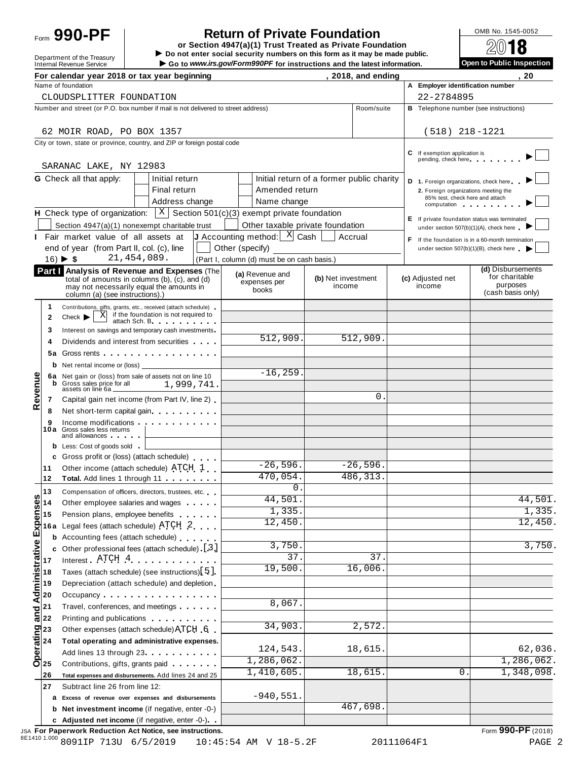# Form **990-PF**  $\begin{bmatrix} 1 & 0 \end{bmatrix}$  **Return of Private Foundation**  $\begin{bmatrix} 0 \end{bmatrix}$   $\begin{bmatrix} 0 \end{bmatrix}$   $\begin{bmatrix} 0 \end{bmatrix}$

 $\begin{array}{r|l}\n\hline\n\text{Definition} & \text{DOS} \\
\hline\n\text{Definition} & \text{DOS} \\
\hline\n\end{array}$ Department of the Treasury **Department of the Treasury** Do not enter social security numbers on this form as it may be made public<br>Internal Revenue Service **Department OC** Go to *www.irs.gov/Form990PF* for instructions an

| 720 TY                    |
|---------------------------|
| Open to Public Inspection |

|         |                                                                                                                                                                                                                                                                                                                                                                                                                                                                                                                                                                                      | For calendar year 2018 or tax year beginning                                                                                                                                                                                                                   |                                                                         |                    | 2018, and ending       |                                                                         | 20                                                                |
|---------|--------------------------------------------------------------------------------------------------------------------------------------------------------------------------------------------------------------------------------------------------------------------------------------------------------------------------------------------------------------------------------------------------------------------------------------------------------------------------------------------------------------------------------------------------------------------------------------|----------------------------------------------------------------------------------------------------------------------------------------------------------------------------------------------------------------------------------------------------------------|-------------------------------------------------------------------------|--------------------|------------------------|-------------------------------------------------------------------------|-------------------------------------------------------------------|
|         |                                                                                                                                                                                                                                                                                                                                                                                                                                                                                                                                                                                      | Name of foundation                                                                                                                                                                                                                                             |                                                                         |                    |                        | A Emplover identification number                                        |                                                                   |
|         |                                                                                                                                                                                                                                                                                                                                                                                                                                                                                                                                                                                      | CLOUDSPLITTER FOUNDATION                                                                                                                                                                                                                                       |                                                                         |                    |                        | 22-2784895                                                              |                                                                   |
|         |                                                                                                                                                                                                                                                                                                                                                                                                                                                                                                                                                                                      | Number and street (or P.O. box number if mail is not delivered to street address)                                                                                                                                                                              |                                                                         |                    | Room/suite             |                                                                         | <b>B</b> Telephone number (see instructions)                      |
|         |                                                                                                                                                                                                                                                                                                                                                                                                                                                                                                                                                                                      |                                                                                                                                                                                                                                                                |                                                                         |                    |                        |                                                                         |                                                                   |
|         |                                                                                                                                                                                                                                                                                                                                                                                                                                                                                                                                                                                      | 62 MOIR ROAD, PO BOX 1357                                                                                                                                                                                                                                      |                                                                         |                    |                        | $(518)$ 218-1221                                                        |                                                                   |
|         |                                                                                                                                                                                                                                                                                                                                                                                                                                                                                                                                                                                      | City or town, state or province, country, and ZIP or foreign postal code                                                                                                                                                                                       |                                                                         |                    |                        |                                                                         |                                                                   |
|         |                                                                                                                                                                                                                                                                                                                                                                                                                                                                                                                                                                                      |                                                                                                                                                                                                                                                                |                                                                         |                    |                        | <b>C</b> If exemption application is<br>pending, check here             |                                                                   |
|         |                                                                                                                                                                                                                                                                                                                                                                                                                                                                                                                                                                                      | SARANAC LAKE, NY 12983                                                                                                                                                                                                                                         |                                                                         |                    |                        |                                                                         |                                                                   |
|         |                                                                                                                                                                                                                                                                                                                                                                                                                                                                                                                                                                                      | <b>G</b> Check all that apply:<br>Initial return                                                                                                                                                                                                               | Initial return of a former public charity                               |                    |                        | D 1. Foreign organizations, check here                                  |                                                                   |
|         |                                                                                                                                                                                                                                                                                                                                                                                                                                                                                                                                                                                      | Final return                                                                                                                                                                                                                                                   | Amended return                                                          |                    |                        | 2. Foreign organizations meeting the<br>85% test, check here and attach |                                                                   |
|         |                                                                                                                                                                                                                                                                                                                                                                                                                                                                                                                                                                                      | Address change                                                                                                                                                                                                                                                 | Name change                                                             |                    |                        | computation computation                                                 |                                                                   |
|         |                                                                                                                                                                                                                                                                                                                                                                                                                                                                                                                                                                                      | <b>H</b> Check type of organization: $X \mid X$ Section 501(c)(3) exempt private foundation                                                                                                                                                                    |                                                                         |                    |                        |                                                                         | E If private foundation status was terminated                     |
|         |                                                                                                                                                                                                                                                                                                                                                                                                                                                                                                                                                                                      | Section 4947(a)(1) nonexempt charitable trust                                                                                                                                                                                                                  | Other taxable private foundation                                        |                    |                        |                                                                         | under section 507(b)(1)(A), check here                            |
|         |                                                                                                                                                                                                                                                                                                                                                                                                                                                                                                                                                                                      | Fair market value of all assets at                                                                                                                                                                                                                             | <b>J</b> Accounting method: $\begin{bmatrix} X \\ Y \end{bmatrix}$ Cash | Accrual            |                        |                                                                         | If the foundation is in a 60-month termination                    |
|         |                                                                                                                                                                                                                                                                                                                                                                                                                                                                                                                                                                                      | end of year (from Part II, col. (c), line<br>21, 454, 089.                                                                                                                                                                                                     | Other (specify)                                                         |                    |                        |                                                                         | under section $507(b)(1)(B)$ , check here $\qquad \qquad \bullet$ |
|         |                                                                                                                                                                                                                                                                                                                                                                                                                                                                                                                                                                                      | $16) \triangleright $ \$                                                                                                                                                                                                                                       | (Part I, column (d) must be on cash basis.)                             |                    |                        |                                                                         | (d) Disbursements                                                 |
|         |                                                                                                                                                                                                                                                                                                                                                                                                                                                                                                                                                                                      | Part   Analysis of Revenue and Expenses (The<br>total of amounts in columns (b), (c), and (d)                                                                                                                                                                  | (a) Revenue and                                                         | (b) Net investment |                        | (c) Adjusted net                                                        | for charitable                                                    |
|         |                                                                                                                                                                                                                                                                                                                                                                                                                                                                                                                                                                                      | may not necessarily equal the amounts in                                                                                                                                                                                                                       | expenses per<br>books                                                   | income             |                        | income                                                                  | purposes<br>(cash basis only)                                     |
|         |                                                                                                                                                                                                                                                                                                                                                                                                                                                                                                                                                                                      | column (a) (see instructions).)                                                                                                                                                                                                                                |                                                                         |                    |                        |                                                                         |                                                                   |
|         | 1<br>2                                                                                                                                                                                                                                                                                                                                                                                                                                                                                                                                                                               | Contributions, gifts, grants, etc., received (attach schedule)<br>if the foundation is not required to<br>- xl<br>$Check$ $\blacktriangleright$                                                                                                                |                                                                         |                    |                        |                                                                         |                                                                   |
|         | 3                                                                                                                                                                                                                                                                                                                                                                                                                                                                                                                                                                                    | attach Sch. B. Particular and The Parties<br>Interest on savings and temporary cash investments                                                                                                                                                                |                                                                         |                    |                        |                                                                         |                                                                   |
|         | 4                                                                                                                                                                                                                                                                                                                                                                                                                                                                                                                                                                                    | Dividends and interest from securities                                                                                                                                                                                                                         | 512,909.                                                                |                    | $\overline{512,909}$ . |                                                                         |                                                                   |
|         | 5a                                                                                                                                                                                                                                                                                                                                                                                                                                                                                                                                                                                   |                                                                                                                                                                                                                                                                |                                                                         |                    |                        |                                                                         |                                                                   |
|         |                                                                                                                                                                                                                                                                                                                                                                                                                                                                                                                                                                                      | <b>b</b> Net rental income or (loss)                                                                                                                                                                                                                           |                                                                         |                    |                        |                                                                         |                                                                   |
|         |                                                                                                                                                                                                                                                                                                                                                                                                                                                                                                                                                                                      | 6a Net gain or (loss) from sale of assets not on line 10                                                                                                                                                                                                       | $-16, 259$                                                              |                    |                        |                                                                         |                                                                   |
|         | b                                                                                                                                                                                                                                                                                                                                                                                                                                                                                                                                                                                    | 1,999,741<br>Gross sales price for all<br>assets on line 6a _                                                                                                                                                                                                  |                                                                         |                    |                        |                                                                         |                                                                   |
| Revenue | 7                                                                                                                                                                                                                                                                                                                                                                                                                                                                                                                                                                                    | Capital gain net income (from Part IV, line 2)                                                                                                                                                                                                                 |                                                                         |                    | $\Omega$               |                                                                         |                                                                   |
|         | 8                                                                                                                                                                                                                                                                                                                                                                                                                                                                                                                                                                                    | Net short-term capital gain                                                                                                                                                                                                                                    |                                                                         |                    |                        |                                                                         |                                                                   |
|         | 9                                                                                                                                                                                                                                                                                                                                                                                                                                                                                                                                                                                    | Income modifications experiences                                                                                                                                                                                                                               |                                                                         |                    |                        |                                                                         |                                                                   |
|         |                                                                                                                                                                                                                                                                                                                                                                                                                                                                                                                                                                                      | 10a Gross sales less returns<br>and allowances and the state of the state of the state of the state of the state of the state of the state of the state of the state of the state of the state of the state of the state of the state of the state of the stat |                                                                         |                    |                        |                                                                         |                                                                   |
|         |                                                                                                                                                                                                                                                                                                                                                                                                                                                                                                                                                                                      | <b>b</b> Less: Cost of goods sold                                                                                                                                                                                                                              |                                                                         |                    |                        |                                                                         |                                                                   |
|         |                                                                                                                                                                                                                                                                                                                                                                                                                                                                                                                                                                                      | c Gross profit or (loss) (attach schedule)                                                                                                                                                                                                                     |                                                                         |                    |                        |                                                                         |                                                                   |
|         | 11                                                                                                                                                                                                                                                                                                                                                                                                                                                                                                                                                                                   | Other income (attach schedule) ATCH 1                                                                                                                                                                                                                          | $-26,596.$                                                              |                    | $-26,596.$             |                                                                         |                                                                   |
|         | 12                                                                                                                                                                                                                                                                                                                                                                                                                                                                                                                                                                                   | Total. Add lines 1 through 11                                                                                                                                                                                                                                  | 470,054.                                                                |                    | 486, 313.              |                                                                         |                                                                   |
| w       | 13                                                                                                                                                                                                                                                                                                                                                                                                                                                                                                                                                                                   | Compensation of officers, directors, trustees, etc.                                                                                                                                                                                                            | 0.<br>44,501                                                            |                    |                        |                                                                         | 44,501                                                            |
|         |                                                                                                                                                                                                                                                                                                                                                                                                                                                                                                                                                                                      | Other employee salaries and wages                                                                                                                                                                                                                              | 1,335.                                                                  |                    |                        |                                                                         | $\overline{1,335}$ .                                              |
|         |                                                                                                                                                                                                                                                                                                                                                                                                                                                                                                                                                                                      | Pension plans, employee benefits                                                                                                                                                                                                                               | 12,450                                                                  |                    |                        |                                                                         | 12,450.                                                           |
|         | 16 a                                                                                                                                                                                                                                                                                                                                                                                                                                                                                                                                                                                 | Legal fees (attach schedule) ATCH 2                                                                                                                                                                                                                            |                                                                         |                    |                        |                                                                         |                                                                   |
|         | b                                                                                                                                                                                                                                                                                                                                                                                                                                                                                                                                                                                    | Accounting fees (attach schedule)                                                                                                                                                                                                                              | 3,750.                                                                  |                    |                        |                                                                         | $\overline{3,750}$ .                                              |
|         |                                                                                                                                                                                                                                                                                                                                                                                                                                                                                                                                                                                      | Other professional fees (attach schedule) [3]<br>Interest ATCH 4                                                                                                                                                                                               | 37                                                                      |                    | 37                     |                                                                         |                                                                   |
|         |                                                                                                                                                                                                                                                                                                                                                                                                                                                                                                                                                                                      | Taxes (attach schedule) (see instructions) [5]                                                                                                                                                                                                                 | 19,500.                                                                 |                    | 16,006.                |                                                                         |                                                                   |
|         |                                                                                                                                                                                                                                                                                                                                                                                                                                                                                                                                                                                      | Depreciation (attach schedule) and depletion                                                                                                                                                                                                                   |                                                                         |                    |                        |                                                                         |                                                                   |
|         |                                                                                                                                                                                                                                                                                                                                                                                                                                                                                                                                                                                      | Occupancy                                                                                                                                                                                                                                                      |                                                                         |                    |                        |                                                                         |                                                                   |
|         |                                                                                                                                                                                                                                                                                                                                                                                                                                                                                                                                                                                      | Travel, conferences, and meetings                                                                                                                                                                                                                              | 8,067.                                                                  |                    |                        |                                                                         |                                                                   |
|         |                                                                                                                                                                                                                                                                                                                                                                                                                                                                                                                                                                                      | Printing and publications <b>Community</b> Printing and publications                                                                                                                                                                                           |                                                                         |                    |                        |                                                                         |                                                                   |
|         |                                                                                                                                                                                                                                                                                                                                                                                                                                                                                                                                                                                      | Other expenses (attach schedule) ATCH 6                                                                                                                                                                                                                        | 34,903                                                                  |                    | 2,572.                 |                                                                         |                                                                   |
|         | $\begin{array}{c}\n\overline{\text{e}} \\ \overline{\text{e}} \\ \overline{\text{e}} \\ \overline{\text{e}} \\ \overline{\text{e}} \\ \overline{\text{e}} \\ \overline{\text{e}} \\ \overline{\text{e}} \\ \overline{\text{e}} \\ \overline{\text{e}} \\ \overline{\text{e}} \\ \overline{\text{e}} \\ \overline{\text{e}} \\ \overline{\text{e}} \\ \overline{\text{e}} \\ \overline{\text{e}} \\ \overline{\text{e}} \\ \overline{\text{e}} \\ \overline{\text{e}} \\ \overline{\text{e}} \\ \overline{\text{e}} \\ \overline{\text{e}} \\ \overline{\text{e}} \\ \overline{\text$ | Total operating and administrative expenses.                                                                                                                                                                                                                   |                                                                         |                    |                        |                                                                         |                                                                   |
|         |                                                                                                                                                                                                                                                                                                                                                                                                                                                                                                                                                                                      | Add lines 13 through 23 <b>Add lines</b> 13 through 23                                                                                                                                                                                                         | 124,543.                                                                |                    | 18,615                 |                                                                         | 62,036.                                                           |
|         |                                                                                                                                                                                                                                                                                                                                                                                                                                                                                                                                                                                      | Contributions, gifts, grants paid                                                                                                                                                                                                                              | 1,286,062.                                                              |                    |                        |                                                                         | 1,286,062.                                                        |
|         | 26                                                                                                                                                                                                                                                                                                                                                                                                                                                                                                                                                                                   | Total expenses and disbursements. Add lines 24 and 25                                                                                                                                                                                                          | 1,410,605                                                               |                    | 18,615.                | 0.                                                                      | 1,348,098.                                                        |
|         | 27                                                                                                                                                                                                                                                                                                                                                                                                                                                                                                                                                                                   | Subtract line 26 from line 12:                                                                                                                                                                                                                                 |                                                                         |                    |                        |                                                                         |                                                                   |
|         |                                                                                                                                                                                                                                                                                                                                                                                                                                                                                                                                                                                      | a Excess of revenue over expenses and disbursements                                                                                                                                                                                                            | $-940,551$                                                              |                    |                        |                                                                         |                                                                   |
|         |                                                                                                                                                                                                                                                                                                                                                                                                                                                                                                                                                                                      | <b>b</b> Net investment income (if negative, enter -0-)                                                                                                                                                                                                        |                                                                         |                    | 467,698.               |                                                                         |                                                                   |
|         |                                                                                                                                                                                                                                                                                                                                                                                                                                                                                                                                                                                      | c Adjusted net income (if negative, enter -0-)                                                                                                                                                                                                                 |                                                                         |                    |                        |                                                                         |                                                                   |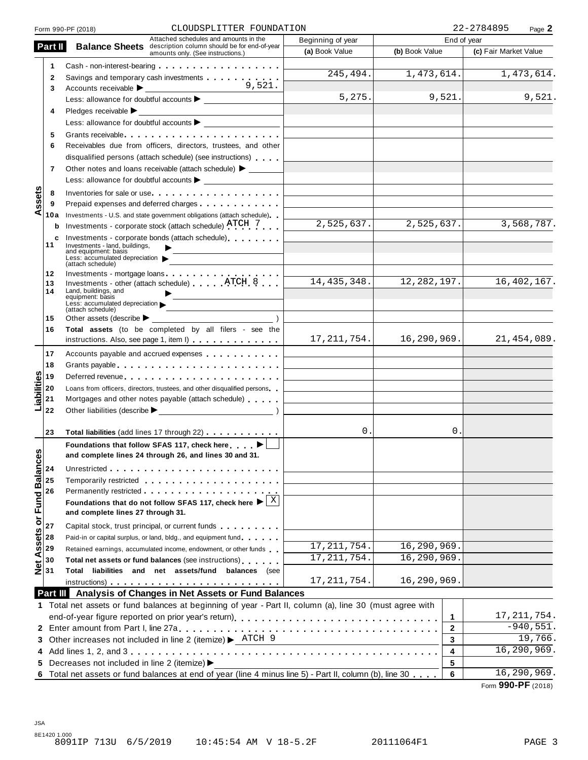|                               |              | CLOUDSPLITTER FOUNDATION<br>Form 990-PF (2018)                                                                  |                   |                | 22-2784895<br>Page 2  |
|-------------------------------|--------------|-----------------------------------------------------------------------------------------------------------------|-------------------|----------------|-----------------------|
|                               |              | Attached schedules and amounts in the                                                                           | Beginning of year |                | End of year           |
|                               | Part II      | <b>Balance Sheets</b> description column should be for end-of-year<br>amounts only. (See instructions.)         | (a) Book Value    | (b) Book Value | (c) Fair Market Value |
|                               | 1            | Cash - non-interest-bearing                                                                                     |                   |                |                       |
|                               | $\mathbf{2}$ | Savings and temporary cash investments                                                                          | 245, 494.         | 1,473,614.     | 1,473,614.            |
|                               | 3            | 9,521.                                                                                                          |                   |                |                       |
|                               |              |                                                                                                                 | 5, 275.           | 9,521.         | 9,521.                |
|                               | 4            | Pledges receivable $\blacktriangleright$                                                                        |                   |                |                       |
|                               |              |                                                                                                                 |                   |                |                       |
|                               | 5            | Grants receivable                                                                                               |                   |                |                       |
|                               | 6            | Receivables due from officers, directors, trustees, and other                                                   |                   |                |                       |
|                               |              | disqualified persons (attach schedule) (see instructions)                                                       |                   |                |                       |
|                               | 7            | Other notes and loans receivable (attach schedule) > _______                                                    |                   |                |                       |
|                               |              |                                                                                                                 |                   |                |                       |
|                               | 8            | Inventories for sale or use                                                                                     |                   |                |                       |
| ssets                         | 9            | Prepaid expenses and deferred charges <b>Expenses Expenses</b>                                                  |                   |                |                       |
| ⋖                             | 10a          | Investments - U.S. and state government obligations (attach schedule)                                           |                   |                |                       |
|                               | b            | Investments - corporate stock (attach schedule) ATCH 7                                                          | 2,525,637.        | 2,525,637.     | 3,568,787.            |
|                               | c            | Investments - corporate bonds (attach schedule)                                                                 |                   |                |                       |
|                               | 11           | Investments - land, buildings,<br>and equipment: basis                                                          |                   |                |                       |
|                               |              | Less: accumulated depreciation                                                                                  |                   |                |                       |
|                               | 12           | (attach schedule)<br>Investments - mortgage loans                                                               |                   |                |                       |
|                               | 13           | Investments - other (attach schedule) $\ldots$ $\ldots$ $\text{ATCH}$ $8$ $\ldots$                              | 14, 435, 348.     | 12, 282, 197.  | 16, 402, 167.         |
|                               | 14           | Land, buildings, and<br>equipment: basis                                                                        |                   |                |                       |
|                               |              | Less: accumulated depreciation<br>and the control of the control of                                             |                   |                |                       |
|                               | 15           | (attach schedule)<br>Other assets (describe $\blacktriangleright$                                               |                   |                |                       |
|                               | 16           | Total assets (to be completed by all filers - see the                                                           |                   |                |                       |
|                               |              | instructions. Also, see page 1, item I)                                                                         | 17, 211, 754.     | 16,290,969.    | 21,454,089.           |
|                               | 17           | Accounts payable and accrued expenses                                                                           |                   |                |                       |
|                               | 18           | Grants payable entering the service of the service of the service of the service of the service of the service  |                   |                |                       |
|                               | 19           |                                                                                                                 |                   |                |                       |
|                               | 20           | Loans from officers, directors, trustees, and other disqualified persons                                        |                   |                |                       |
| labilities                    | 21           | Mortgages and other notes payable (attach schedule)                                                             |                   |                |                       |
|                               | 22           |                                                                                                                 |                   |                |                       |
|                               |              |                                                                                                                 |                   |                |                       |
|                               | 23           | Total liabilities (add lines 17 through 22)                                                                     | 0.                | 0.             |                       |
|                               |              | Foundations that follow SFAS 117, check here ▶                                                                  |                   |                |                       |
| w                             |              | and complete lines 24 through 26, and lines 30 and 31.                                                          |                   |                |                       |
|                               | 24           | Unrestricted entering the state of the state of the state of the state of the state of the state of the state o |                   |                |                       |
|                               | 25           | Temporarily restricted entering the state of the state of the state of the state of the state of the state of   |                   |                |                       |
|                               | 26           |                                                                                                                 |                   |                |                       |
|                               |              | Foundations that do not follow SFAS 117, check here $\blacktriangleright$ $\frac{X}{X}$                         |                   |                |                       |
|                               |              | and complete lines 27 through 31.                                                                               |                   |                |                       |
| <b>Assets or Fund Balance</b> | 27           | Capital stock, trust principal, or current funds                                                                |                   |                |                       |
|                               | 28           | Paid-in or capital surplus, or land, bldg., and equipment fund                                                  |                   |                |                       |
|                               | 29           | Retained earnings, accumulated income, endowment, or other funds                                                | 17, 211, 754.     | 16,290,969.    |                       |
|                               | 30           | Total net assets or fund balances (see instructions)                                                            | 17, 211, 754.     | 16,290,969.    |                       |
| $\frac{1}{2}$ 30              |              | Total liabilities and net assets/fund balances (see                                                             |                   |                |                       |
|                               |              |                                                                                                                 | 17, 211, 754.     | 16,290,969.    |                       |
|                               |              | Part III Analysis of Changes in Net Assets or Fund Balances                                                     |                   |                |                       |
|                               |              | 1 Total net assets or fund balances at beginning of year - Part II, column (a), line 30 (must agree with        |                   |                |                       |
|                               |              | end-of-year figure reported on prior year's return) entitled results and results and results are results and r  |                   | 1              | 17, 211, 754.         |
|                               |              |                                                                                                                 |                   | 2              | $-940,551.$           |
|                               |              | 3 Other increases not included in line 2 (itemize) > ATCH 9                                                     |                   | 3              | 19,766.               |
|                               |              |                                                                                                                 |                   | 4              | 16, 290, 969.         |
| 5                             |              | Decreases not included in line 2 (itemize) ▶                                                                    |                   | 5              |                       |
|                               |              | 6 Total net assets or fund balances at end of year (line 4 minus line 5) - Part II, column (b), line 30         |                   | 6              | 16, 290, 969.         |
|                               |              |                                                                                                                 |                   |                |                       |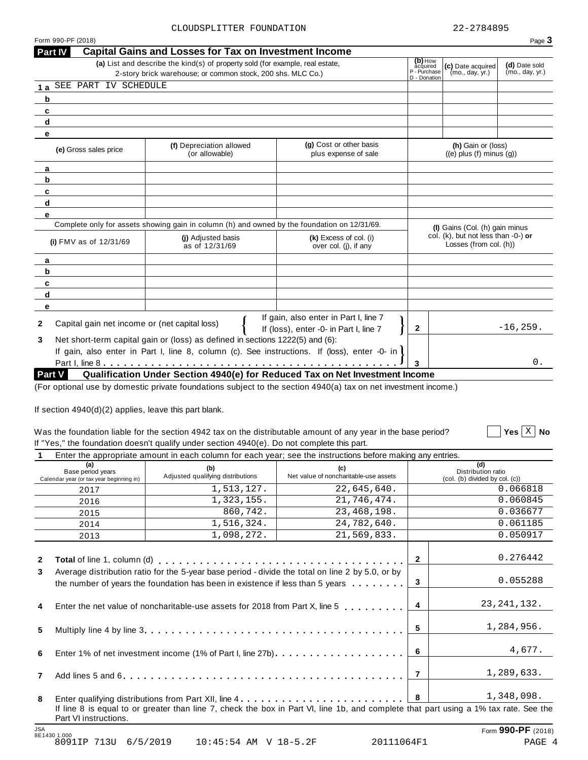$\boxed{\phantom{1}}$  Yes  $\boxed{\mathrm{X}}$  No

|                                                                                                                        | Part IV                                                                                                                                      | <b>Capital Gains and Losses for Tax on Investment Income</b>                                 |                                                                                 |                                                               |                                                       |             |  |  |
|------------------------------------------------------------------------------------------------------------------------|----------------------------------------------------------------------------------------------------------------------------------------------|----------------------------------------------------------------------------------------------|---------------------------------------------------------------------------------|---------------------------------------------------------------|-------------------------------------------------------|-------------|--|--|
|                                                                                                                        | (a) List and describe the kind(s) of property sold (for example, real estate,<br>2-story brick warehouse; or common stock, 200 shs. MLC Co.) | (b) How<br>acquired<br>P - Purchase<br>D - Donation                                          | (c) Date acquired<br>(mo., day, yr.)                                            | (d) Date sold<br>(mo., day, yr.)                              |                                                       |             |  |  |
| 1a                                                                                                                     | SEE PART IV SCHEDULE                                                                                                                         |                                                                                              |                                                                                 |                                                               |                                                       |             |  |  |
| b                                                                                                                      |                                                                                                                                              |                                                                                              |                                                                                 |                                                               |                                                       |             |  |  |
| c                                                                                                                      |                                                                                                                                              |                                                                                              |                                                                                 |                                                               |                                                       |             |  |  |
| d                                                                                                                      |                                                                                                                                              |                                                                                              |                                                                                 |                                                               |                                                       |             |  |  |
| е                                                                                                                      |                                                                                                                                              |                                                                                              |                                                                                 |                                                               |                                                       |             |  |  |
| (g) Cost or other basis<br>(f) Depreciation allowed<br>(e) Gross sales price<br>plus expense of sale<br>(or allowable) |                                                                                                                                              |                                                                                              |                                                                                 |                                                               | (h) Gain or (loss)<br>$((e)$ plus $(f)$ minus $(g)$ ) |             |  |  |
| a                                                                                                                      |                                                                                                                                              |                                                                                              |                                                                                 |                                                               |                                                       |             |  |  |
| b                                                                                                                      |                                                                                                                                              |                                                                                              |                                                                                 |                                                               |                                                       |             |  |  |
| c                                                                                                                      |                                                                                                                                              |                                                                                              |                                                                                 |                                                               |                                                       |             |  |  |
| d                                                                                                                      |                                                                                                                                              |                                                                                              |                                                                                 |                                                               |                                                       |             |  |  |
| e                                                                                                                      |                                                                                                                                              |                                                                                              |                                                                                 |                                                               |                                                       |             |  |  |
|                                                                                                                        |                                                                                                                                              | Complete only for assets showing gain in column (h) and owned by the foundation on 12/31/69. |                                                                                 |                                                               | (I) Gains (Col. (h) gain minus                        |             |  |  |
|                                                                                                                        | (i) FMV as of 12/31/69                                                                                                                       | (i) Adjusted basis<br>as of 12/31/69                                                         | (k) Excess of col. (i)<br>over col. (i), if any                                 | col. (k), but not less than -0-) or<br>Losses (from col. (h)) |                                                       |             |  |  |
| a                                                                                                                      |                                                                                                                                              |                                                                                              |                                                                                 |                                                               |                                                       |             |  |  |
| b                                                                                                                      |                                                                                                                                              |                                                                                              |                                                                                 |                                                               |                                                       |             |  |  |
| c                                                                                                                      |                                                                                                                                              |                                                                                              |                                                                                 |                                                               |                                                       |             |  |  |
| d                                                                                                                      |                                                                                                                                              |                                                                                              |                                                                                 |                                                               |                                                       |             |  |  |
| е                                                                                                                      |                                                                                                                                              |                                                                                              |                                                                                 |                                                               |                                                       |             |  |  |
| $\mathbf{2}$                                                                                                           | Capital gain net income or (net capital loss)                                                                                                |                                                                                              | If gain, also enter in Part I, line 7<br>If (loss), enter -0- in Part I, line 7 | $\mathbf{2}$                                                  |                                                       | $-16, 259.$ |  |  |
| 3                                                                                                                      |                                                                                                                                              | Net short-term capital gain or (loss) as defined in sections 1222(5) and (6):                |                                                                                 |                                                               |                                                       |             |  |  |
|                                                                                                                        |                                                                                                                                              | If gain, also enter in Part I, line 8, column (c). See instructions. If (loss), enter -0- in |                                                                                 |                                                               |                                                       |             |  |  |
|                                                                                                                        |                                                                                                                                              |                                                                                              |                                                                                 | з                                                             |                                                       | $0$ .       |  |  |
|                                                                                                                        | Qualification Under Section 4940(e) for Reduced Tax on Net Investment Income<br>Part V                                                       |                                                                                              |                                                                                 |                                                               |                                                       |             |  |  |

(For optional use by domestic private foundations subject to the section 4940(a) tax on net investment income.)

If section  $4940(d)(2)$  applies, leave this part blank.

#### Was the foundation liable for the section 4942 tax on the distributable amount of any year in the base period? If "Yes," the foundation doesn't qualify under section 4940(e). Do not complete this part.

**1** Enter the appropriate amount in each column for each year; see the instructions before making any entries.

| (a)<br>Base period years<br>Calendar year (or tax year beginning in) | (b)<br>Adjusted qualifying distributions                                                                                                                                                                                       | (c)<br>Net value of noncharitable-use assets                                                                                         |                | (d)<br>Distribution ratio<br>(col. (b) divided by col. (c)) |
|----------------------------------------------------------------------|--------------------------------------------------------------------------------------------------------------------------------------------------------------------------------------------------------------------------------|--------------------------------------------------------------------------------------------------------------------------------------|----------------|-------------------------------------------------------------|
| 2017                                                                 | 1,513,127.                                                                                                                                                                                                                     | 22,645,640.                                                                                                                          |                | 0.066818                                                    |
| 2016                                                                 | 1,323,155.                                                                                                                                                                                                                     | 21,746,474.                                                                                                                          |                | 0.060845                                                    |
| 2015                                                                 | 860,742.                                                                                                                                                                                                                       | 23, 468, 198.                                                                                                                        |                | 0.036677                                                    |
| 2014                                                                 | 1,516,324.                                                                                                                                                                                                                     | 24,782,640.                                                                                                                          |                | 0.061185                                                    |
| 2013                                                                 | 1,098,272.                                                                                                                                                                                                                     | 21,569,833.                                                                                                                          |                | 0.050917                                                    |
| $\mathbf{2}$                                                         | Total of line 1, column (d) enterpreteration of the set of the set of the set of the set of the set of the set of the set of the set of the set of the set of the set of the set of the set of the set of the set of the set o |                                                                                                                                      | $\overline{2}$ | 0.276442                                                    |
| 3                                                                    | Average distribution ratio for the 5-year base period - divide the total on line 2 by 5.0, or by                                                                                                                               | the number of years the foundation has been in existence if less than 5 years $\dots \dots$                                          | 3              | 0.055288                                                    |
| 4                                                                    |                                                                                                                                                                                                                                | Enter the net value of noncharitable-use assets for 2018 from Part X, line 5 etc.                                                    | $\overline{4}$ | 23, 241, 132.                                               |
| 5                                                                    |                                                                                                                                                                                                                                |                                                                                                                                      | 5              | 1,284,956.                                                  |
| 6                                                                    |                                                                                                                                                                                                                                |                                                                                                                                      | 6              | 4,677.                                                      |
| $\overline{7}$                                                       |                                                                                                                                                                                                                                |                                                                                                                                      | $\overline{7}$ | 1,289,633.                                                  |
| 8                                                                    |                                                                                                                                                                                                                                |                                                                                                                                      | $\bf{8}$       | 1,348,098.                                                  |
| Part VI instructions.                                                |                                                                                                                                                                                                                                | If line 8 is equal to or greater than line 7, check the box in Part VI, line 1b, and complete that part using a 1% tax rate. See the |                |                                                             |
| <b>JSA</b><br>8E1430 1.000                                           |                                                                                                                                                                                                                                |                                                                                                                                      |                | Form 990-PF (2018)                                          |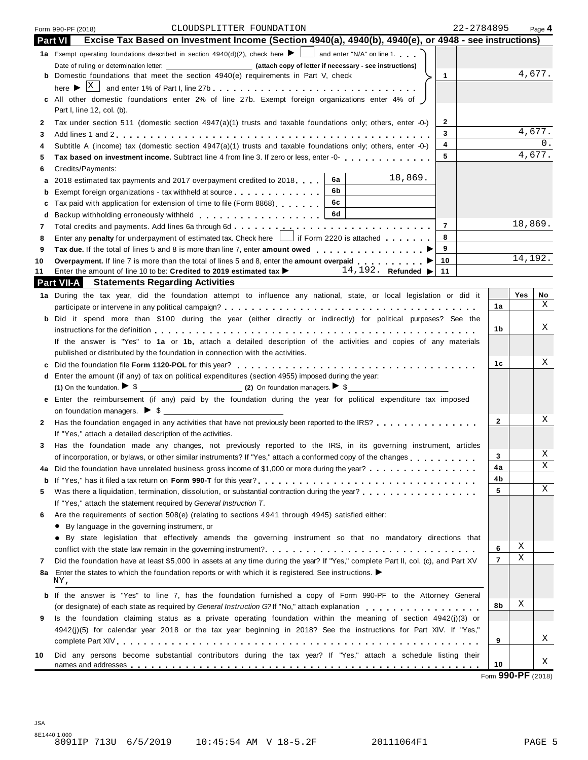|                                                                                                             | Excise Tax Based on Investment Income (Section 4940(a), 4940(b), 4940(e), or 4948 - see instructions)<br><b>Part VI</b>                                                                    |              |         |         |  |  |
|-------------------------------------------------------------------------------------------------------------|--------------------------------------------------------------------------------------------------------------------------------------------------------------------------------------------|--------------|---------|---------|--|--|
|                                                                                                             | 1a Exempt operating foundations described in section $4940(d)(2)$ , check here $\blacktriangleright$ and enter "N/A" on line 1.                                                            |              |         |         |  |  |
|                                                                                                             |                                                                                                                                                                                            |              |         |         |  |  |
|                                                                                                             | <b>b</b> Domestic foundations that meet the section 4940(e) requirements in Part V, check<br>$\mathbf{1}$                                                                                  |              |         |         |  |  |
|                                                                                                             | here $\blacktriangleright$ $ X $<br>and enter 1% of Part I, line 27b                                                                                                                       |              |         |         |  |  |
|                                                                                                             | c All other domestic foundations enter 2% of line 27b. Exempt foreign organizations enter 4% of                                                                                            |              |         |         |  |  |
|                                                                                                             | Part I, line 12, col. (b).                                                                                                                                                                 |              |         |         |  |  |
| 2                                                                                                           | $\mathbf{2}$<br>Tax under section 511 (domestic section 4947(a)(1) trusts and taxable foundations only; others, enter -0-)                                                                 |              |         |         |  |  |
| 3                                                                                                           | 3                                                                                                                                                                                          |              | 4,677.  |         |  |  |
| 4                                                                                                           | 4<br>Subtitle A (income) tax (domestic section 4947(a)(1) trusts and taxable foundations only; others, enter -0-)                                                                          |              |         | 0.      |  |  |
|                                                                                                             | 5<br>Tax based on investment income. Subtract line 4 from line 3. If zero or less, enter -0-                                                                                               |              | 4,677.  |         |  |  |
| 5<br>6                                                                                                      | Credits/Payments:                                                                                                                                                                          |              |         |         |  |  |
| а                                                                                                           | 18,869.<br>6a<br>2018 estimated tax payments and 2017 overpayment credited to 2018                                                                                                         |              |         |         |  |  |
| b                                                                                                           | 6b<br>Exempt foreign organizations - tax withheld at source                                                                                                                                |              |         |         |  |  |
|                                                                                                             | 6c<br>Tax paid with application for extension of time to file (Form 8868)                                                                                                                  |              |         |         |  |  |
| c                                                                                                           |                                                                                                                                                                                            |              |         |         |  |  |
| d                                                                                                           | $\overline{7}$                                                                                                                                                                             |              | 18,869. |         |  |  |
| 7                                                                                                           | Enter any penalty for underpayment of estimated tax. Check here     if Form 2220 is attached<br>8                                                                                          |              |         |         |  |  |
|                                                                                                             | 9                                                                                                                                                                                          |              |         |         |  |  |
|                                                                                                             | Tax due. If the total of lines 5 and 8 is more than line 7, enter amount owed enter-                                                                                                       |              | 14,192. |         |  |  |
| 10<br>Overpayment. If line 7 is more than the total of lines 5 and 8, enter the amount overpaid<br>10<br>11 |                                                                                                                                                                                            |              |         |         |  |  |
|                                                                                                             | Enter the amount of line 10 to be: Credited to 2019 estimated tax $\blacktriangleright$ 14, 192. Refunded $\blacktriangleright$ 11<br>Part VII-A<br><b>Statements Regarding Activities</b> |              |         |         |  |  |
|                                                                                                             |                                                                                                                                                                                            |              |         |         |  |  |
|                                                                                                             | 1a During the tax year, did the foundation attempt to influence any national, state, or local legislation or did it                                                                        | 1a           | Yes     | No<br>X |  |  |
|                                                                                                             |                                                                                                                                                                                            |              |         |         |  |  |
|                                                                                                             | b Did it spend more than \$100 during the year (either directly or indirectly) for political purposes? See the                                                                             |              |         | Χ       |  |  |
|                                                                                                             |                                                                                                                                                                                            | 1b           |         |         |  |  |
|                                                                                                             | If the answer is "Yes" to 1a or 1b, attach a detailed description of the activities and copies of any materials                                                                            |              |         |         |  |  |
|                                                                                                             | published or distributed by the foundation in connection with the activities.                                                                                                              |              |         |         |  |  |
| c                                                                                                           |                                                                                                                                                                                            | 1c           |         | Χ       |  |  |
|                                                                                                             | d Enter the amount (if any) of tax on political expenditures (section 4955) imposed during the year:                                                                                       |              |         |         |  |  |
|                                                                                                             |                                                                                                                                                                                            |              |         |         |  |  |
| е                                                                                                           | Enter the reimbursement (if any) paid by the foundation during the year for political expenditure tax imposed                                                                              |              |         |         |  |  |
|                                                                                                             |                                                                                                                                                                                            |              |         |         |  |  |
| 2                                                                                                           | Has the foundation engaged in any activities that have not previously been reported to the IRS?                                                                                            | $\mathbf{2}$ |         | Χ       |  |  |
|                                                                                                             | If "Yes," attach a detailed description of the activities.                                                                                                                                 |              |         |         |  |  |
| 3                                                                                                           | Has the foundation made any changes, not previously reported to the IRS, in its governing instrument, articles                                                                             |              |         |         |  |  |
|                                                                                                             | of incorporation, or bylaws, or other similar instruments? If "Yes," attach a conformed copy of the changes                                                                                | 3            |         | Χ       |  |  |
| 4a                                                                                                          |                                                                                                                                                                                            | 4a           |         | Χ       |  |  |
| b                                                                                                           |                                                                                                                                                                                            | 4b           |         |         |  |  |
|                                                                                                             | Was there a liquidation, termination, dissolution, or substantial contraction during the year?                                                                                             | 5            |         | Χ       |  |  |
|                                                                                                             |                                                                                                                                                                                            |              |         |         |  |  |
|                                                                                                             | If "Yes," attach the statement required by General Instruction T.                                                                                                                          |              |         |         |  |  |
| 5<br>6                                                                                                      |                                                                                                                                                                                            |              |         |         |  |  |
|                                                                                                             | Are the requirements of section 508(e) (relating to sections 4941 through 4945) satisfied either:                                                                                          |              |         |         |  |  |
|                                                                                                             | • By language in the governing instrument, or                                                                                                                                              |              |         |         |  |  |
|                                                                                                             | • By state legislation that effectively amends the governing instrument so that no mandatory directions that                                                                               | 6            | Χ       |         |  |  |

| Did the foundation have at least \$5,000 in assets at any time during the year? If "Yes," complete Part II, col. (c), and Part XV  |    |  |  |  |  |  |  |
|------------------------------------------------------------------------------------------------------------------------------------|----|--|--|--|--|--|--|
| 8a Enter the states to which the foundation reports or with which it is registered. See instructions. $\blacktriangleright$<br>NY. |    |  |  |  |  |  |  |
| <b>b</b> If the answer is "Yes" to line 7, has the foundation furnished a copy of Form 990-PF to the Attorney General              |    |  |  |  |  |  |  |
| (or designate) of each state as required by General Instruction G2If "No " attach explanation                                      | 8b |  |  |  |  |  |  |

|    | tor designate) or each state as required by General instruction G2Ti "NO," attach explanation in the contraction of the contraction of the contraction of the contraction of the contraction of the contraction of the contrac |    |  |
|----|--------------------------------------------------------------------------------------------------------------------------------------------------------------------------------------------------------------------------------|----|--|
|    | 9 Is the foundation claiming status as a private operating foundation within the meaning of section 4942(j)(3) or                                                                                                              |    |  |
|    | 4942(j)(5) for calendar year 2018 or the tax year beginning in 2018? See the instructions for Part XIV. If "Yes,"                                                                                                              |    |  |
|    |                                                                                                                                                                                                                                |    |  |
| 10 | Did any persons become substantial contributors during the tax year? If "Yes," attach a schedule listing their                                                                                                                 |    |  |
|    |                                                                                                                                                                                                                                | 10 |  |

X

 $\mathbf X$ 

X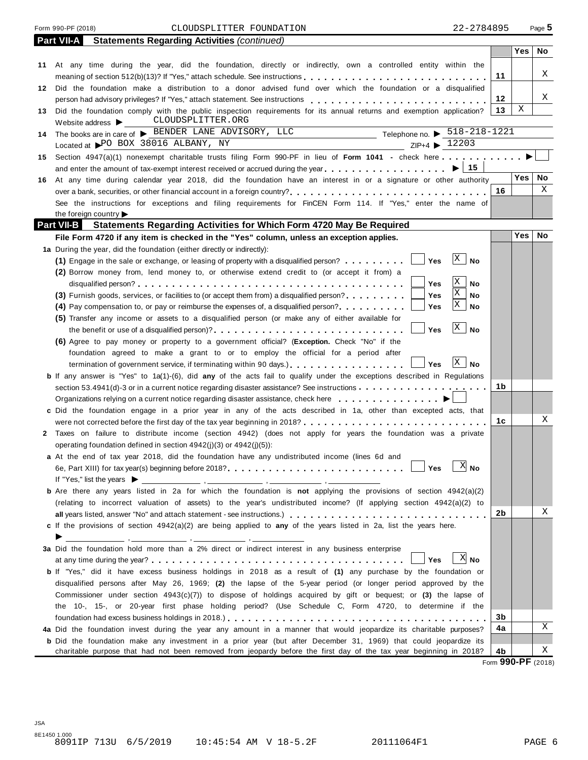#### Form 990-PF (2018) Page **5** CLOUDSPLITTER FOUNDATION 22-2784895

|    | <b>Statements Regarding Activities (continued)</b><br><b>Part VII-A</b>                                                                                                                                                        |    |            |    |
|----|--------------------------------------------------------------------------------------------------------------------------------------------------------------------------------------------------------------------------------|----|------------|----|
|    |                                                                                                                                                                                                                                |    | Yes        | No |
|    | 11 At any time during the year, did the foundation, directly or indirectly, own a controlled entity within the                                                                                                                 |    |            |    |
|    |                                                                                                                                                                                                                                | 11 |            | Χ  |
|    | 12 Did the foundation make a distribution to a donor advised fund over which the foundation or a disqualified                                                                                                                  |    |            |    |
|    |                                                                                                                                                                                                                                | 12 |            | Χ  |
| 13 | Did the foundation comply with the public inspection requirements for its annual returns and exemption application?                                                                                                            | 13 | Χ          |    |
|    | CLOUDSPLITTER.ORG<br>Website address $\blacktriangleright$                                                                                                                                                                     |    |            |    |
| 14 | Telephone no. $\triangleright$ 518-218-1221<br>The books are in care of > BENDER LANE ADVISORY, LLC                                                                                                                            |    |            |    |
|    | Located at PO BOX 38016 ALBANY, NY<br>ZIP+4 ▶ 12203                                                                                                                                                                            |    |            |    |
|    | 15 Section 4947(a)(1) nonexempt charitable trusts filing Form 990-PF in lieu of Form 1041 - check here                                                                                                                         |    |            |    |
|    | ∣ 15<br>and enter the amount of tax-exempt interest received or accrued during the year                                                                                                                                        |    |            |    |
| 16 | At any time during calendar year 2018, did the foundation have an interest in or a signature or other authority                                                                                                                |    | Yes        | No |
|    |                                                                                                                                                                                                                                | 16 |            | Χ  |
|    | See the instructions for exceptions and filing requirements for FinCEN Form 114. If "Yes," enter the name of                                                                                                                   |    |            |    |
|    | the foreign country                                                                                                                                                                                                            |    |            |    |
|    | <b>Part VII-B</b><br><b>Statements Regarding Activities for Which Form 4720 May Be Required</b>                                                                                                                                |    |            |    |
|    |                                                                                                                                                                                                                                |    | <b>Yes</b> | No |
|    | File Form 4720 if any item is checked in the "Yes" column, unless an exception applies.                                                                                                                                        |    |            |    |
|    | 1a During the year, did the foundation (either directly or indirectly):<br>$\mathbf{X}$                                                                                                                                        |    |            |    |
|    | <b>No</b><br>Yes<br>(1) Engage in the sale or exchange, or leasing of property with a disqualified person?                                                                                                                     |    |            |    |
|    | (2) Borrow money from, lend money to, or otherwise extend credit to (or accept it from) a<br>Χ                                                                                                                                 |    |            |    |
|    | No<br>Yes<br>Χ                                                                                                                                                                                                                 |    |            |    |
|    | Yes<br>(3) Furnish goods, services, or facilities to (or accept them from) a disqualified person?<br>No<br>X                                                                                                                   |    |            |    |
|    | Yes<br>No<br>(4) Pay compensation to, or pay or reimburse the expenses of, a disqualified person?                                                                                                                              |    |            |    |
|    | (5) Transfer any income or assets to a disqualified person (or make any of either available for                                                                                                                                |    |            |    |
|    | $\mathbf{X}$<br>No<br>Yes                                                                                                                                                                                                      |    |            |    |
|    | (6) Agree to pay money or property to a government official? (Exception. Check "No" if the                                                                                                                                     |    |            |    |
|    | foundation agreed to make a grant to or to employ the official for a period after                                                                                                                                              |    |            |    |
|    | $\mathbf{X}$<br>No<br>termination of government service, if terminating within 90 days.).<br>Yes                                                                                                                               |    |            |    |
|    | <b>b</b> If any answer is "Yes" to 1a(1)-(6), did any of the acts fail to qualify under the exceptions described in Regulations                                                                                                |    |            |    |
|    | section 53.4941(d)-3 or in a current notice regarding disaster assistance? See instructions entermination of the section of the section of the section of the section of the section of the section of the section of the sect | 1b |            |    |
|    |                                                                                                                                                                                                                                |    |            |    |
|    | c Did the foundation engage in a prior year in any of the acts described in 1a, other than excepted acts, that                                                                                                                 |    |            |    |
|    |                                                                                                                                                                                                                                | 1с |            | Χ  |
|    | 2 Taxes on failure to distribute income (section 4942) (does not apply for years the foundation was a private                                                                                                                  |    |            |    |
|    | operating foundation defined in section $4942(i)(3)$ or $4942(i)(5)$ :                                                                                                                                                         |    |            |    |
|    | a At the end of tax year 2018, did the foundation have any undistributed income (lines 6d and                                                                                                                                  |    |            |    |
|    |                                                                                                                                                                                                                                |    |            |    |
|    | If "Yes," list the years $\blacktriangleright$                                                                                                                                                                                 |    |            |    |
|    | <b>b</b> Are there any years listed in 2a for which the foundation is not applying the provisions of section 4942(a)(2)                                                                                                        |    |            |    |
|    | (relating to incorrect valuation of assets) to the year's undistributed income? (If applying section 4942(a)(2) to                                                                                                             |    |            |    |
|    |                                                                                                                                                                                                                                | 2b |            | Χ  |
|    | c If the provisions of section 4942(a)(2) are being applied to any of the years listed in 2a, list the years here.                                                                                                             |    |            |    |
|    | <u> 1986 - Johann Stone, amerikansk politiker (d. 1987)</u>                                                                                                                                                                    |    |            |    |
|    | 3a Did the foundation hold more than a 2% direct or indirect interest in any business enterprise                                                                                                                               |    |            |    |
|    | $X$ No<br>Yes                                                                                                                                                                                                                  |    |            |    |
|    | b If "Yes," did it have excess business holdings in 2018 as a result of (1) any purchase by the foundation or                                                                                                                  |    |            |    |
|    | disqualified persons after May 26, 1969; (2) the lapse of the 5-year period (or longer period approved by the                                                                                                                  |    |            |    |
|    | Commissioner under section $4943(c)(7)$ ) to dispose of holdings acquired by gift or bequest; or (3) the lapse of                                                                                                              |    |            |    |
|    | the 10-, 15-, or 20-year first phase holding period? (Use Schedule C, Form 4720, to determine if the                                                                                                                           |    |            |    |
|    |                                                                                                                                                                                                                                | 3b |            |    |
|    | 4a Did the foundation invest during the year any amount in a manner that would jeopardize its charitable purposes?                                                                                                             | 4a |            | Χ  |
|    | <b>b</b> Did the foundation make any investment in a prior year (but after December 31, 1969) that could jeopardize its                                                                                                        |    |            |    |
|    | charitable purpose that had not been removed from jeopardy before the first day of the tax year beginning in 2018?                                                                                                             | 4b |            | Χ  |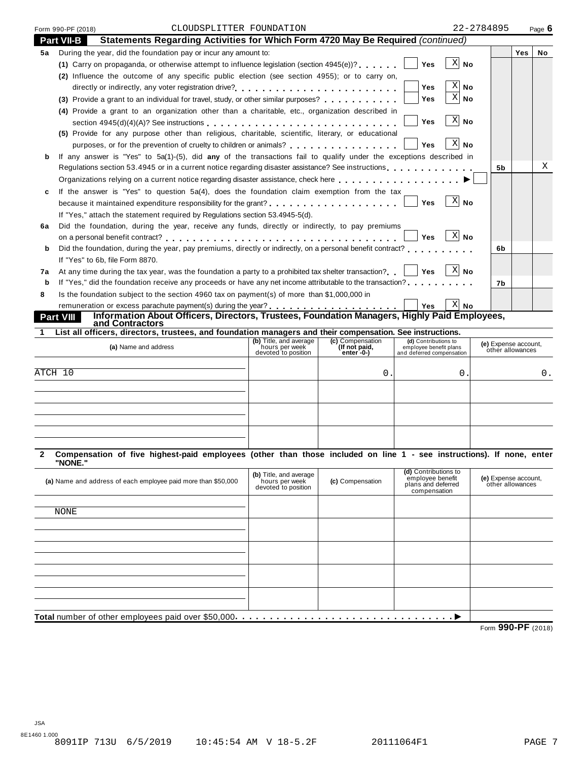| Form 990-PF (2018) | CLOUDSPLITTER FOUNDATION                                                                                           | 22-2784895     |            | Page $6$ |
|--------------------|--------------------------------------------------------------------------------------------------------------------|----------------|------------|----------|
| <b>Part VII-B</b>  | Statements Regarding Activities for Which Form 4720 May Be Required (continued)                                    |                |            |          |
| 5а                 | During the year, did the foundation pay or incur any amount to:                                                    |                | <b>Yes</b> | No       |
|                    | (1) Carry on propaganda, or otherwise attempt to influence legislation (section $4945(e)$ )?<br><b>Yes</b>         | -X <br>No      |            |          |
|                    | (2) Influence the outcome of any specific public election (see section 4955); or to carry on,                      |                |            |          |
|                    | <b>Yes</b>                                                                                                         | ΧI<br>No.      |            |          |
|                    | Yes<br>(3) Provide a grant to an individual for travel, study, or other similar purposes?                          | $X $ No        |            |          |
|                    | (4) Provide a grant to an organization other than a charitable, etc., organization described in                    |                |            |          |
|                    | <b>Yes</b>                                                                                                         | X <br>No       |            |          |
|                    | (5) Provide for any purpose other than religious, charitable, scientific, literary, or educational                 |                |            |          |
|                    | purposes, or for the prevention of cruelty to children or animals?<br><b>Yes</b>                                   | X <br>No       |            |          |
|                    | If any answer is "Yes" to 5a(1)-(5), did any of the transactions fail to qualify under the exceptions described in |                |            |          |
|                    | Regulations section 53.4945 or in a current notice regarding disaster assistance? See instructions                 | 5 <sub>b</sub> |            | X        |
|                    | Organizations relying on a current notice regarding disaster assistance, check here                                |                |            |          |
| c                  | If the answer is "Yes" to question 5a(4), does the foundation claim exemption from the tax                         |                |            |          |
|                    | Yes                                                                                                                | X<br>No        |            |          |
|                    | If "Yes," attach the statement required by Regulations section 53.4945-5(d).                                       |                |            |          |
| 6a                 | Did the foundation, during the year, receive any funds, directly or indirectly, to pay premiums                    |                |            |          |
|                    | <b>Yes</b><br>on a personal benefit contract?                                                                      | $X$ No         |            |          |
| b                  | Did the foundation, during the year, pay premiums, directly or indirectly, on a personal benefit contract?         | 6b             |            |          |
|                    | If "Yes" to 6b, file Form 8870.                                                                                    |                |            |          |
| 7a                 | At any time during the tax year, was the foundation a party to a prohibited tax shelter transaction? $\vert$ Yes   | $ X $ No       |            |          |
| b                  | If "Yes," did the foundation receive any proceeds or have any net income attributable to the transaction?          | 7b             |            |          |
| 8                  | Is the foundation subject to the section 4960 tax on payment(s) of more than \$1,000,000 in                        |                |            |          |
|                    | <b>Yes</b>                                                                                                         | $X $ No        |            |          |
| <b>Part VIII</b>   | Information About Officers, Directors, Trustees, Foundation Managers, Highly Paid Employees,<br>and Contractors    |                |            |          |
|                    | Liet all afficers directors trustees and foundation menseers and their compensation. Cas instructions              |                |            |          |

| List all officers, directors, trustees, and foundation managers and their compensation. See instructions. |                                                                 |                                                 |                                                                             |                                          |  |  |  |  |  |  |
|-----------------------------------------------------------------------------------------------------------|-----------------------------------------------------------------|-------------------------------------------------|-----------------------------------------------------------------------------|------------------------------------------|--|--|--|--|--|--|
| (a) Name and address                                                                                      | (b) Title, and average<br>hours per week<br>devoted to position | (c) Compensation<br>(If not paid,<br>enter $-0$ | (d) Contributions to<br>employee benefit plans<br>and deferred compensation | (e) Expense account,<br>other allowances |  |  |  |  |  |  |
| ATCH 10                                                                                                   |                                                                 | U                                               |                                                                             | 0.                                       |  |  |  |  |  |  |
|                                                                                                           |                                                                 |                                                 |                                                                             |                                          |  |  |  |  |  |  |
|                                                                                                           |                                                                 |                                                 |                                                                             |                                          |  |  |  |  |  |  |
|                                                                                                           |                                                                 |                                                 |                                                                             |                                          |  |  |  |  |  |  |

2 Compensation of five highest-paid employees (other than those included on line 1 - see instructions). If none, enter **"NONE."**

| (a) Name and address of each employee paid more than \$50,000 | (b) Title, and average hours per week<br>devoted to position | (c) Compensation | (d) Contributions to<br>employee benefit<br>plans and deferred<br>compensation | (e) Expense account,<br>other allowances        |
|---------------------------------------------------------------|--------------------------------------------------------------|------------------|--------------------------------------------------------------------------------|-------------------------------------------------|
|                                                               |                                                              |                  |                                                                                |                                                 |
| NONE                                                          |                                                              |                  |                                                                                |                                                 |
|                                                               |                                                              |                  |                                                                                |                                                 |
|                                                               |                                                              |                  |                                                                                |                                                 |
|                                                               |                                                              |                  |                                                                                |                                                 |
|                                                               |                                                              |                  |                                                                                |                                                 |
|                                                               |                                                              |                  |                                                                                |                                                 |
|                                                               |                                                              |                  |                                                                                |                                                 |
|                                                               |                                                              |                  |                                                                                |                                                 |
|                                                               |                                                              |                  |                                                                                |                                                 |
|                                                               |                                                              |                  |                                                                                |                                                 |
|                                                               |                                                              |                  |                                                                                | $0.00 \text{ } \text{D} \text{ } \text{F}$<br>- |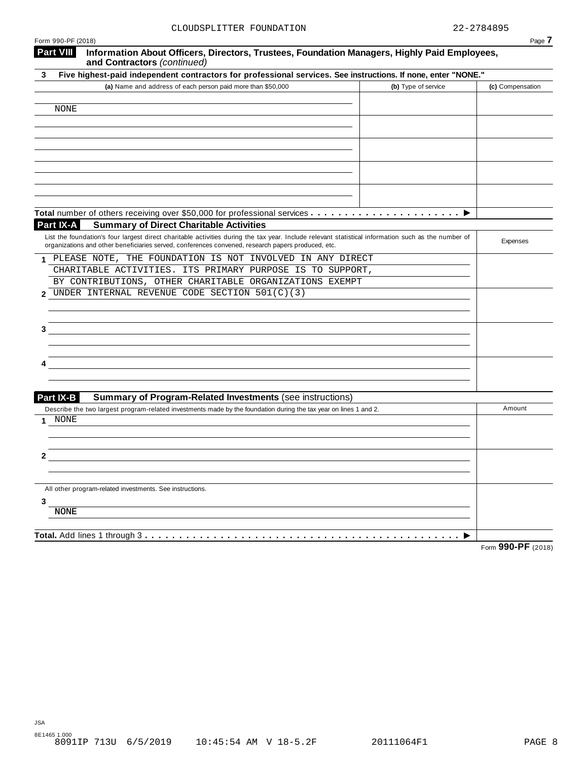| Form 990-PF (2018)                                                                                                                                                                                                                                        |                     | Page 7             |
|-----------------------------------------------------------------------------------------------------------------------------------------------------------------------------------------------------------------------------------------------------------|---------------------|--------------------|
| <b>Part VIII</b><br>Information About Officers, Directors, Trustees, Foundation Managers, Highly Paid Employees,<br>and Contractors (continued)                                                                                                           |                     |                    |
| Five highest-paid independent contractors for professional services. See instructions. If none, enter "NONE."<br>3                                                                                                                                        |                     |                    |
| (a) Name and address of each person paid more than \$50,000                                                                                                                                                                                               | (b) Type of service | (c) Compensation   |
|                                                                                                                                                                                                                                                           |                     |                    |
| <b>NONE</b>                                                                                                                                                                                                                                               |                     |                    |
|                                                                                                                                                                                                                                                           |                     |                    |
|                                                                                                                                                                                                                                                           |                     |                    |
|                                                                                                                                                                                                                                                           |                     |                    |
|                                                                                                                                                                                                                                                           |                     |                    |
|                                                                                                                                                                                                                                                           |                     |                    |
|                                                                                                                                                                                                                                                           |                     |                    |
|                                                                                                                                                                                                                                                           |                     |                    |
|                                                                                                                                                                                                                                                           |                     |                    |
| Part IX-A<br><b>Summary of Direct Charitable Activities</b>                                                                                                                                                                                               |                     |                    |
| List the foundation's four largest direct charitable activities during the tax year. Include relevant statistical information such as the number of<br>organizations and other beneficiaries served, conferences convened, research papers produced, etc. |                     | Expenses           |
| PLEASE NOTE, THE FOUNDATION IS NOT INVOLVED IN ANY DIRECT                                                                                                                                                                                                 |                     |                    |
| CHARITABLE ACTIVITIES. ITS PRIMARY PURPOSE IS TO SUPPORT,                                                                                                                                                                                                 |                     |                    |
| BY CONTRIBUTIONS, OTHER CHARITABLE ORGANIZATIONS EXEMPT                                                                                                                                                                                                   |                     |                    |
| UNDER INTERNAL REVENUE CODE SECTION 501(C)(3)<br>2                                                                                                                                                                                                        |                     |                    |
|                                                                                                                                                                                                                                                           |                     |                    |
|                                                                                                                                                                                                                                                           |                     |                    |
|                                                                                                                                                                                                                                                           |                     |                    |
|                                                                                                                                                                                                                                                           |                     |                    |
|                                                                                                                                                                                                                                                           |                     |                    |
|                                                                                                                                                                                                                                                           |                     |                    |
|                                                                                                                                                                                                                                                           |                     |                    |
| <b>Part IX-B</b><br><b>Summary of Program-Related Investments (see instructions)</b>                                                                                                                                                                      |                     |                    |
| Describe the two largest program-related investments made by the foundation during the tax year on lines 1 and 2.                                                                                                                                         |                     | Amount             |
| NONE                                                                                                                                                                                                                                                      |                     |                    |
|                                                                                                                                                                                                                                                           |                     |                    |
|                                                                                                                                                                                                                                                           |                     |                    |
|                                                                                                                                                                                                                                                           |                     |                    |
|                                                                                                                                                                                                                                                           |                     |                    |
| All other program-related investments. See instructions.                                                                                                                                                                                                  |                     |                    |
| 3                                                                                                                                                                                                                                                         |                     |                    |
| <b>NONE</b>                                                                                                                                                                                                                                               |                     |                    |
|                                                                                                                                                                                                                                                           |                     |                    |
|                                                                                                                                                                                                                                                           |                     | Form 990-PF (2018) |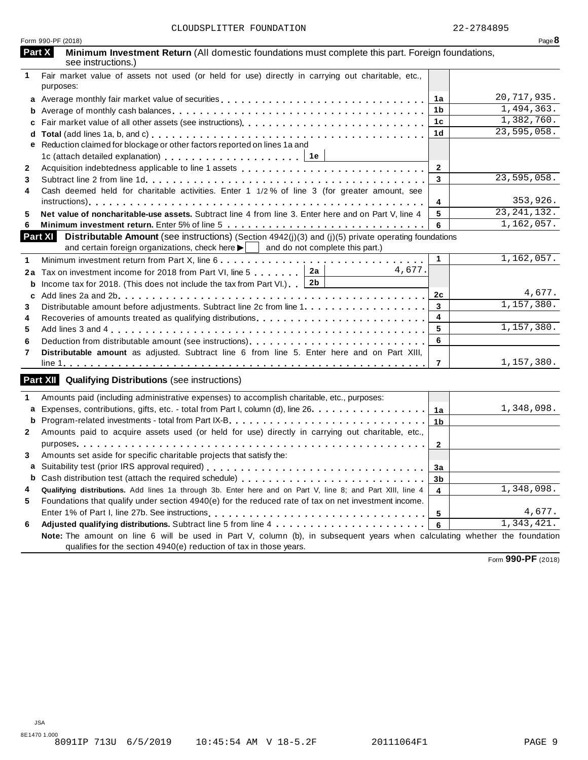|              | Form 990-PF (2018)                                                                                                                                                                                                    |                 | Page 8        |
|--------------|-----------------------------------------------------------------------------------------------------------------------------------------------------------------------------------------------------------------------|-----------------|---------------|
|              | Part X<br>Minimum Investment Return (All domestic foundations must complete this part. Foreign foundations,<br>see instructions.)                                                                                     |                 |               |
| $\mathbf{1}$ | Fair market value of assets not used (or held for use) directly in carrying out charitable, etc.,<br>purposes:                                                                                                        |                 |               |
|              |                                                                                                                                                                                                                       | 1a              | 20,717,935.   |
|              |                                                                                                                                                                                                                       | 1 <sub>b</sub>  | 1,494,363.    |
|              |                                                                                                                                                                                                                       | 1 <sub>c</sub>  | 1,382,760.    |
|              |                                                                                                                                                                                                                       | 1 <sub>d</sub>  | 23,595,058.   |
|              | e Reduction claimed for blockage or other factors reported on lines 1a and                                                                                                                                            |                 |               |
|              | 1c (attach detailed explanation) $\ldots \ldots \ldots \ldots \ldots \ldots$   1e                                                                                                                                     |                 |               |
| $\mathbf{2}$ |                                                                                                                                                                                                                       | $\mathbf{2}$    |               |
| 3            |                                                                                                                                                                                                                       | 3               | 23,595,058.   |
| 4            | Cash deemed held for charitable activities. Enter 1 1/2% of line 3 (for greater amount, see                                                                                                                           |                 |               |
|              |                                                                                                                                                                                                                       | 4               | 353,926.      |
| 5            | Net value of noncharitable-use assets. Subtract line 4 from line 3. Enter here and on Part V, line 4                                                                                                                  | $\sqrt{5}$      | 23, 241, 132. |
| 6            |                                                                                                                                                                                                                       | 6               | 1,162,057.    |
|              | Part XI Distributable Amount (see instructions) (Section 4942(j)(3) and (j)(5) private operating foundations<br>and certain foreign organizations, check here $\blacktriangleright$   and do not complete this part.) |                 |               |
| 1            | Minimum investment return from Part X, line 6                                                                                                                                                                         | $\mathbf{1}$    | 1,162,057.    |
|              | 4,677.<br>2a Tax on investment income for 2018 from Part VI, line 5 2a                                                                                                                                                |                 |               |
| b            | Income tax for 2018. (This does not include the tax from Part VI.) $\boxed{2b}$                                                                                                                                       |                 |               |
| c            |                                                                                                                                                                                                                       | 2c              | 4,677.        |
| 3            |                                                                                                                                                                                                                       | $\mathbf{3}$    | 1,157,380.    |
| 4            |                                                                                                                                                                                                                       | 4               |               |
| 5            |                                                                                                                                                                                                                       | 5               | 1,157,380.    |
| 6            |                                                                                                                                                                                                                       | 6               |               |
| 7            | Distributable amount as adjusted. Subtract line 6 from line 5. Enter here and on Part XIII,                                                                                                                           |                 |               |
|              |                                                                                                                                                                                                                       | 7               | 1,157,380.    |
|              | <b>Part XII</b> Qualifying Distributions (see instructions)                                                                                                                                                           |                 |               |
| $\mathbf{1}$ | Amounts paid (including administrative expenses) to accomplish charitable, etc., purposes:                                                                                                                            |                 |               |
|              | a Expenses, contributions, gifts, etc. - total from Part I, column (d), line 26.                                                                                                                                      | 1a              | 1,348,098.    |
|              |                                                                                                                                                                                                                       | 1 <sub>b</sub>  |               |
| $\mathbf{2}$ | Amounts paid to acquire assets used (or held for use) directly in carrying out charitable, etc.,                                                                                                                      |                 |               |
|              |                                                                                                                                                                                                                       | $\overline{2}$  |               |
| 3            | Amounts set aside for specific charitable projects that satisfy the:                                                                                                                                                  |                 |               |
|              |                                                                                                                                                                                                                       | 3a              |               |
|              |                                                                                                                                                                                                                       | 3b              |               |
| 4            | Qualifying distributions. Add lines 1a through 3b. Enter here and on Part V, line 8; and Part XIII, line 4                                                                                                            | $\overline{4}$  | 1,348,098.    |
| 5            | Foundations that qualify under section 4940(e) for the reduced rate of tax on net investment income.                                                                                                                  |                 |               |
|              |                                                                                                                                                                                                                       | $5\phantom{.0}$ | 4,677.        |
| 6            |                                                                                                                                                                                                                       | 6               | 1,343,421.    |
|              | Note: The amount on line 6 will be used in Part V, column (b), in subsequent years when calculating whether the foundation                                                                                            |                 |               |
|              | qualifies for the section 4940(e) reduction of tax in those years.                                                                                                                                                    |                 |               |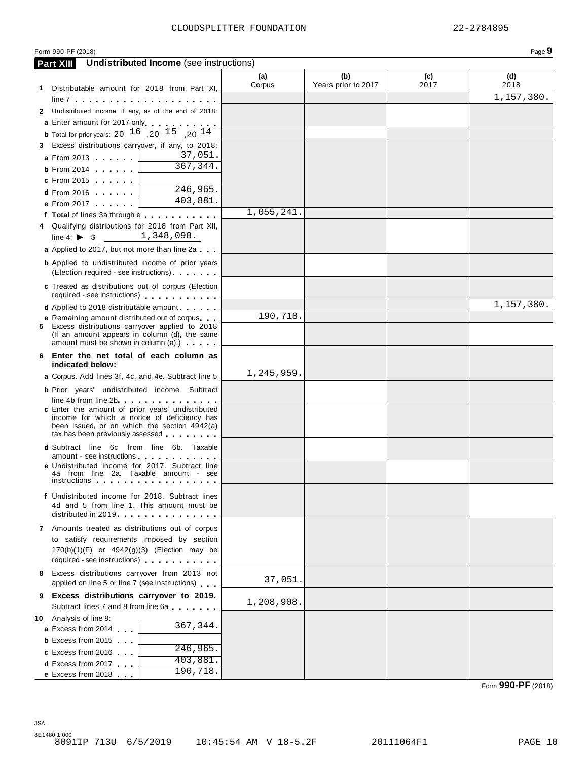|   | Form 990-PF (2018)                                                                                                                                                                  |               |                            |             | Page 9      |
|---|-------------------------------------------------------------------------------------------------------------------------------------------------------------------------------------|---------------|----------------------------|-------------|-------------|
|   | <b>Undistributed Income</b> (see instructions)<br><b>Part XIII</b>                                                                                                                  |               |                            |             |             |
|   | 1 Distributable amount for 2018 from Part XI,                                                                                                                                       | (a)<br>Corpus | (b)<br>Years prior to 2017 | (c)<br>2017 | (d)<br>2018 |
|   |                                                                                                                                                                                     |               |                            |             | 1,157,380.  |
|   | 2 Undistributed income, if any, as of the end of 2018:                                                                                                                              |               |                            |             |             |
|   | a Enter amount for 2017 only enterprise to the set of                                                                                                                               |               |                            |             |             |
|   | <b>b</b> Total for prior years: $20 \, 16 \, 10 \, 15 \, 10 \, 14$                                                                                                                  |               |                            |             |             |
|   | 3 Excess distributions carryover, if any, to 2018:                                                                                                                                  |               |                            |             |             |
|   | 37,051.<br><b>a</b> From 2013                                                                                                                                                       |               |                            |             |             |
|   | $\overline{367,344}$ .<br>$b$ From 2014                                                                                                                                             |               |                            |             |             |
|   | <b>c</b> From 2015                                                                                                                                                                  |               |                            |             |             |
|   | $\overline{246,965}$ .<br>$d$ From 2016                                                                                                                                             |               |                            |             |             |
|   | $\overline{403}$ , 881.<br>e From 2017                                                                                                                                              |               |                            |             |             |
|   |                                                                                                                                                                                     | 1,055,241     |                            |             |             |
|   | 4 Qualifying distributions for 2018 from Part XII,                                                                                                                                  |               |                            |             |             |
|   | 1,348,098.<br>line 4: $\triangleright$ \$                                                                                                                                           |               |                            |             |             |
|   | a Applied to 2017, but not more than line 2a                                                                                                                                        |               |                            |             |             |
|   | <b>b</b> Applied to undistributed income of prior years<br>(Election required - see instructions)                                                                                   |               |                            |             |             |
|   | c Treated as distributions out of corpus (Election<br>required - see instructions)                                                                                                  |               |                            |             |             |
|   | <b>d</b> Applied to 2018 distributable amount                                                                                                                                       |               |                            |             | 1,157,380.  |
|   | <b>e</b> Remaining amount distributed out of corpus                                                                                                                                 | 190,718.      |                            |             |             |
|   | 5 Excess distributions carryover applied to 2018<br>(If an amount appears in column (d), the same<br>amount must be shown in column (a).)                                           |               |                            |             |             |
|   | 6 Enter the net total of each column as<br>indicated below:                                                                                                                         |               |                            |             |             |
|   | a Corpus. Add lines 3f, 4c, and 4e. Subtract line 5                                                                                                                                 | 1,245,959.    |                            |             |             |
|   | <b>b</b> Prior years' undistributed income. Subtract                                                                                                                                |               |                            |             |             |
|   | line 4b from line 2b                                                                                                                                                                |               |                            |             |             |
|   | c Enter the amount of prior years' undistributed<br>income for which a notice of deficiency has<br>been issued, or on which the section 4942(a)<br>tax has been previously assessed |               |                            |             |             |
|   | d Subtract line 6c from line 6b. Taxable                                                                                                                                            |               |                            |             |             |
|   | amount - see instructions                                                                                                                                                           |               |                            |             |             |
|   | e Undistributed income for 2017. Subtract line<br>4a from line 2a. Taxable amount - see<br><i>instructions</i>                                                                      |               |                            |             |             |
|   | f Undistributed income for 2018. Subtract lines<br>4d and 5 from line 1. This amount must be                                                                                        |               |                            |             |             |
|   | distributed in 2019.                                                                                                                                                                |               |                            |             |             |
|   | 7 Amounts treated as distributions out of corpus                                                                                                                                    |               |                            |             |             |
|   | to satisfy requirements imposed by section                                                                                                                                          |               |                            |             |             |
|   | 170(b)(1)(F) or 4942(g)(3) (Election may be<br>required - see instructions) example.                                                                                                |               |                            |             |             |
|   | 8 Excess distributions carryover from 2013 not                                                                                                                                      |               |                            |             |             |
|   | applied on line 5 or line 7 (see instructions)                                                                                                                                      | 37,051.       |                            |             |             |
| 9 | Excess distributions carryover to 2019.                                                                                                                                             | 1,208,908.    |                            |             |             |
|   | Subtract lines 7 and 8 from line 6a                                                                                                                                                 |               |                            |             |             |
|   | 10 Analysis of line 9:<br>367,344.                                                                                                                                                  |               |                            |             |             |
|   | a Excess from 2014                                                                                                                                                                  |               |                            |             |             |
|   | <b>b</b> Excess from 2015<br>246,965.                                                                                                                                               |               |                            |             |             |
|   | c Excess from 2016<br>403,881.                                                                                                                                                      |               |                            |             |             |
|   | <b>d</b> Excess from 2017<br>190, 718.                                                                                                                                              |               |                            |             |             |
|   | e Excess from 2018                                                                                                                                                                  |               |                            |             |             |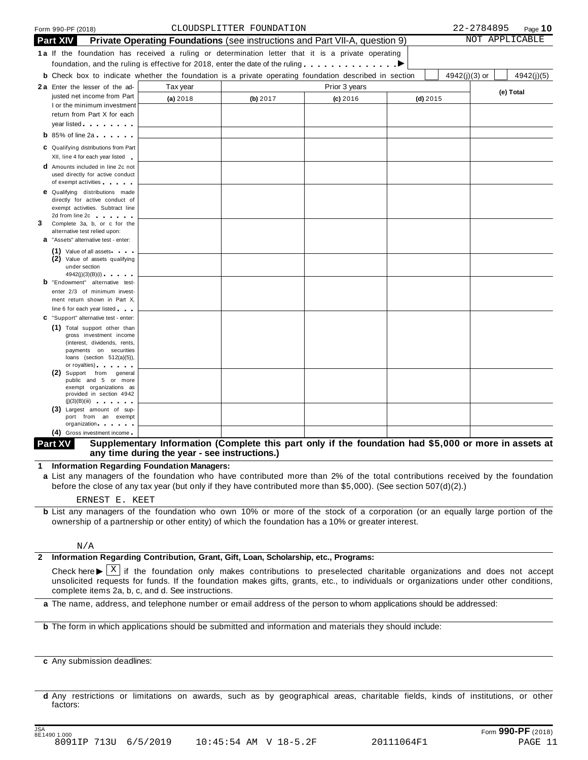|   |                 | Form 990-PF (2018)                                                                                                                                                                                                                                                 |                                                                                                              | CLOUDSPLITTER FOUNDATION |               |            |               | 22-2784895 | Page 10        |
|---|-----------------|--------------------------------------------------------------------------------------------------------------------------------------------------------------------------------------------------------------------------------------------------------------------|--------------------------------------------------------------------------------------------------------------|--------------------------|---------------|------------|---------------|------------|----------------|
|   | <b>Part XIV</b> |                                                                                                                                                                                                                                                                    | <b>Private Operating Foundations</b> (see instructions and Part VII-A, question 9)                           |                          |               |            |               |            | NOT APPLICABLE |
|   |                 |                                                                                                                                                                                                                                                                    | 1a If the foundation has received a ruling or determination letter that it is a private operating            |                          |               |            |               |            |                |
|   |                 |                                                                                                                                                                                                                                                                    | foundation, and the ruling is effective for 2018, enter the date of the ruling $\ldots \ldots \ldots \ldots$ |                          |               |            |               |            |                |
|   |                 |                                                                                                                                                                                                                                                                    | <b>b</b> Check box to indicate whether the foundation is a private operating foundation described in section |                          |               |            | 4942(j)(3) or |            | 4942(j)(5)     |
|   |                 | 2a Enter the lesser of the ad-                                                                                                                                                                                                                                     | Tax year                                                                                                     |                          | Prior 3 years |            |               |            |                |
|   |                 | justed net income from Part                                                                                                                                                                                                                                        |                                                                                                              |                          |               |            |               |            | (e) Total      |
|   |                 | I or the minimum investment                                                                                                                                                                                                                                        | (a) 2018                                                                                                     | (b) 2017                 | $(c)$ 2016    | $(d)$ 2015 |               |            |                |
|   |                 | return from Part X for each                                                                                                                                                                                                                                        |                                                                                                              |                          |               |            |               |            |                |
|   |                 | year listed and the state of the state of the state of the state of the state of the state of the state of the                                                                                                                                                     |                                                                                                              |                          |               |            |               |            |                |
|   |                 | <b>b</b> 85% of line 2a $\cdots$                                                                                                                                                                                                                                   |                                                                                                              |                          |               |            |               |            |                |
|   |                 |                                                                                                                                                                                                                                                                    |                                                                                                              |                          |               |            |               |            |                |
|   |                 | C Qualifying distributions from Part<br>XII, line 4 for each year listed                                                                                                                                                                                           |                                                                                                              |                          |               |            |               |            |                |
|   |                 | <b>d</b> Amounts included in line 2c not                                                                                                                                                                                                                           |                                                                                                              |                          |               |            |               |            |                |
|   |                 | used directly for active conduct                                                                                                                                                                                                                                   |                                                                                                              |                          |               |            |               |            |                |
|   |                 | of exempt activities                                                                                                                                                                                                                                               |                                                                                                              |                          |               |            |               |            |                |
|   |                 | <b>e</b> Qualifying distributions made                                                                                                                                                                                                                             |                                                                                                              |                          |               |            |               |            |                |
|   |                 | directly for active conduct of                                                                                                                                                                                                                                     |                                                                                                              |                          |               |            |               |            |                |
|   |                 | exempt activities. Subtract line<br>2d from line 2c contract to the set of the set of the set of the set of the set of the set of the set of the set of the set of the set of the set of the set of the set of the set of the set of the set of the set of the set |                                                                                                              |                          |               |            |               |            |                |
| 3 |                 | Complete 3a, b, or c for the                                                                                                                                                                                                                                       |                                                                                                              |                          |               |            |               |            |                |
|   |                 | alternative test relied upon:                                                                                                                                                                                                                                      |                                                                                                              |                          |               |            |               |            |                |
|   |                 | <b>a</b> "Assets" alternative test - enter:                                                                                                                                                                                                                        |                                                                                                              |                          |               |            |               |            |                |
|   |                 | $(1)$ Value of all assets $\cdots$                                                                                                                                                                                                                                 |                                                                                                              |                          |               |            |               |            |                |
|   |                 | (2) Value of assets qualifying                                                                                                                                                                                                                                     |                                                                                                              |                          |               |            |               |            |                |
|   |                 | under section                                                                                                                                                                                                                                                      |                                                                                                              |                          |               |            |               |            |                |
|   |                 | <b>b</b> "Endowment" alternative test-                                                                                                                                                                                                                             |                                                                                                              |                          |               |            |               |            |                |
|   |                 | enter 2/3 of minimum invest-                                                                                                                                                                                                                                       |                                                                                                              |                          |               |            |               |            |                |
|   |                 | ment return shown in Part X,                                                                                                                                                                                                                                       |                                                                                                              |                          |               |            |               |            |                |
|   |                 | line 6 for each year listed                                                                                                                                                                                                                                        |                                                                                                              |                          |               |            |               |            |                |
|   |                 | C "Support" alternative test - enter:                                                                                                                                                                                                                              |                                                                                                              |                          |               |            |               |            |                |
|   |                 | (1) Total support other than                                                                                                                                                                                                                                       |                                                                                                              |                          |               |            |               |            |                |
|   |                 | gross investment income<br>(interest, dividends, rents,                                                                                                                                                                                                            |                                                                                                              |                          |               |            |               |            |                |
|   |                 | payments on securities                                                                                                                                                                                                                                             |                                                                                                              |                          |               |            |               |            |                |
|   |                 | loans (section $512(a)(5)$ ),                                                                                                                                                                                                                                      |                                                                                                              |                          |               |            |               |            |                |
|   |                 | or royalties) and the control of the control of                                                                                                                                                                                                                    |                                                                                                              |                          |               |            |               |            |                |
|   |                 | (2) Support from general<br>public and 5 or more                                                                                                                                                                                                                   |                                                                                                              |                          |               |            |               |            |                |
|   |                 | exempt organizations as                                                                                                                                                                                                                                            |                                                                                                              |                          |               |            |               |            |                |
|   |                 | provided in section 4942<br>(j)(3)(B)(iii)                                                                                                                                                                                                                         |                                                                                                              |                          |               |            |               |            |                |
|   |                 | (3) Largest amount of sup-                                                                                                                                                                                                                                         |                                                                                                              |                          |               |            |               |            |                |
|   |                 | port from an exempt                                                                                                                                                                                                                                                |                                                                                                              |                          |               |            |               |            |                |
|   |                 | organization and the state of                                                                                                                                                                                                                                      |                                                                                                              |                          |               |            |               |            |                |
|   |                 | (4) Gross investment income                                                                                                                                                                                                                                        |                                                                                                              |                          |               |            |               |            |                |

#### Part XV Supplementary Information (Complete this part only if the foundation had \$5,000 or more in assets at **any time during the year - see instructions.)**

**1 Information Regarding Foundation Managers:**

**a** List any managers of the foundation who have contributed more than 2% of the total contributions received by the foundation before the close of any tax year (but only if they have contributed more than \$5,000). (See section 507(d)(2).)

ERNEST E. KEET

**b** List any managers of the foundation who own 10% or more of the stock of a corporation (or an equally large portion of the ownership of a partnership or other entity) of which the foundation has a 10% or greater interest.

#### N/A

#### **2 Information Regarding Contribution, Grant, Gift, Loan, Scholarship, etc., Programs:**

Check here  $\blacktriangleright \overline{X}$  if the foundation only makes contributions to preselected charitable organizations and does not accept<br>unsolicited requests for funds. If the foundation makes gifts, grants, etc., to individuals o complete items 2a, b, c, and d. See instructions. X

**a** The name, address, and telephone number or email address of the person to whom applications should be addressed:

**b** The form in which applications should be submitted and information and materials they should include:

**c** Any submission deadlines:

**d** Any restrictions or limitations on awards, such as by geographical areas, charitable fields, kinds of institutions, or other factors: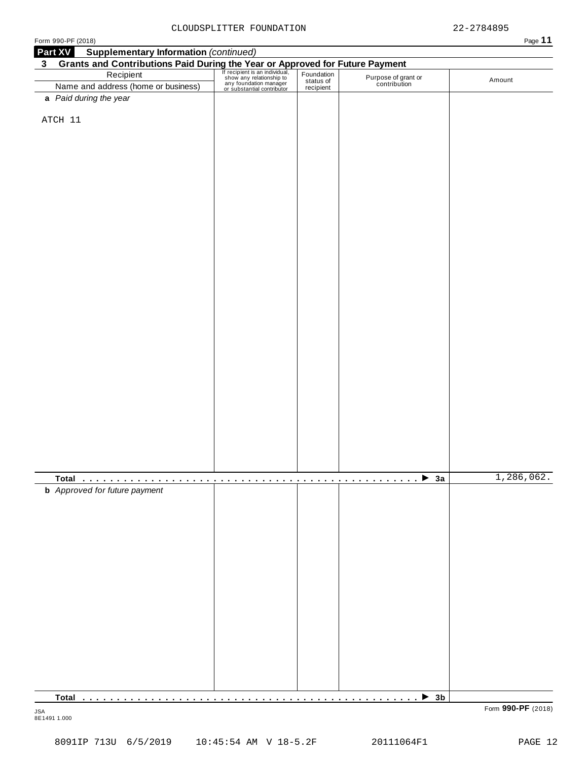|--|--|--|

| <b>Supplementary Information (continued)</b><br>Part XV<br>3 <sup>1</sup>                                                                                                                                                          |                                   |   |                                                                                                                                    |            |
|------------------------------------------------------------------------------------------------------------------------------------------------------------------------------------------------------------------------------------|-----------------------------------|---|------------------------------------------------------------------------------------------------------------------------------------|------------|
| Grants and Contributions Paid During the Year or Approved for Future Payment<br>Recipient Recipient Recipient San individual, Foundation<br>Name and address (home or business) and relationship to the Status of Purpose of grand |                                   |   |                                                                                                                                    |            |
| Name and address (home or business)                                                                                                                                                                                                |                                   |   | Purpose of grant or<br>contribution                                                                                                | Amount     |
| a Paid during the year                                                                                                                                                                                                             |                                   |   |                                                                                                                                    |            |
|                                                                                                                                                                                                                                    |                                   |   |                                                                                                                                    |            |
| ATCH 11                                                                                                                                                                                                                            |                                   |   |                                                                                                                                    |            |
|                                                                                                                                                                                                                                    |                                   |   |                                                                                                                                    |            |
|                                                                                                                                                                                                                                    |                                   |   |                                                                                                                                    |            |
|                                                                                                                                                                                                                                    |                                   |   |                                                                                                                                    |            |
|                                                                                                                                                                                                                                    |                                   |   |                                                                                                                                    |            |
|                                                                                                                                                                                                                                    |                                   |   |                                                                                                                                    |            |
|                                                                                                                                                                                                                                    |                                   |   |                                                                                                                                    |            |
|                                                                                                                                                                                                                                    |                                   |   |                                                                                                                                    |            |
|                                                                                                                                                                                                                                    |                                   |   |                                                                                                                                    |            |
|                                                                                                                                                                                                                                    |                                   |   |                                                                                                                                    |            |
|                                                                                                                                                                                                                                    |                                   |   |                                                                                                                                    |            |
|                                                                                                                                                                                                                                    |                                   |   |                                                                                                                                    |            |
|                                                                                                                                                                                                                                    |                                   |   |                                                                                                                                    |            |
|                                                                                                                                                                                                                                    |                                   |   |                                                                                                                                    |            |
|                                                                                                                                                                                                                                    |                                   |   |                                                                                                                                    |            |
|                                                                                                                                                                                                                                    |                                   |   |                                                                                                                                    |            |
|                                                                                                                                                                                                                                    |                                   |   |                                                                                                                                    |            |
|                                                                                                                                                                                                                                    |                                   |   |                                                                                                                                    |            |
|                                                                                                                                                                                                                                    |                                   |   |                                                                                                                                    |            |
|                                                                                                                                                                                                                                    |                                   |   |                                                                                                                                    |            |
|                                                                                                                                                                                                                                    |                                   |   |                                                                                                                                    |            |
|                                                                                                                                                                                                                                    |                                   |   |                                                                                                                                    |            |
|                                                                                                                                                                                                                                    |                                   |   |                                                                                                                                    |            |
|                                                                                                                                                                                                                                    |                                   |   |                                                                                                                                    |            |
|                                                                                                                                                                                                                                    |                                   |   |                                                                                                                                    |            |
|                                                                                                                                                                                                                                    |                                   |   |                                                                                                                                    |            |
|                                                                                                                                                                                                                                    |                                   |   |                                                                                                                                    |            |
|                                                                                                                                                                                                                                    |                                   |   |                                                                                                                                    |            |
|                                                                                                                                                                                                                                    |                                   |   |                                                                                                                                    |            |
|                                                                                                                                                                                                                                    |                                   |   |                                                                                                                                    |            |
|                                                                                                                                                                                                                                    |                                   |   |                                                                                                                                    |            |
|                                                                                                                                                                                                                                    |                                   |   |                                                                                                                                    |            |
|                                                                                                                                                                                                                                    |                                   |   |                                                                                                                                    |            |
|                                                                                                                                                                                                                                    |                                   |   |                                                                                                                                    |            |
|                                                                                                                                                                                                                                    |                                   |   |                                                                                                                                    |            |
|                                                                                                                                                                                                                                    | $\sim 0.000$<br><b>CONTRACTOR</b> | . | $\rightarrow$ 3a<br>and a straightful control of the state of the state of the state of the state of the state of the state of the | 1,286,062. |
| <b>b</b> Approved for future payment                                                                                                                                                                                               |                                   |   |                                                                                                                                    |            |
|                                                                                                                                                                                                                                    |                                   |   |                                                                                                                                    |            |
|                                                                                                                                                                                                                                    |                                   |   |                                                                                                                                    |            |
|                                                                                                                                                                                                                                    |                                   |   |                                                                                                                                    |            |
|                                                                                                                                                                                                                                    |                                   |   |                                                                                                                                    |            |
|                                                                                                                                                                                                                                    |                                   |   |                                                                                                                                    |            |
|                                                                                                                                                                                                                                    |                                   |   |                                                                                                                                    |            |
|                                                                                                                                                                                                                                    |                                   |   |                                                                                                                                    |            |
|                                                                                                                                                                                                                                    |                                   |   |                                                                                                                                    |            |
|                                                                                                                                                                                                                                    |                                   |   |                                                                                                                                    |            |
|                                                                                                                                                                                                                                    |                                   |   |                                                                                                                                    |            |
|                                                                                                                                                                                                                                    |                                   |   |                                                                                                                                    |            |
|                                                                                                                                                                                                                                    |                                   |   |                                                                                                                                    |            |
|                                                                                                                                                                                                                                    |                                   |   |                                                                                                                                    |            |
|                                                                                                                                                                                                                                    |                                   |   |                                                                                                                                    |            |
|                                                                                                                                                                                                                                    |                                   |   |                                                                                                                                    |            |
|                                                                                                                                                                                                                                    |                                   |   |                                                                                                                                    |            |
|                                                                                                                                                                                                                                    |                                   |   |                                                                                                                                    |            |
|                                                                                                                                                                                                                                    |                                   |   |                                                                                                                                    |            |
|                                                                                                                                                                                                                                    |                                   |   |                                                                                                                                    |            |
|                                                                                                                                                                                                                                    |                                   |   | $\triangleright$ 3b                                                                                                                |            |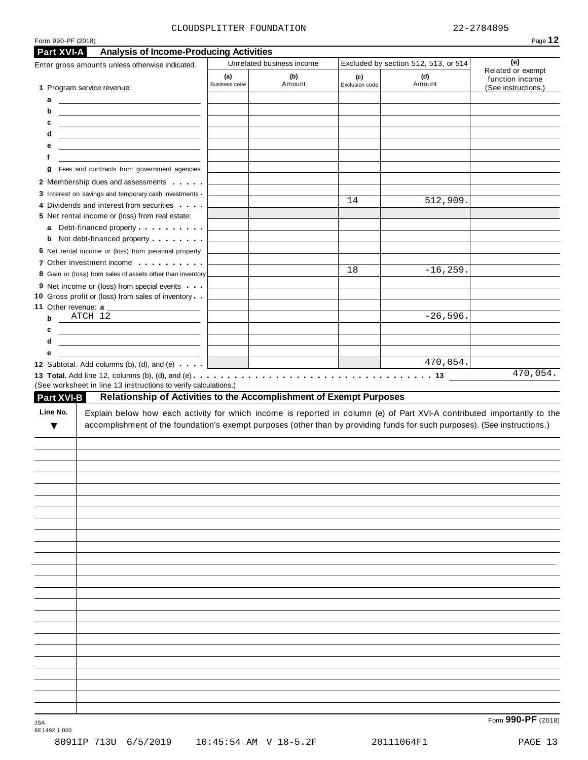#### CLOUDSPLITTER FOUNDATION 22-2784895

|                                              | Enter gross amounts unless otherwise indicated.                                                                                                                                                                                                      |                      | Unrelated business income |                       | Excluded by section 512, 513, or 514 | (e)                                                         |
|----------------------------------------------|------------------------------------------------------------------------------------------------------------------------------------------------------------------------------------------------------------------------------------------------------|----------------------|---------------------------|-----------------------|--------------------------------------|-------------------------------------------------------------|
|                                              | 1 Program service revenue:                                                                                                                                                                                                                           | (a)<br>Business code | (b)<br>Amount             | (c)<br>Exclusion code | (d)<br>Amount                        | Related or exempt<br>function income<br>(See instructions.) |
|                                              | $\mathbf{a}$ <u>and the set of <math>\mathbf{a}</math></u>                                                                                                                                                                                           |                      |                           |                       |                                      |                                                             |
| b                                            | <u> 1980 - Jan Sterling and Sterling and Sterling and Sterling and Sterling and Sterling and Sterling and Sterling</u>                                                                                                                               |                      |                           |                       |                                      |                                                             |
| c                                            |                                                                                                                                                                                                                                                      |                      |                           |                       |                                      |                                                             |
| d                                            | <u> 1989 - Johann Stein, mars an deutscher Stein († 1958)</u>                                                                                                                                                                                        |                      |                           |                       |                                      |                                                             |
| е                                            | the control of the control of the control of the control of the control of the control of                                                                                                                                                            |                      |                           |                       |                                      |                                                             |
| f                                            | g Fees and contracts from government agencies                                                                                                                                                                                                        |                      |                           |                       |                                      |                                                             |
|                                              | 2 Membership dues and assessments                                                                                                                                                                                                                    |                      |                           |                       |                                      |                                                             |
|                                              | 3 Interest on savings and temporary cash investments -                                                                                                                                                                                               |                      |                           |                       |                                      |                                                             |
|                                              | 4 Dividends and interest from securities                                                                                                                                                                                                             |                      |                           | 14                    | 512,909.                             |                                                             |
|                                              | 5 Net rental income or (loss) from real estate:                                                                                                                                                                                                      |                      |                           |                       |                                      |                                                             |
|                                              | a Debt-financed property                                                                                                                                                                                                                             |                      |                           |                       |                                      |                                                             |
|                                              | <b>b</b> Not debt-financed property <b>contains the State of State Inc.</b>                                                                                                                                                                          |                      |                           |                       |                                      |                                                             |
|                                              | 6 Net rental income or (loss) from personal property                                                                                                                                                                                                 |                      |                           |                       |                                      |                                                             |
|                                              | 7 Other investment income <b>contains the contact of the contact of the contact of the contact of the contact of the contact of the contact of the contact of the contact of the contact of the contact of the contact of the co</b>                 |                      |                           | 18                    | $-16, 259.$                          |                                                             |
|                                              | 8 Gain or (loss) from sales of assets other than inventory                                                                                                                                                                                           |                      |                           |                       |                                      |                                                             |
|                                              | 9 Net income or (loss) from special events<br>10 Gross profit or (loss) from sales of inventory                                                                                                                                                      |                      |                           |                       |                                      |                                                             |
| 11 Other revenue: a                          |                                                                                                                                                                                                                                                      |                      |                           |                       |                                      |                                                             |
| $\mathbf b$                                  | $ATCH$ 12                                                                                                                                                                                                                                            |                      |                           |                       | $-26,596.$                           |                                                             |
|                                              |                                                                                                                                                                                                                                                      |                      |                           |                       |                                      |                                                             |
|                                              | <u> 1989 - Andrea Station Barbara, politik eta politik eta politik eta politik eta politik eta politik eta politi</u>                                                                                                                                |                      |                           |                       |                                      |                                                             |
|                                              | <u> 1989 - Andrea Station Barbara, politik eta politikaria (h. 1989).</u>                                                                                                                                                                            |                      |                           |                       |                                      |                                                             |
|                                              | 12 Subtotal. Add columns (b), (d), and (e) $\cdots$<br>(See worksheet in line 13 instructions to verify calculations.)<br>Relationship of Activities to the Accomplishment of Exempt Purposes                                                        |                      |                           |                       | 470,054.                             |                                                             |
| ▼                                            | Explain below how each activity for which income is reported in column (e) of Part XVI-A contributed importantly to the<br>accomplishment of the foundation's exempt purposes (other than by providing funds for such purposes). (See instructions.) |                      |                           |                       |                                      |                                                             |
|                                              |                                                                                                                                                                                                                                                      |                      |                           |                       |                                      |                                                             |
|                                              |                                                                                                                                                                                                                                                      |                      |                           |                       |                                      | 470,054.                                                    |
|                                              |                                                                                                                                                                                                                                                      |                      |                           |                       |                                      |                                                             |
|                                              |                                                                                                                                                                                                                                                      |                      |                           |                       |                                      |                                                             |
|                                              |                                                                                                                                                                                                                                                      |                      |                           |                       |                                      |                                                             |
|                                              |                                                                                                                                                                                                                                                      |                      |                           |                       |                                      |                                                             |
|                                              |                                                                                                                                                                                                                                                      |                      |                           |                       |                                      |                                                             |
|                                              |                                                                                                                                                                                                                                                      |                      |                           |                       |                                      |                                                             |
|                                              |                                                                                                                                                                                                                                                      |                      |                           |                       |                                      |                                                             |
|                                              |                                                                                                                                                                                                                                                      |                      |                           |                       |                                      |                                                             |
|                                              |                                                                                                                                                                                                                                                      |                      |                           |                       |                                      |                                                             |
|                                              |                                                                                                                                                                                                                                                      |                      |                           |                       |                                      |                                                             |
|                                              |                                                                                                                                                                                                                                                      |                      |                           |                       |                                      |                                                             |
|                                              |                                                                                                                                                                                                                                                      |                      |                           |                       |                                      |                                                             |
|                                              |                                                                                                                                                                                                                                                      |                      |                           |                       |                                      |                                                             |
| c<br>d<br>е<br><b>Part XVI-B</b><br>Line No. |                                                                                                                                                                                                                                                      |                      |                           |                       |                                      |                                                             |
|                                              |                                                                                                                                                                                                                                                      |                      |                           |                       |                                      |                                                             |
|                                              |                                                                                                                                                                                                                                                      |                      |                           |                       |                                      |                                                             |
|                                              |                                                                                                                                                                                                                                                      |                      |                           |                       |                                      |                                                             |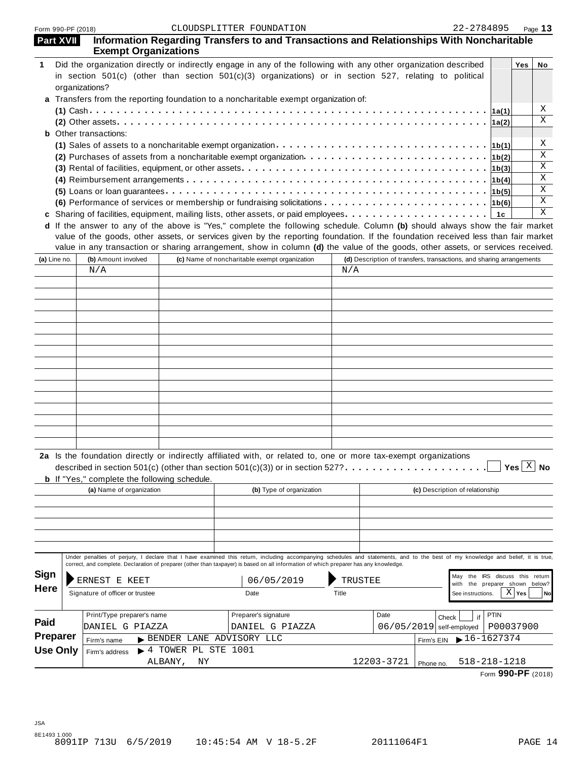| <b>Part XVII</b> | Information Regarding Transfers to and Transactions and Relationships With Noncharitable<br><b>Exempt Organizations</b>                                                                                                                                                                                                                                                                                                     |                                           |                                               |                          |         |                                                                      |            |                                 |                                    |          |    |
|------------------|-----------------------------------------------------------------------------------------------------------------------------------------------------------------------------------------------------------------------------------------------------------------------------------------------------------------------------------------------------------------------------------------------------------------------------|-------------------------------------------|-----------------------------------------------|--------------------------|---------|----------------------------------------------------------------------|------------|---------------------------------|------------------------------------|----------|----|
|                  | Did the organization directly or indirectly engage in any of the following with any other organization described<br>in section 501(c) (other than section 501(c)(3) organizations) or in section 527, relating to political                                                                                                                                                                                                 |                                           |                                               |                          |         |                                                                      |            |                                 |                                    | Yes      | No |
|                  | organizations?<br>a Transfers from the reporting foundation to a noncharitable exempt organization of:                                                                                                                                                                                                                                                                                                                      |                                           |                                               |                          |         |                                                                      |            |                                 |                                    |          |    |
|                  |                                                                                                                                                                                                                                                                                                                                                                                                                             |                                           |                                               |                          |         |                                                                      |            |                                 |                                    |          | X  |
|                  |                                                                                                                                                                                                                                                                                                                                                                                                                             |                                           |                                               |                          |         |                                                                      |            |                                 | 1a(2)                              |          | X  |
|                  | <b>b</b> Other transactions:                                                                                                                                                                                                                                                                                                                                                                                                |                                           |                                               |                          |         |                                                                      |            |                                 |                                    |          |    |
|                  |                                                                                                                                                                                                                                                                                                                                                                                                                             |                                           |                                               |                          |         |                                                                      |            |                                 |                                    |          | X  |
|                  |                                                                                                                                                                                                                                                                                                                                                                                                                             |                                           |                                               |                          |         |                                                                      |            |                                 |                                    |          | X  |
|                  |                                                                                                                                                                                                                                                                                                                                                                                                                             |                                           |                                               |                          |         |                                                                      |            |                                 |                                    |          | Χ  |
|                  |                                                                                                                                                                                                                                                                                                                                                                                                                             |                                           |                                               |                          |         |                                                                      |            |                                 |                                    |          | Χ  |
|                  |                                                                                                                                                                                                                                                                                                                                                                                                                             |                                           |                                               |                          |         |                                                                      |            |                                 |                                    |          | Χ  |
|                  | (6) Performance of services or membership or fundraising solicitations $\cdots \cdots \cdots \cdots \cdots \cdots \cdots$                                                                                                                                                                                                                                                                                                   |                                           |                                               |                          |         |                                                                      |            |                                 |                                    |          | X  |
|                  |                                                                                                                                                                                                                                                                                                                                                                                                                             |                                           |                                               |                          |         |                                                                      |            |                                 |                                    |          | X  |
| (a) Line no.     | d If the answer to any of the above is "Yes," complete the following schedule. Column (b) should always show the fair market<br>value of the goods, other assets, or services given by the reporting foundation. If the foundation received less than fair market<br>value in any transaction or sharing arrangement, show in column (d) the value of the goods, other assets, or services received.<br>(b) Amount involved |                                           | (c) Name of noncharitable exempt organization |                          |         | (d) Description of transfers, transactions, and sharing arrangements |            |                                 |                                    |          |    |
|                  | N/A                                                                                                                                                                                                                                                                                                                                                                                                                         |                                           |                                               |                          | N/A     |                                                                      |            |                                 |                                    |          |    |
|                  |                                                                                                                                                                                                                                                                                                                                                                                                                             |                                           |                                               |                          |         |                                                                      |            |                                 |                                    |          |    |
|                  |                                                                                                                                                                                                                                                                                                                                                                                                                             |                                           |                                               |                          |         |                                                                      |            |                                 |                                    |          |    |
|                  |                                                                                                                                                                                                                                                                                                                                                                                                                             |                                           |                                               |                          |         |                                                                      |            |                                 |                                    |          |    |
|                  |                                                                                                                                                                                                                                                                                                                                                                                                                             |                                           |                                               |                          |         |                                                                      |            |                                 |                                    |          |    |
|                  |                                                                                                                                                                                                                                                                                                                                                                                                                             |                                           |                                               |                          |         |                                                                      |            |                                 |                                    |          |    |
|                  |                                                                                                                                                                                                                                                                                                                                                                                                                             |                                           |                                               |                          |         |                                                                      |            |                                 |                                    |          |    |
|                  |                                                                                                                                                                                                                                                                                                                                                                                                                             |                                           |                                               |                          |         |                                                                      |            |                                 |                                    |          |    |
|                  |                                                                                                                                                                                                                                                                                                                                                                                                                             |                                           |                                               |                          |         |                                                                      |            |                                 |                                    |          |    |
|                  |                                                                                                                                                                                                                                                                                                                                                                                                                             |                                           |                                               |                          |         |                                                                      |            |                                 |                                    |          |    |
|                  |                                                                                                                                                                                                                                                                                                                                                                                                                             |                                           |                                               |                          |         |                                                                      |            |                                 |                                    |          |    |
|                  |                                                                                                                                                                                                                                                                                                                                                                                                                             |                                           |                                               |                          |         |                                                                      |            |                                 |                                    |          |    |
|                  |                                                                                                                                                                                                                                                                                                                                                                                                                             |                                           |                                               |                          |         |                                                                      |            |                                 |                                    |          |    |
|                  |                                                                                                                                                                                                                                                                                                                                                                                                                             |                                           |                                               |                          |         |                                                                      |            |                                 |                                    |          |    |
|                  |                                                                                                                                                                                                                                                                                                                                                                                                                             |                                           |                                               |                          |         |                                                                      |            |                                 |                                    |          |    |
|                  | 2a Is the foundation directly or indirectly affiliated with, or related to, one or more tax-exempt organizations<br>described in section 501(c) (other than section 501(c)(3)) or in section 527? $\ldots \ldots$<br><b>b</b> If "Yes," complete the following schedule.                                                                                                                                                    |                                           |                                               |                          |         |                                                                      |            | . <u>.</u>                      | $\Box$ Yes $\boxed{\mathrm{X}}$ No |          |    |
|                  | (a) Name of organization                                                                                                                                                                                                                                                                                                                                                                                                    |                                           |                                               | (b) Type of organization |         |                                                                      |            | (c) Description of relationship |                                    |          |    |
|                  |                                                                                                                                                                                                                                                                                                                                                                                                                             |                                           |                                               |                          |         |                                                                      |            |                                 |                                    |          |    |
|                  |                                                                                                                                                                                                                                                                                                                                                                                                                             |                                           |                                               |                          |         |                                                                      |            |                                 |                                    |          |    |
|                  |                                                                                                                                                                                                                                                                                                                                                                                                                             |                                           |                                               |                          |         |                                                                      |            |                                 |                                    |          |    |
|                  |                                                                                                                                                                                                                                                                                                                                                                                                                             |                                           |                                               |                          |         |                                                                      |            |                                 |                                    |          |    |
|                  | Under penalties of perjury, I declare that I have examined this return, including accompanying schedules and statements, and to the best of my knowledge and belief, it is true,                                                                                                                                                                                                                                            |                                           |                                               |                          |         |                                                                      |            |                                 |                                    |          |    |
|                  | correct, and complete. Declaration of preparer (other than taxpayer) is based on all information of which preparer has any knowledge.                                                                                                                                                                                                                                                                                       |                                           |                                               |                          |         |                                                                      |            |                                 |                                    |          |    |
| <b>Sign</b>      | ERNEST E KEET                                                                                                                                                                                                                                                                                                                                                                                                               |                                           |                                               | 06/05/2019               | TRUSTEE |                                                                      |            | May                             | the IRS discuss this return        |          |    |
| <b>Here</b>      | Signature of officer or trustee                                                                                                                                                                                                                                                                                                                                                                                             |                                           | Date                                          |                          | Title   |                                                                      |            | with                            | the preparer shown below?          | $X $ Yes |    |
|                  |                                                                                                                                                                                                                                                                                                                                                                                                                             |                                           |                                               |                          |         |                                                                      |            | See instructions.               |                                    |          | No |
|                  | Print/Type preparer's name                                                                                                                                                                                                                                                                                                                                                                                                  |                                           | Preparer's signature                          |                          |         | Date                                                                 | Check      | if                              | <b>PTIN</b>                        |          |    |
| Paid             | DANIEL G PIAZZA                                                                                                                                                                                                                                                                                                                                                                                                             |                                           |                                               | DANIEL G PIAZZA          |         | 06/05/2019                                                           |            | self-employed                   | P00037900                          |          |    |
| Preparer         | Firm's name                                                                                                                                                                                                                                                                                                                                                                                                                 | BENDER LANE ADVISORY LLC                  |                                               |                          |         |                                                                      | Firm's EIN | $16 - 1627374$                  |                                    |          |    |
| <b>Use Only</b>  | Firm's address                                                                                                                                                                                                                                                                                                                                                                                                              | $\blacktriangleright$ 4 TOWER PL STE 1001 |                                               |                          |         |                                                                      |            |                                 |                                    |          |    |
|                  |                                                                                                                                                                                                                                                                                                                                                                                                                             | ALBANY,<br>ΝY                             |                                               |                          |         | 12203-3721                                                           | Phone no.  | 518-218-1218                    |                                    |          |    |
|                  |                                                                                                                                                                                                                                                                                                                                                                                                                             |                                           |                                               |                          |         |                                                                      |            |                                 |                                    |          |    |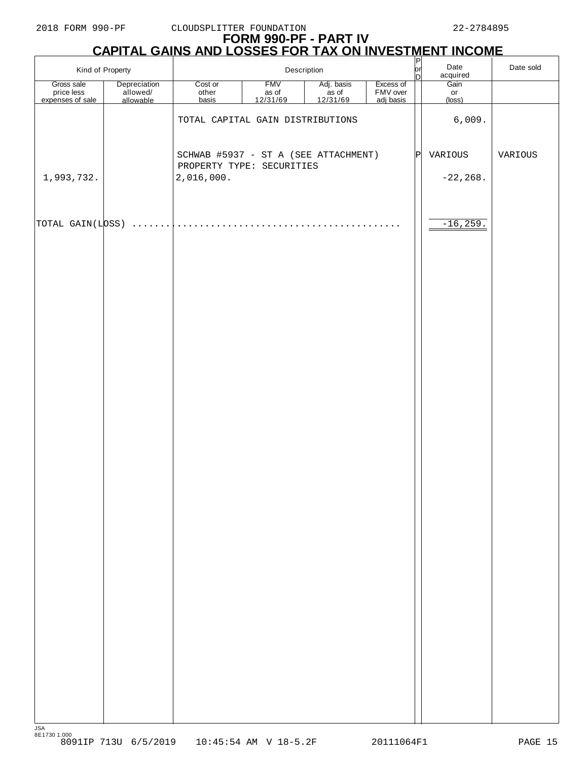# **FORM 990-PF - PART IV CAPITAL GAINS AND LOSSES FOR TAX ON INVESTMENT INCOME**

| Kind of Property                             |                                       | Description                                                       |                                 |                                           | $\frac{P}{D}$                      | Date<br>acquired | Date sold            |         |
|----------------------------------------------|---------------------------------------|-------------------------------------------------------------------|---------------------------------|-------------------------------------------|------------------------------------|------------------|----------------------|---------|
| Gross sale<br>price less<br>expenses of sale | Depreciation<br>allowed/<br>allowable | Cost or<br>other<br>basis                                         | <b>FMV</b><br>as of<br>12/31/69 | Adj. basis<br>as of<br>$\frac{12}{31/69}$ | Excess of<br>FMV over<br>adj basis |                  | Gain<br>or<br>(loss) |         |
|                                              |                                       | TOTAL CAPITAL GAIN DISTRIBUTIONS                                  |                                 |                                           |                                    |                  | 6,009.               |         |
|                                              |                                       | SCHWAB #5937 - ST A (SEE ATTACHMENT)<br>PROPERTY TYPE: SECURITIES |                                 |                                           |                                    | ΙP               | VARIOUS              | VARIOUS |
| 1,993,732.                                   |                                       | 2,016,000.                                                        |                                 |                                           |                                    |                  | $-22, 268.$          |         |
| TOTAL GAIN(LOSS)                             | $\cdot$                               | .                                                                 |                                 |                                           |                                    |                  | $-16, 259.$          |         |
|                                              |                                       |                                                                   |                                 |                                           |                                    |                  |                      |         |
|                                              |                                       |                                                                   |                                 |                                           |                                    |                  |                      |         |
|                                              |                                       |                                                                   |                                 |                                           |                                    |                  |                      |         |
|                                              |                                       |                                                                   |                                 |                                           |                                    |                  |                      |         |
|                                              |                                       |                                                                   |                                 |                                           |                                    |                  |                      |         |
|                                              |                                       |                                                                   |                                 |                                           |                                    |                  |                      |         |
|                                              |                                       |                                                                   |                                 |                                           |                                    |                  |                      |         |
|                                              |                                       |                                                                   |                                 |                                           |                                    |                  |                      |         |
|                                              |                                       |                                                                   |                                 |                                           |                                    |                  |                      |         |
|                                              |                                       |                                                                   |                                 |                                           |                                    |                  |                      |         |
|                                              |                                       |                                                                   |                                 |                                           |                                    |                  |                      |         |
|                                              |                                       |                                                                   |                                 |                                           |                                    |                  |                      |         |
|                                              |                                       |                                                                   |                                 |                                           |                                    |                  |                      |         |
|                                              |                                       |                                                                   |                                 |                                           |                                    |                  |                      |         |
|                                              |                                       |                                                                   |                                 |                                           |                                    |                  |                      |         |
|                                              |                                       |                                                                   |                                 |                                           |                                    |                  |                      |         |
| <b>JSA</b>                                   |                                       |                                                                   |                                 |                                           |                                    |                  |                      |         |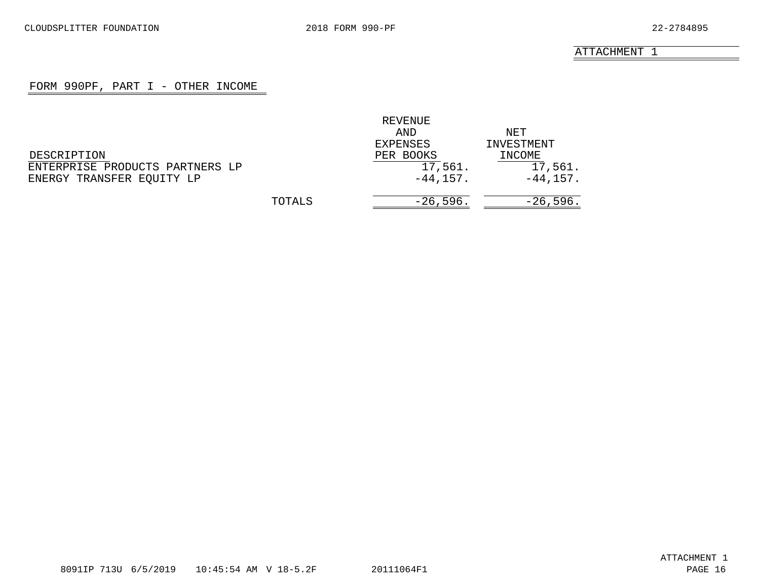## FORM 990PF, PART I - OTHER INCOME

<span id="page-15-0"></span>

|                                 |        | REVENUE     |             |
|---------------------------------|--------|-------------|-------------|
|                                 |        | AND         | NET         |
|                                 |        | EXPENSES    | INVESTMENT  |
| DESCRIPTION                     |        | PER BOOKS   | INCOME      |
| ENTERPRISE PRODUCTS PARTNERS LP |        | 17,561.     | 17,561.     |
| ENERGY TRANSFER EQUITY LP       |        | $-44, 157.$ | $-44, 157.$ |
|                                 | TOTALS | $-26,596.$  | $-26,596.$  |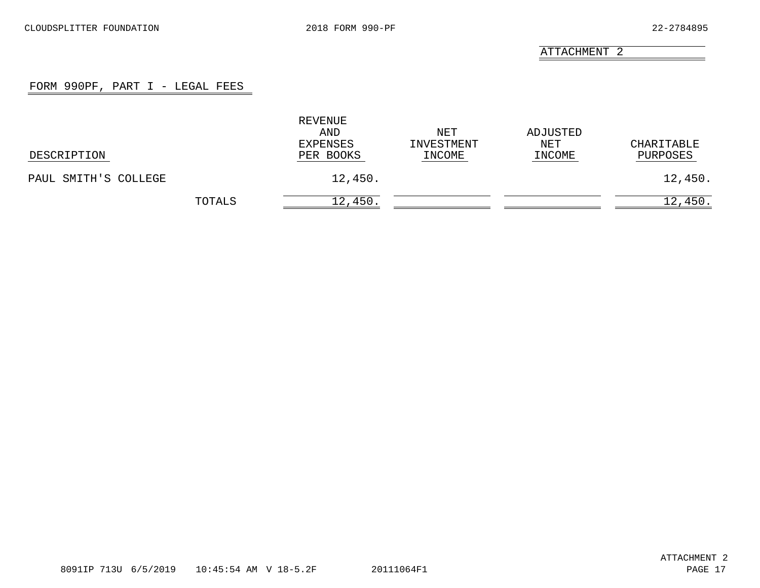## FORM 990PF, PART I - LEGAL FEES

<span id="page-16-0"></span>

| DESCRIPTION          |        | REVENUE<br>AND<br>EXPENSES<br>PER BOOKS | NET<br>INVESTMENT<br>INCOME | ADJUSTED<br>NET<br>INCOME | CHARITABLE<br>PURPOSES |
|----------------------|--------|-----------------------------------------|-----------------------------|---------------------------|------------------------|
| PAUL SMITH'S COLLEGE |        | 12,450.                                 |                             |                           | 12,450.                |
|                      | TOTALS | 12,450.                                 |                             |                           | 12,450.                |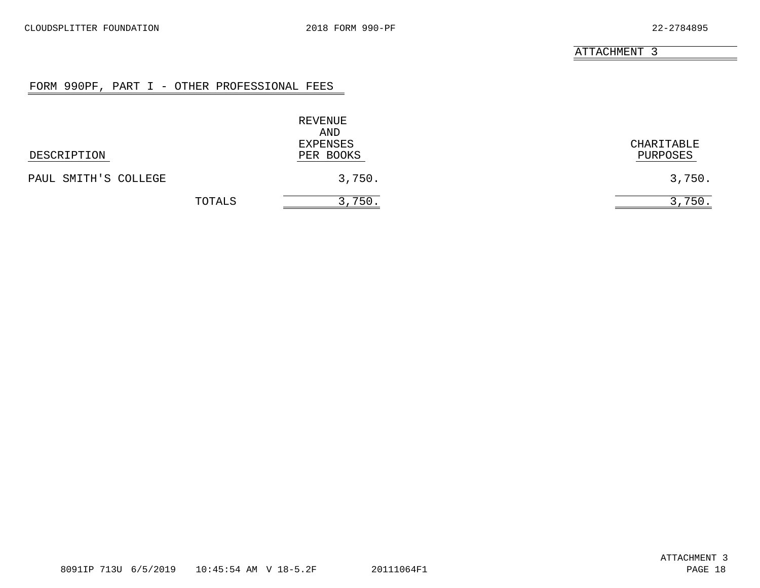### FORM 990PF, PART I - OTHER PROFESSIONAL FEES

<span id="page-17-0"></span>

|                      | REVENUE<br>AND<br>EXPENSES | CHARITABLE |
|----------------------|----------------------------|------------|
| DESCRIPTION          | PER BOOKS                  | PURPOSES   |
| PAUL SMITH'S COLLEGE | 3,750.                     | 3,750.     |
| TOTALS               | 3,750.                     | 3,750.     |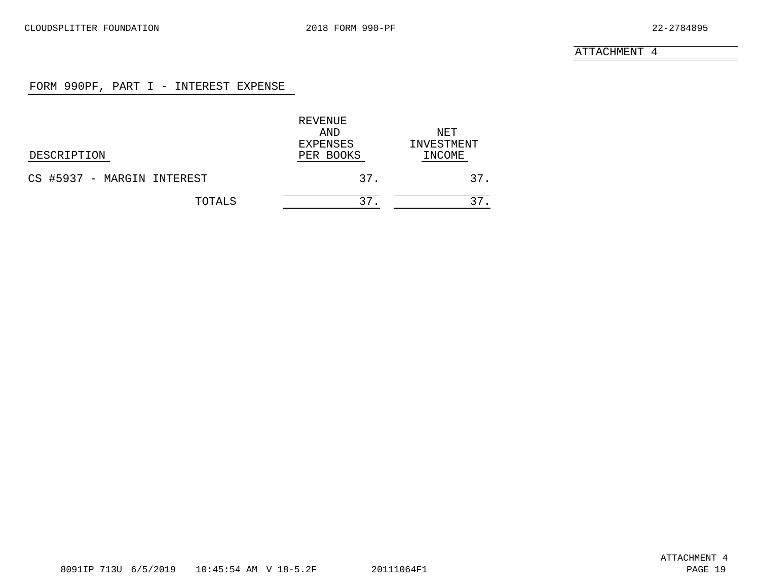# FORM 990PF, PART I - INTEREST EXPENSE

<span id="page-18-0"></span>

|                            | REVENUE   |            |
|----------------------------|-----------|------------|
|                            | AND       | NET        |
|                            | EXPENSES  | INVESTMENT |
| DESCRIPTION                | PER BOOKS | INCOME     |
| CS #5937 - MARGIN INTEREST | 37.       | 37.        |
| TOTALS                     | 37        |            |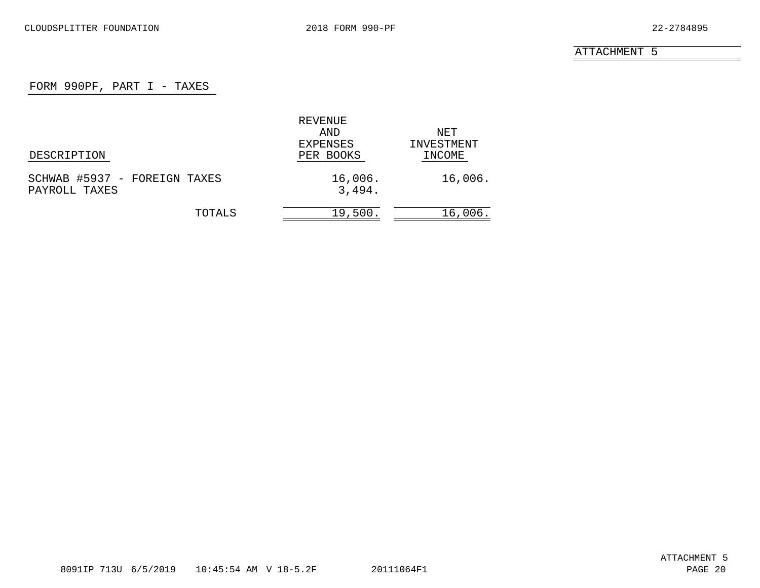# FORM 990PF, PART  $I$  - TAXES

<span id="page-19-0"></span>

|                              | REVENUE   |            |
|------------------------------|-----------|------------|
|                              | AND       | NET        |
|                              | EXPENSES  | INVESTMENT |
| DESCRIPTION                  | PER BOOKS | INCOME     |
| SCHWAB #5937 - FOREIGN TAXES | 16,006.   | 16,006.    |
| PAYROLL TAXES                | 3,494.    |            |
| TOTALS                       | 19,500.   | 16,006.    |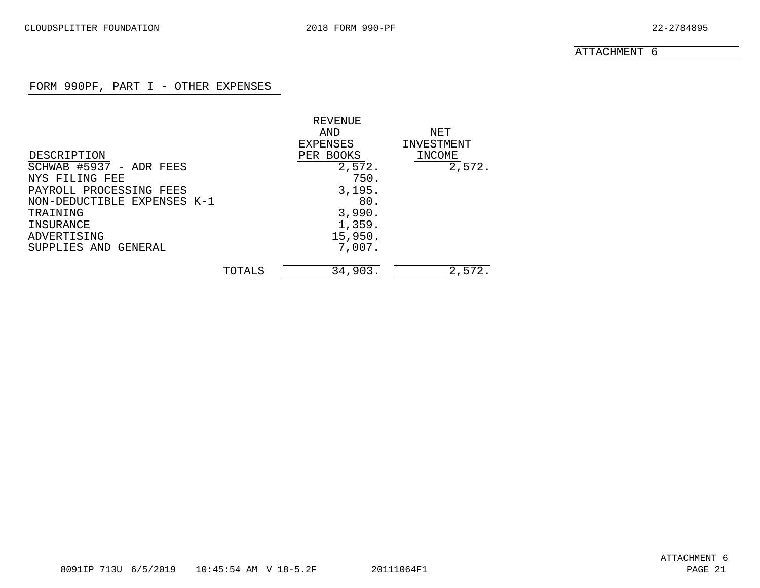# FORM 990PF, PART I - OTHER EXPENSES

<span id="page-20-0"></span>

|                             |        | REVENUE   |            |
|-----------------------------|--------|-----------|------------|
|                             |        | AND       | NET        |
|                             |        | EXPENSES  | INVESTMENT |
| DESCRIPTION                 |        | PER BOOKS | INCOME     |
| SCHWAB #5937 - ADR FEES     |        | 2,572.    | 2,572.     |
| NYS FILING FEE              |        | 750.      |            |
| PAYROLL PROCESSING FEES     |        | 3,195.    |            |
| NON-DEDUCTIBLE EXPENSES K-1 |        | 80.       |            |
| TRAINING                    |        | 3,990.    |            |
| INSURANCE                   |        | 1,359.    |            |
| ADVERTISING                 |        | 15,950.   |            |
| SUPPLIES AND GENERAL        |        | 7,007.    |            |
|                             |        |           |            |
|                             | TOTALS | 34,903.   | 2,572.     |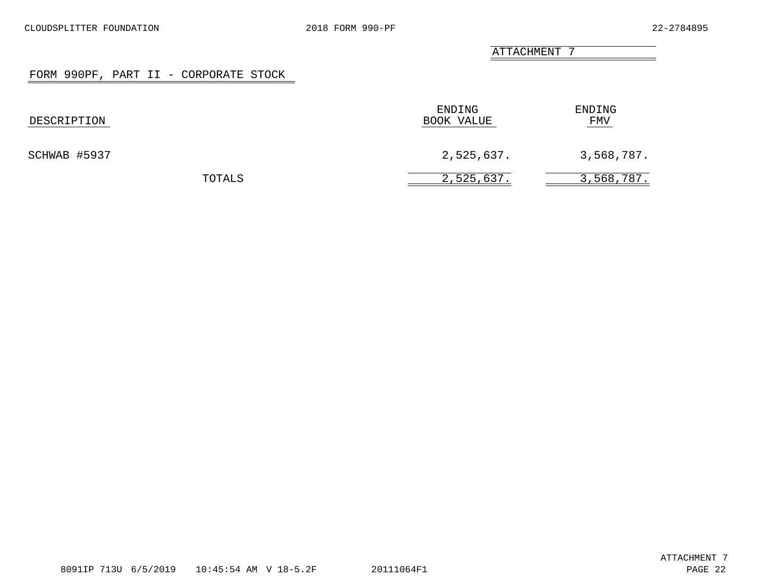#### FORM 990PF, PART II - CORPORATE STOCK

<span id="page-21-0"></span>

| DESCRIPTION  |        | ENDING<br>BOOK VALUE | ENDING<br><u>FMV</u> |
|--------------|--------|----------------------|----------------------|
| SCHWAB #5937 |        | 2,525,637.           | 3,568,787.           |
|              | TOTALS | 2,525,637.           | 3,568,787.           |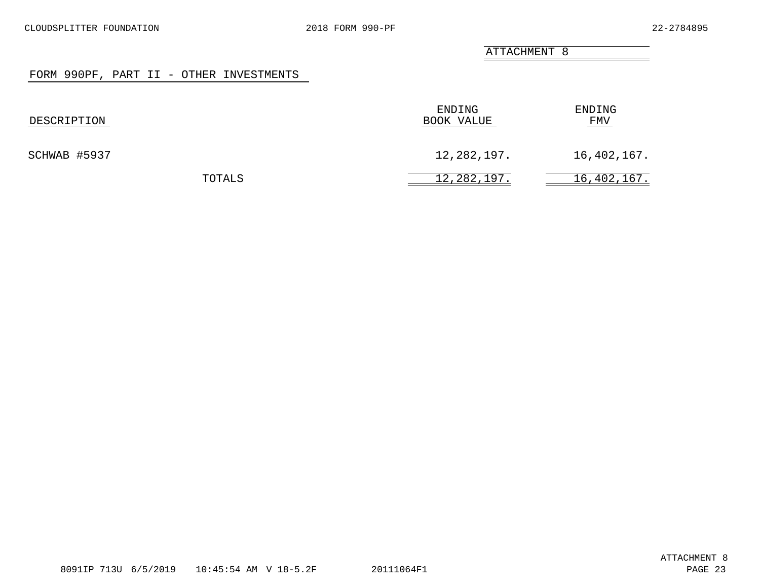### FORM 990PF, PART II - OTHER INVESTMENTS

<span id="page-22-0"></span>

| DESCRIPTION  |        | ENDING<br>BOOK VALUE | ENDING<br>FMV |
|--------------|--------|----------------------|---------------|
| SCHWAB #5937 |        | 12,282,197.          | 16,402,167.   |
|              | TOTALS | 12,282,197.          | 16,402,167.   |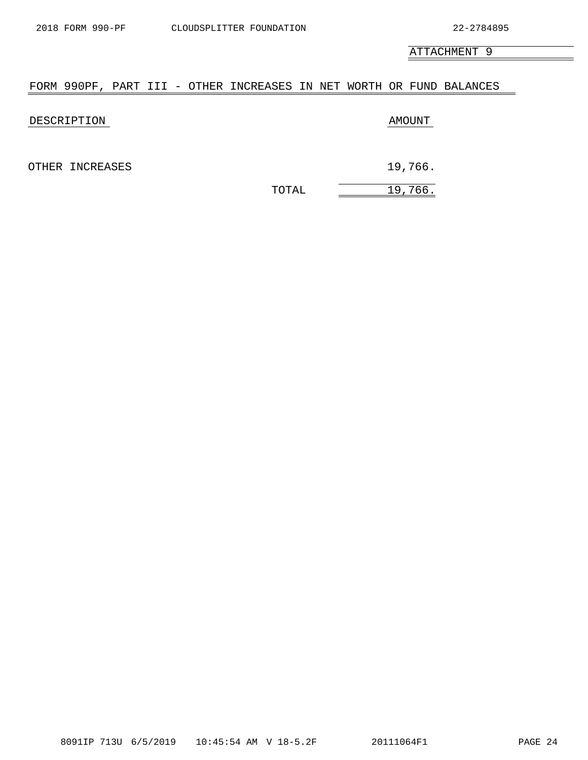$\equiv$ 

ATTACHMENT 9

# <span id="page-23-0"></span>FORM 990PF, PART III - OTHER INCREASES IN NET WORTH OR FUND BALANCES

| DESCRIPTION     |       | AMOUNT  |
|-----------------|-------|---------|
| OTHER INCREASES |       | 19,766. |
|                 | TOTAL | 19,766. |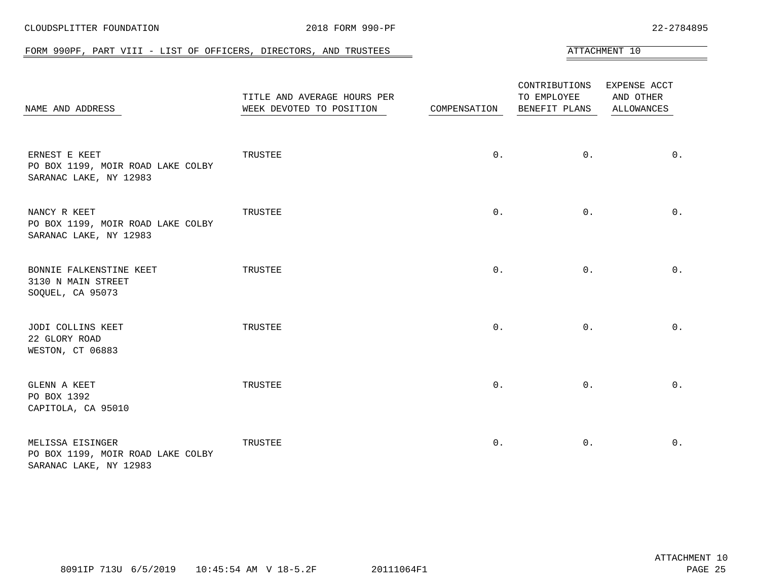<span id="page-24-0"></span>

| FORM 990PF, PART VIII - LIST OF OFFICERS, DIRECTORS, AND TRUSTEES               |                                                         |              |                                               | ATTACHMENT 10                                  |
|---------------------------------------------------------------------------------|---------------------------------------------------------|--------------|-----------------------------------------------|------------------------------------------------|
| NAME AND ADDRESS                                                                | TITLE AND AVERAGE HOURS PER<br>WEEK DEVOTED TO POSITION | COMPENSATION | CONTRIBUTIONS<br>TO EMPLOYEE<br>BENEFIT PLANS | EXPENSE ACCT<br>AND OTHER<br><b>ALLOWANCES</b> |
| ERNEST E KEET<br>PO BOX 1199, MOIR ROAD LAKE COLBY<br>SARANAC LAKE, NY 12983    | TRUSTEE                                                 | $0$ .        | $0$ .                                         | $0$ .                                          |
| NANCY R KEET<br>PO BOX 1199, MOIR ROAD LAKE COLBY<br>SARANAC LAKE, NY 12983     | TRUSTEE                                                 | $0$ .        | $0$ .                                         | $0$ .                                          |
| BONNIE FALKENSTINE KEET<br>3130 N MAIN STREET<br>SOQUEL, CA 95073               | TRUSTEE                                                 | $0$ .        | $0$ .                                         | $0$ .                                          |
| JODI COLLINS KEET<br>22 GLORY ROAD<br>WESTON, CT 06883                          | TRUSTEE                                                 | $0$ .        | $0$ .                                         | $0$ .                                          |
| GLENN A KEET<br>PO BOX 1392<br>CAPITOLA, CA 95010                               | TRUSTEE                                                 | $0$ .        | $0$ .                                         | $0$ .                                          |
| MELISSA EISINGER<br>PO BOX 1199, MOIR ROAD LAKE COLBY<br>SARANAC LAKE, NY 12983 | TRUSTEE                                                 | $0$ .        | $0$ .                                         | $0$ .                                          |

CLOUDSPLITTER FOUNDATION 2018 FORM 990-PF 22-2784895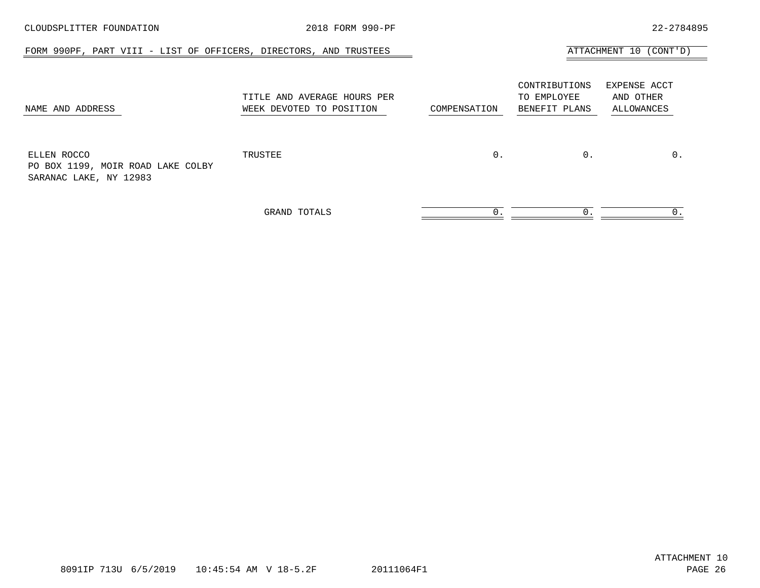| CLOUDSPLITTER FOUNDATION                                                   | 2018 FORM 990-PF                                        |              |                                               | 22-2784895                              |
|----------------------------------------------------------------------------|---------------------------------------------------------|--------------|-----------------------------------------------|-----------------------------------------|
| FORM 990PF, PART VIII - LIST OF OFFICERS, DIRECTORS, AND TRUSTEES          |                                                         |              |                                               | ATTACHMENT 10 (CONT'D)                  |
| NAME AND ADDRESS                                                           | TITLE AND AVERAGE HOURS PER<br>WEEK DEVOTED TO POSITION | COMPENSATION | CONTRIBUTIONS<br>TO EMPLOYEE<br>BENEFIT PLANS | EXPENSE ACCT<br>AND OTHER<br>ALLOWANCES |
| ELLEN ROCCO<br>PO BOX 1199, MOIR ROAD LAKE COLBY<br>SARANAC LAKE, NY 12983 | TRUSTEE                                                 | $0$ .        | $0$ .                                         | $0$ .                                   |
|                                                                            | GRAND TOTALS                                            | 0            | 0.                                            | 0.                                      |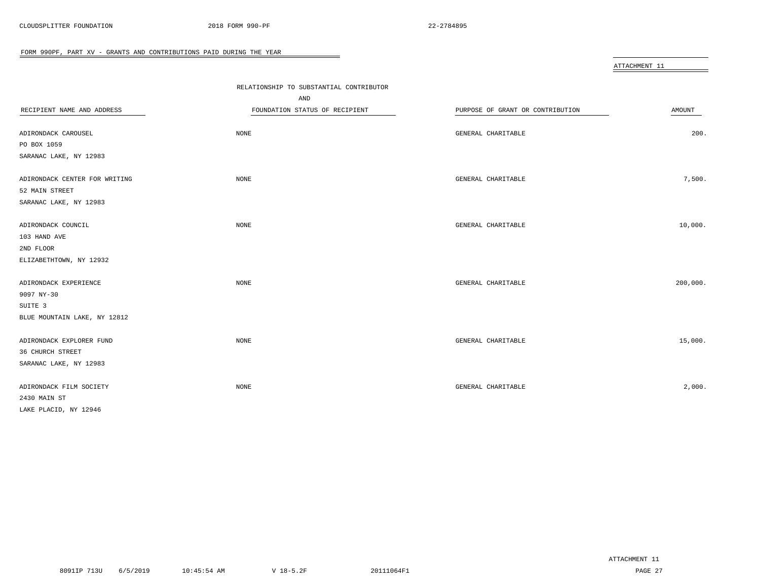<span id="page-26-0"></span>

|                               |                                         |                                  | ATTACHMENT 11 |
|-------------------------------|-----------------------------------------|----------------------------------|---------------|
|                               |                                         |                                  |               |
|                               | RELATIONSHIP TO SUBSTANTIAL CONTRIBUTOR |                                  |               |
|                               | AND                                     |                                  |               |
| RECIPIENT NAME AND ADDRESS    | FOUNDATION STATUS OF RECIPIENT          | PURPOSE OF GRANT OR CONTRIBUTION | AMOUNT        |
|                               |                                         |                                  |               |
| ADIRONDACK CAROUSEL           | NONE                                    | GENERAL CHARITABLE               | 200.          |
| PO BOX 1059                   |                                         |                                  |               |
| SARANAC LAKE, NY 12983        |                                         |                                  |               |
| ADIRONDACK CENTER FOR WRITING | <b>NONE</b>                             | GENERAL CHARITABLE               | 7,500.        |
| 52 MAIN STREET                |                                         |                                  |               |
| SARANAC LAKE, NY 12983        |                                         |                                  |               |
|                               |                                         |                                  |               |
| ADIRONDACK COUNCIL            | <b>NONE</b>                             | GENERAL CHARITABLE               | 10,000.       |
| 103 HAND AVE                  |                                         |                                  |               |
| 2ND FLOOR                     |                                         |                                  |               |
| ELIZABETHTOWN, NY 12932       |                                         |                                  |               |
|                               |                                         |                                  |               |
| ADIRONDACK EXPERIENCE         | NONE                                    | GENERAL CHARITABLE               | 200,000.      |
| 9097 NY-30                    |                                         |                                  |               |
| SUITE 3                       |                                         |                                  |               |
| BLUE MOUNTAIN LAKE, NY 12812  |                                         |                                  |               |
|                               |                                         |                                  |               |
| ADIRONDACK EXPLORER FUND      | NONE                                    | GENERAL CHARITABLE               | 15,000.       |
| 36 CHURCH STREET              |                                         |                                  |               |
| SARANAC LAKE, NY 12983        |                                         |                                  |               |
|                               |                                         |                                  |               |
| ADIRONDACK FILM SOCIETY       | NONE                                    | GENERAL CHARITABLE               | 2,000.        |
| 2430 MAIN ST                  |                                         |                                  |               |
| LAKE PLACID, NY 12946         |                                         |                                  |               |

 $\overline{\phantom{0}}$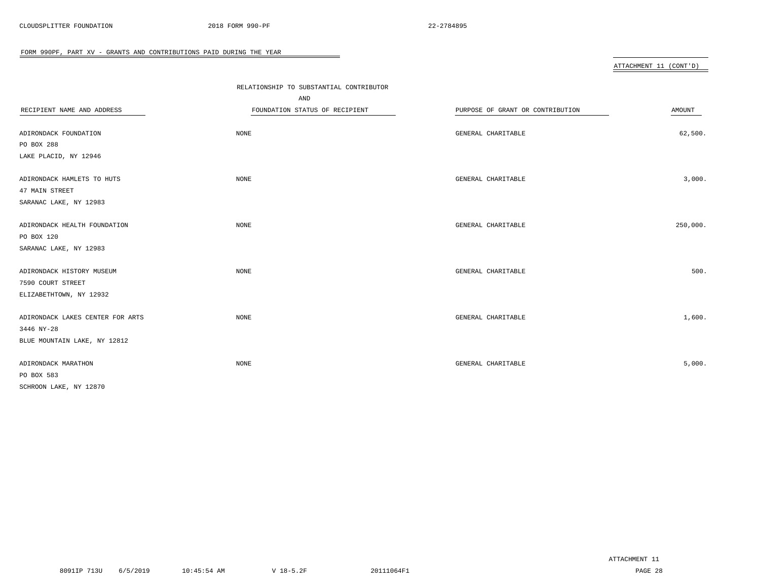|                                  | RELATIONSHIP TO SUBSTANTIAL CONTRIBUTOR |                                  |          |
|----------------------------------|-----------------------------------------|----------------------------------|----------|
|                                  | AND                                     |                                  |          |
| RECIPIENT NAME AND ADDRESS       | FOUNDATION STATUS OF RECIPIENT          | PURPOSE OF GRANT OR CONTRIBUTION | AMOUNT   |
|                                  |                                         |                                  |          |
| ADIRONDACK FOUNDATION            | NONE                                    | GENERAL CHARITABLE               | 62,500.  |
| PO BOX 288                       |                                         |                                  |          |
| LAKE PLACID, NY 12946            |                                         |                                  |          |
| ADIRONDACK HAMLETS TO HUTS       | NONE                                    | GENERAL CHARITABLE               | 3,000.   |
| 47 MAIN STREET                   |                                         |                                  |          |
| SARANAC LAKE, NY 12983           |                                         |                                  |          |
| ADIRONDACK HEALTH FOUNDATION     | NONE                                    | GENERAL CHARITABLE               | 250,000. |
| PO BOX 120                       |                                         |                                  |          |
| SARANAC LAKE, NY 12983           |                                         |                                  |          |
|                                  |                                         |                                  |          |
| ADIRONDACK HISTORY MUSEUM        | NONE                                    | GENERAL CHARITABLE               | 500.     |
| 7590 COURT STREET                |                                         |                                  |          |
| ELIZABETHTOWN, NY 12932          |                                         |                                  |          |
| ADIRONDACK LAKES CENTER FOR ARTS | <b>NONE</b>                             | GENERAL CHARITABLE               | 1,600.   |
| 3446 NY-28                       |                                         |                                  |          |
| BLUE MOUNTAIN LAKE, NY 12812     |                                         |                                  |          |
| ADIRONDACK MARATHON              | NONE                                    | GENERAL CHARITABLE               | 5,000.   |
| PO BOX 583                       |                                         |                                  |          |
| SCHROON LAKE, NY 12870           |                                         |                                  |          |
|                                  |                                         |                                  |          |

 $\overline{\phantom{a}}$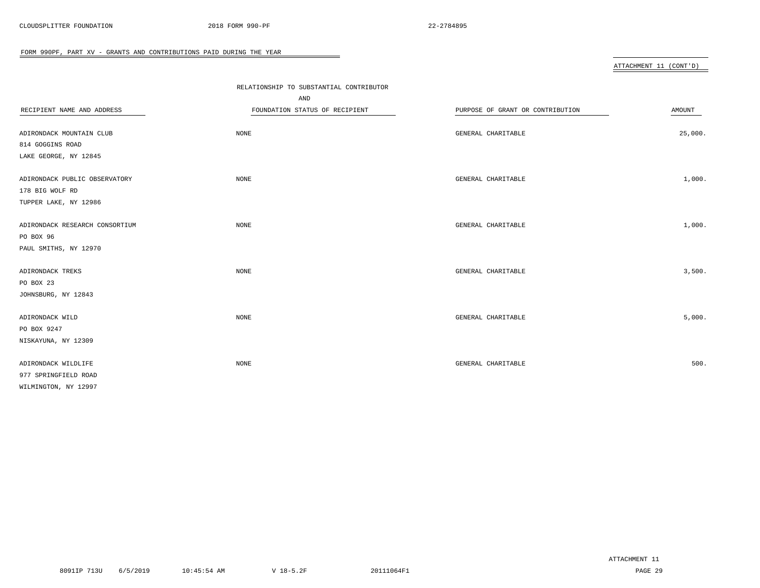|                                | RELATIONSHIP TO SUBSTANTIAL CONTRIBUTOR |                                  |         |
|--------------------------------|-----------------------------------------|----------------------------------|---------|
|                                | AND                                     |                                  |         |
| RECIPIENT NAME AND ADDRESS     | FOUNDATION STATUS OF RECIPIENT          | PURPOSE OF GRANT OR CONTRIBUTION | AMOUNT  |
|                                |                                         |                                  |         |
| ADIRONDACK MOUNTAIN CLUB       | NONE                                    | GENERAL CHARITABLE               | 25,000. |
| 814 GOGGINS ROAD               |                                         |                                  |         |
| LAKE GEORGE, NY 12845          |                                         |                                  |         |
| ADIRONDACK PUBLIC OBSERVATORY  | NONE                                    | GENERAL CHARITABLE               | 1,000.  |
| 178 BIG WOLF RD                |                                         |                                  |         |
| TUPPER LAKE, NY 12986          |                                         |                                  |         |
|                                |                                         |                                  |         |
| ADIRONDACK RESEARCH CONSORTIUM | NONE                                    | GENERAL CHARITABLE               | 1,000.  |
| PO BOX 96                      |                                         |                                  |         |
| PAUL SMITHS, NY 12970          |                                         |                                  |         |
| ADIRONDACK TREKS               | <b>NONE</b>                             | GENERAL CHARITABLE               | 3,500.  |
| PO BOX 23                      |                                         |                                  |         |
| JOHNSBURG, NY 12843            |                                         |                                  |         |
|                                |                                         |                                  |         |
| ADIRONDACK WILD                | <b>NONE</b>                             | GENERAL CHARITABLE               | 5,000.  |
| PO BOX 9247                    |                                         |                                  |         |
| NISKAYUNA, NY 12309            |                                         |                                  |         |
|                                |                                         |                                  |         |
| ADIRONDACK WILDLIFE            | NONE                                    | GENERAL CHARITABLE               | 500.    |
| 977 SPRINGFIELD ROAD           |                                         |                                  |         |
| WILMINGTON, NY 12997           |                                         |                                  |         |

 $\overline{\phantom{a}}$ 

ATTACHMENT 11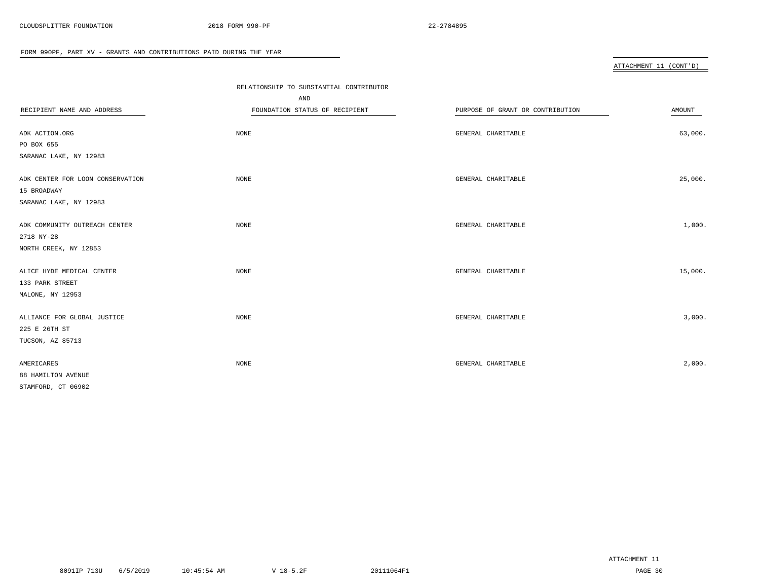|                                  | RELATIONSHIP TO SUBSTANTIAL CONTRIBUTOR |                                  |         |  |
|----------------------------------|-----------------------------------------|----------------------------------|---------|--|
|                                  | AND                                     |                                  |         |  |
| RECIPIENT NAME AND ADDRESS       | FOUNDATION STATUS OF RECIPIENT          | PURPOSE OF GRANT OR CONTRIBUTION | AMOUNT  |  |
| ADK ACTION.ORG                   | NONE                                    | GENERAL CHARITABLE               | 63,000. |  |
| PO BOX 655                       |                                         |                                  |         |  |
| SARANAC LAKE, NY 12983           |                                         |                                  |         |  |
| ADK CENTER FOR LOON CONSERVATION | $\rm{NONE}$                             | GENERAL CHARITABLE               | 25,000. |  |
| 15 BROADWAY                      |                                         |                                  |         |  |
| SARANAC LAKE, NY 12983           |                                         |                                  |         |  |
| ADK COMMUNITY OUTREACH CENTER    | NONE                                    | GENERAL CHARITABLE               | 1,000.  |  |
| 2718 NY-28                       |                                         |                                  |         |  |
| NORTH CREEK, NY 12853            |                                         |                                  |         |  |
| ALICE HYDE MEDICAL CENTER        | NONE                                    | GENERAL CHARITABLE               | 15,000. |  |
| 133 PARK STREET                  |                                         |                                  |         |  |
| MALONE, NY 12953                 |                                         |                                  |         |  |
| ALLIANCE FOR GLOBAL JUSTICE      | NONE                                    | GENERAL CHARITABLE               | 3,000.  |  |
| 225 E 26TH ST                    |                                         |                                  |         |  |
| TUCSON, AZ 85713                 |                                         |                                  |         |  |
| AMERICARES                       | $\rm{NONE}$                             | GENERAL CHARITABLE               | 2,000.  |  |
| 88 HAMILTON AVENUE               |                                         |                                  |         |  |
| STAMFORD, CT 06902               |                                         |                                  |         |  |

 $\overline{\phantom{0}}$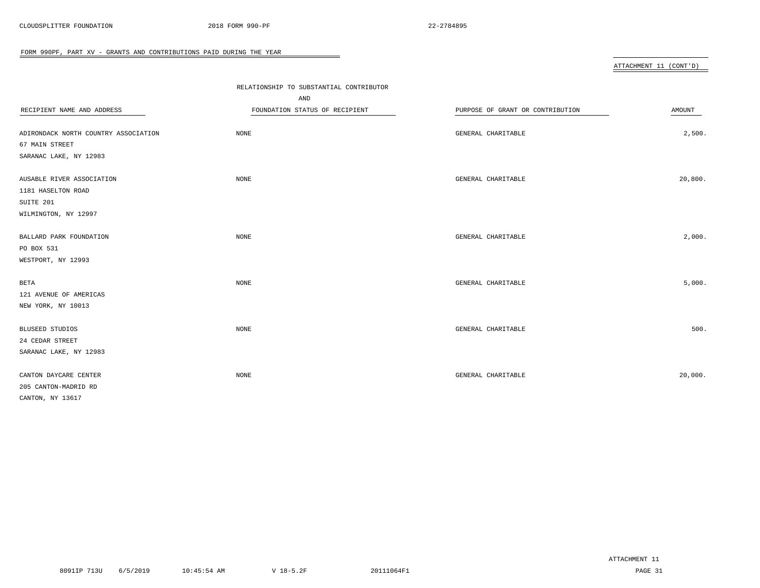|                                      |                                         |                                  | ATTACHMENT 11 (CONT'D) |
|--------------------------------------|-----------------------------------------|----------------------------------|------------------------|
|                                      | RELATIONSHIP TO SUBSTANTIAL CONTRIBUTOR |                                  |                        |
|                                      | AND                                     |                                  |                        |
| RECIPIENT NAME AND ADDRESS           | FOUNDATION STATUS OF RECIPIENT          | PURPOSE OF GRANT OR CONTRIBUTION | AMOUNT                 |
|                                      |                                         |                                  |                        |
| ADIRONDACK NORTH COUNTRY ASSOCIATION | NONE                                    | GENERAL CHARITABLE               | 2,500.                 |
| 67 MAIN STREET                       |                                         |                                  |                        |
| SARANAC LAKE, NY 12983               |                                         |                                  |                        |
| AUSABLE RIVER ASSOCIATION            | NONE                                    | GENERAL CHARITABLE               | 20,800.                |
| 1181 HASELTON ROAD                   |                                         |                                  |                        |
| SUITE 201                            |                                         |                                  |                        |
| WILMINGTON, NY 12997                 |                                         |                                  |                        |
| BALLARD PARK FOUNDATION              | <b>NONE</b>                             | GENERAL CHARITABLE               | 2,000.                 |
| PO BOX 531                           |                                         |                                  |                        |
| WESTPORT, NY 12993                   |                                         |                                  |                        |
|                                      |                                         |                                  |                        |
| BETA                                 | <b>NONE</b>                             | GENERAL CHARITABLE               | 5,000.                 |
| 121 AVENUE OF AMERICAS               |                                         |                                  |                        |
| NEW YORK, NY 10013                   |                                         |                                  |                        |
| BLUSEED STUDIOS                      | <b>NONE</b>                             | GENERAL CHARITABLE               | 500.                   |
| 24 CEDAR STREET                      |                                         |                                  |                        |
| SARANAC LAKE, NY 12983               |                                         |                                  |                        |
|                                      |                                         |                                  |                        |
| CANTON DAYCARE CENTER                | NONE                                    | GENERAL CHARITABLE               | 20,000.                |
| 205 CANTON-MADRID RD                 |                                         |                                  |                        |
| CANTON, NY 13617                     |                                         |                                  |                        |

 $\overline{\phantom{0}}$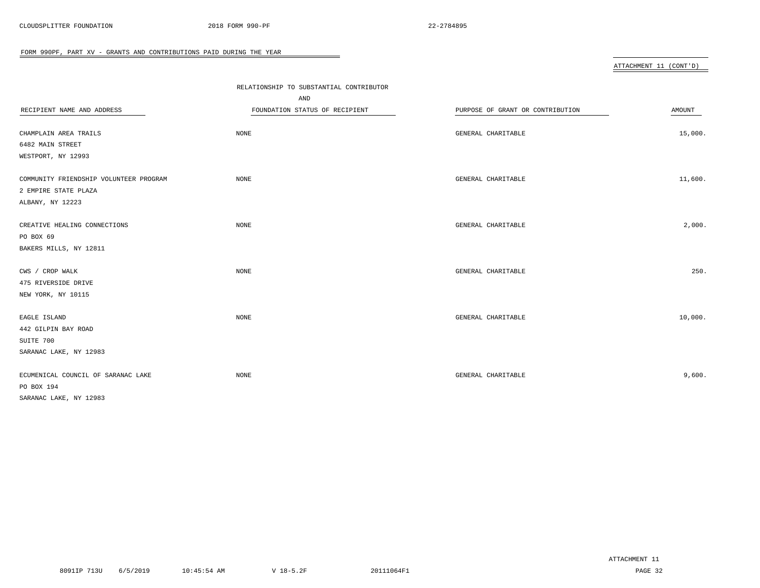|                                        | RELATIONSHIP TO SUBSTANTIAL CONTRIBUTOR |                                  |         |
|----------------------------------------|-----------------------------------------|----------------------------------|---------|
|                                        | AND                                     |                                  |         |
| RECIPIENT NAME AND ADDRESS             | FOUNDATION STATUS OF RECIPIENT          | PURPOSE OF GRANT OR CONTRIBUTION | AMOUNT  |
|                                        |                                         |                                  |         |
| CHAMPLAIN AREA TRAILS                  | <b>NONE</b>                             | GENERAL CHARITABLE               | 15,000. |
| 6482 MAIN STREET                       |                                         |                                  |         |
| WESTPORT, NY 12993                     |                                         |                                  |         |
| COMMUNITY FRIENDSHIP VOLUNTEER PROGRAM | NONE                                    | GENERAL CHARITABLE               | 11,600. |
| 2 EMPIRE STATE PLAZA                   |                                         |                                  |         |
| ALBANY, NY 12223                       |                                         |                                  |         |
| CREATIVE HEALING CONNECTIONS           | <b>NONE</b>                             | GENERAL CHARITABLE               | 2,000.  |
| PO BOX 69                              |                                         |                                  |         |
| BAKERS MILLS, NY 12811                 |                                         |                                  |         |
|                                        |                                         |                                  |         |
| CWS / CROP WALK                        | NONE                                    | GENERAL CHARITABLE               | 250.    |
| 475 RIVERSIDE DRIVE                    |                                         |                                  |         |
| NEW YORK, NY 10115                     |                                         |                                  |         |
| EAGLE ISLAND                           | <b>NONE</b>                             | GENERAL CHARITABLE               | 10,000. |
| 442 GILPIN BAY ROAD                    |                                         |                                  |         |
| SUITE 700                              |                                         |                                  |         |
| SARANAC LAKE, NY 12983                 |                                         |                                  |         |
| ECUMENICAL COUNCIL OF SARANAC LAKE     | NONE                                    | GENERAL CHARITABLE               | 9,600.  |
| PO BOX 194                             |                                         |                                  |         |
| SARANAC LAKE, NY 12983                 |                                         |                                  |         |

 $\equiv$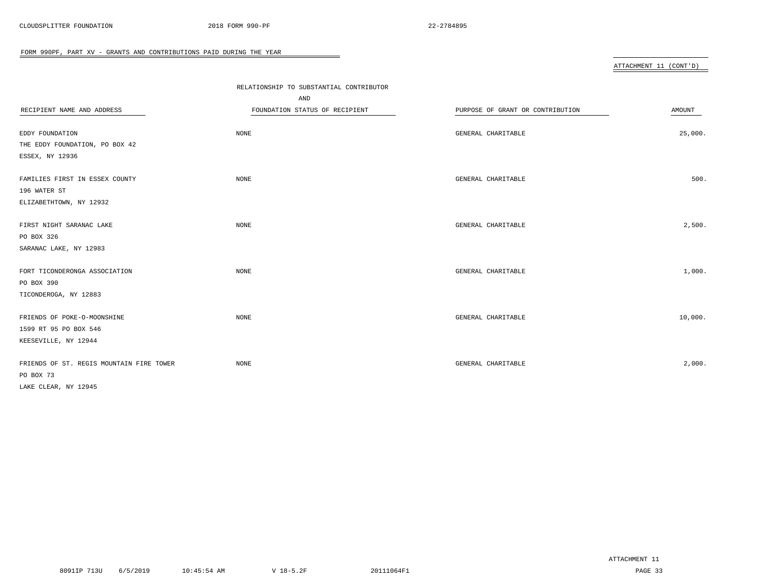| RELATIONSHIP TO SUBSTANTIAL CONTRIBUTOR |                                  |                                          |
|-----------------------------------------|----------------------------------|------------------------------------------|
| AND                                     |                                  |                                          |
| FOUNDATION STATUS OF RECIPIENT          | PURPOSE OF GRANT OR CONTRIBUTION | AMOUNT                                   |
|                                         |                                  |                                          |
| NONE                                    | GENERAL CHARITABLE               | 25,000.                                  |
|                                         |                                  |                                          |
|                                         |                                  |                                          |
| NONE                                    | GENERAL CHARITABLE               | 500.                                     |
|                                         |                                  |                                          |
|                                         |                                  |                                          |
| <b>NONE</b>                             | GENERAL CHARITABLE               | 2,500.                                   |
|                                         |                                  |                                          |
|                                         |                                  |                                          |
|                                         |                                  | 1,000.                                   |
|                                         |                                  |                                          |
|                                         |                                  |                                          |
|                                         |                                  | 10,000.                                  |
|                                         |                                  |                                          |
|                                         |                                  |                                          |
|                                         |                                  |                                          |
| NONE                                    | GENERAL CHARITABLE               | 2,000.                                   |
|                                         |                                  |                                          |
|                                         |                                  |                                          |
|                                         | NONE<br>NONE                     | GENERAL CHARITABLE<br>GENERAL CHARITABLE |

 $\overline{\phantom{0}}$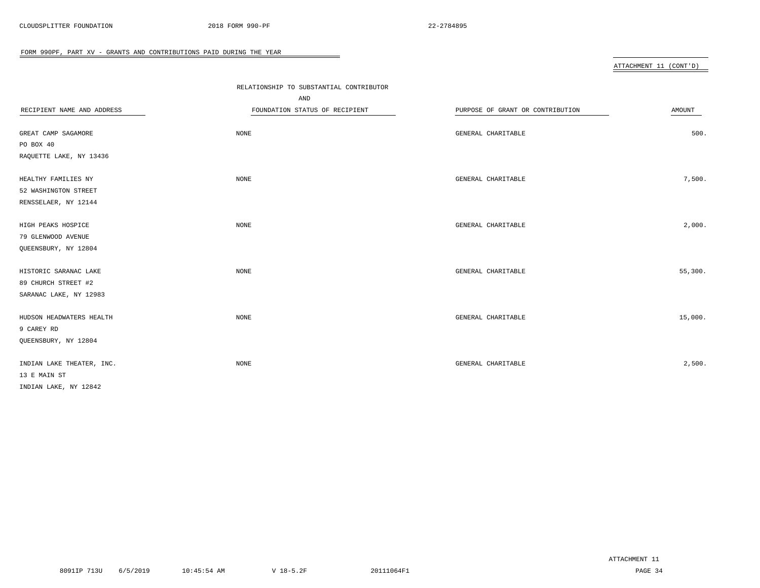|                            | RELATIONSHIP TO SUBSTANTIAL CONTRIBUTOR |                                  |         |
|----------------------------|-----------------------------------------|----------------------------------|---------|
|                            | AND                                     |                                  |         |
| RECIPIENT NAME AND ADDRESS | FOUNDATION STATUS OF RECIPIENT          | PURPOSE OF GRANT OR CONTRIBUTION | AMOUNT  |
|                            |                                         |                                  |         |
| GREAT CAMP SAGAMORE        | NONE                                    | GENERAL CHARITABLE               | 500.    |
| PO BOX 40                  |                                         |                                  |         |
| RAQUETTE LAKE, NY 13436    |                                         |                                  |         |
|                            |                                         |                                  |         |
| HEALTHY FAMILIES NY        | <b>NONE</b>                             | GENERAL CHARITABLE               | 7,500.  |
| 52 WASHINGTON STREET       |                                         |                                  |         |
| RENSSELAER, NY 12144       |                                         |                                  |         |
| HIGH PEAKS HOSPICE         | <b>NONE</b>                             | GENERAL CHARITABLE               | 2,000.  |
| 79 GLENWOOD AVENUE         |                                         |                                  |         |
| QUEENSBURY, NY 12804       |                                         |                                  |         |
|                            |                                         |                                  |         |
| HISTORIC SARANAC LAKE      | <b>NONE</b>                             | GENERAL CHARITABLE               | 55,300. |
| 89 CHURCH STREET #2        |                                         |                                  |         |
| SARANAC LAKE, NY 12983     |                                         |                                  |         |
|                            |                                         |                                  |         |
| HUDSON HEADWATERS HEALTH   | <b>NONE</b>                             | GENERAL CHARITABLE               | 15,000. |
| 9 CAREY RD                 |                                         |                                  |         |
| QUEENSBURY, NY 12804       |                                         |                                  |         |
|                            |                                         |                                  | 2,500.  |
| INDIAN LAKE THEATER, INC.  | NONE                                    | GENERAL CHARITABLE               |         |
| 13 E MAIN ST               |                                         |                                  |         |
| INDIAN LAKE, NY 12842      |                                         |                                  |         |

 $\overline{\phantom{a}}$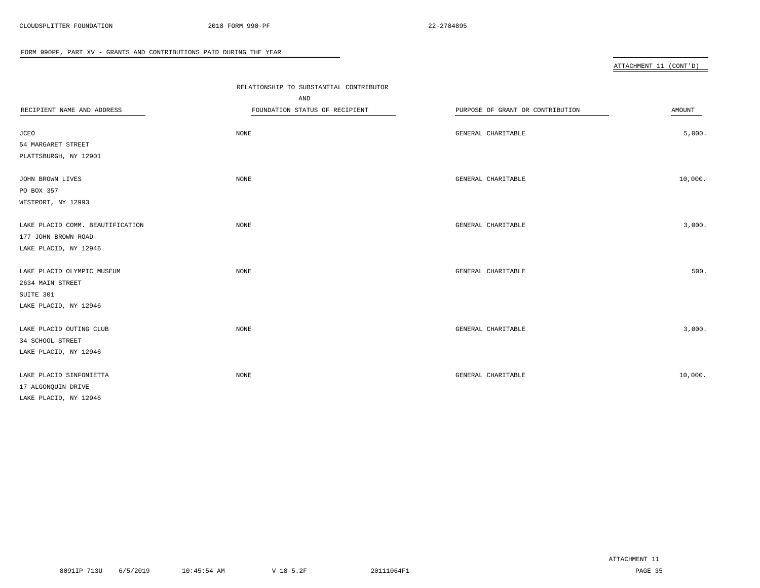|                                  | RELATIONSHIP TO SUBSTANTIAL CONTRIBUTOR |                                  |         |
|----------------------------------|-----------------------------------------|----------------------------------|---------|
|                                  | AND                                     |                                  |         |
| RECIPIENT NAME AND ADDRESS       | FOUNDATION STATUS OF RECIPIENT          | PURPOSE OF GRANT OR CONTRIBUTION | AMOUNT  |
|                                  |                                         |                                  |         |
| <b>JCEO</b>                      | NONE                                    | GENERAL CHARITABLE               | 5,000.  |
| 54 MARGARET STREET               |                                         |                                  |         |
| PLATTSBURGH, NY 12901            |                                         |                                  |         |
| JOHN BROWN LIVES                 | NONE                                    | GENERAL CHARITABLE               | 10,000. |
| PO BOX 357                       |                                         |                                  |         |
| WESTPORT, NY 12993               |                                         |                                  |         |
| LAKE PLACID COMM. BEAUTIFICATION | NONE                                    | GENERAL CHARITABLE               | 3,000.  |
| 177 JOHN BROWN ROAD              |                                         |                                  |         |
| LAKE PLACID, NY 12946            |                                         |                                  |         |
| LAKE PLACID OLYMPIC MUSEUM       | NONE                                    | GENERAL CHARITABLE               | 500.    |
| 2634 MAIN STREET                 |                                         |                                  |         |
| SUITE 301                        |                                         |                                  |         |
| LAKE PLACID, NY 12946            |                                         |                                  |         |
| LAKE PLACID OUTING CLUB          | NONE                                    | GENERAL CHARITABLE               | 3,000.  |
| 34 SCHOOL STREET                 |                                         |                                  |         |
| LAKE PLACID, NY 12946            |                                         |                                  |         |
| LAKE PLACID SINFONIETTA          | NONE                                    | GENERAL CHARITABLE               | 10,000. |
| 17 ALGONQUIN DRIVE               |                                         |                                  |         |
| LAKE PLACID, NY 12946            |                                         |                                  |         |

 $\overline{\phantom{0}}$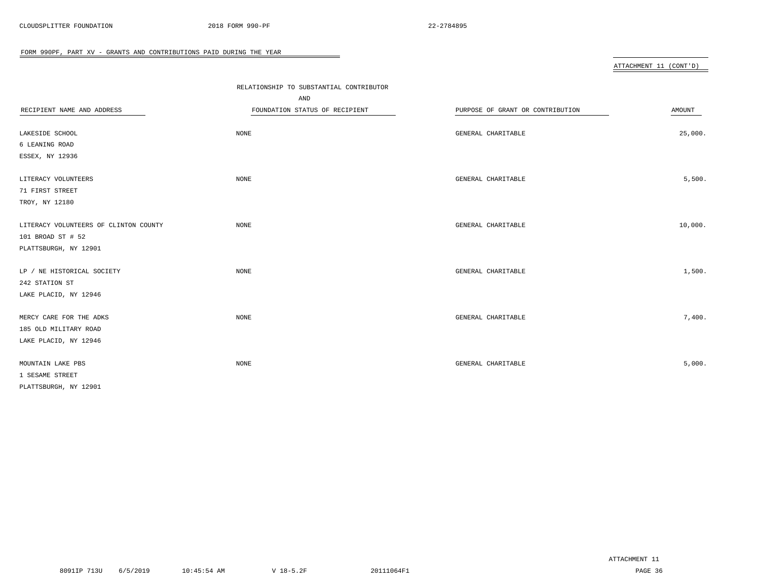|                                       | RELATIONSHIP TO SUBSTANTIAL CONTRIBUTOR |                                  |         |
|---------------------------------------|-----------------------------------------|----------------------------------|---------|
|                                       | AND                                     |                                  |         |
| RECIPIENT NAME AND ADDRESS            | FOUNDATION STATUS OF RECIPIENT          | PURPOSE OF GRANT OR CONTRIBUTION | AMOUNT  |
|                                       |                                         |                                  |         |
| LAKESIDE SCHOOL                       | NONE                                    | GENERAL CHARITABLE               | 25,000. |
| 6 LEANING ROAD                        |                                         |                                  |         |
| ESSEX, NY 12936                       |                                         |                                  |         |
| LITERACY VOLUNTEERS                   | NONE                                    | GENERAL CHARITABLE               | 5,500.  |
| 71 FIRST STREET                       |                                         |                                  |         |
| TROY, NY 12180                        |                                         |                                  |         |
| LITERACY VOLUNTEERS OF CLINTON COUNTY | NONE                                    | GENERAL CHARITABLE               | 10,000. |
| 101 BROAD ST # 52                     |                                         |                                  |         |
| PLATTSBURGH, NY 12901                 |                                         |                                  |         |
| LP / NE HISTORICAL SOCIETY            | NONE                                    | GENERAL CHARITABLE               | 1,500.  |
| 242 STATION ST                        |                                         |                                  |         |
| LAKE PLACID, NY 12946                 |                                         |                                  |         |
| MERCY CARE FOR THE ADKS               | NONE                                    | GENERAL CHARITABLE               | 7,400.  |
| 185 OLD MILITARY ROAD                 |                                         |                                  |         |
| LAKE PLACID, NY 12946                 |                                         |                                  |         |
| MOUNTAIN LAKE PBS                     | NONE                                    | GENERAL CHARITABLE               | 5,000.  |
| 1 SESAME STREET                       |                                         |                                  |         |
| PLATTSBURGH, NY 12901                 |                                         |                                  |         |

 $\overline{\phantom{a}}$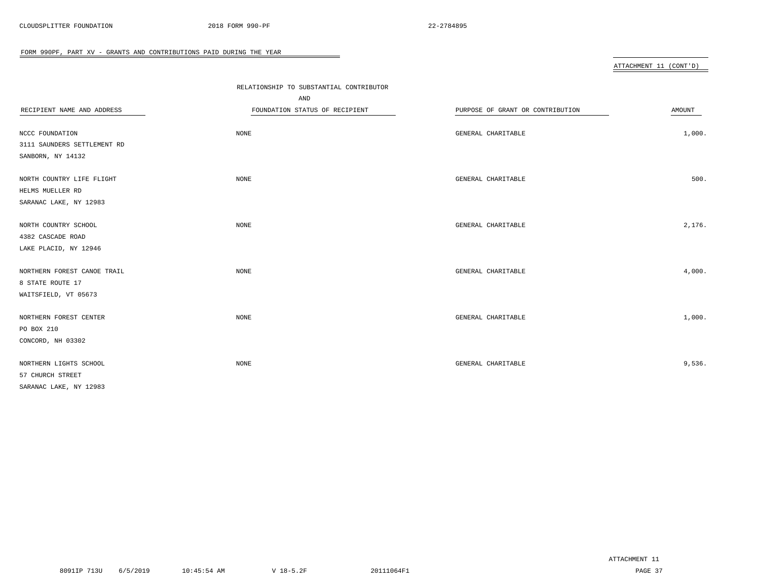|                             | RELATIONSHIP TO SUBSTANTIAL CONTRIBUTOR |                                  |        |
|-----------------------------|-----------------------------------------|----------------------------------|--------|
|                             | AND                                     |                                  |        |
| RECIPIENT NAME AND ADDRESS  | FOUNDATION STATUS OF RECIPIENT          | PURPOSE OF GRANT OR CONTRIBUTION | AMOUNT |
|                             |                                         |                                  |        |
| NCCC FOUNDATION             | NONE                                    | GENERAL CHARITABLE               | 1,000. |
| 3111 SAUNDERS SETTLEMENT RD |                                         |                                  |        |
| SANBORN, NY 14132           |                                         |                                  |        |
| NORTH COUNTRY LIFE FLIGHT   | NONE                                    | GENERAL CHARITABLE               | 500.   |
| HELMS MUELLER RD            |                                         |                                  |        |
| SARANAC LAKE, NY 12983      |                                         |                                  |        |
| NORTH COUNTRY SCHOOL        | NONE                                    | GENERAL CHARITABLE               | 2,176. |
| 4382 CASCADE ROAD           |                                         |                                  |        |
| LAKE PLACID, NY 12946       |                                         |                                  |        |
|                             |                                         |                                  |        |
| NORTHERN FOREST CANOE TRAIL | NONE                                    | GENERAL CHARITABLE               | 4,000. |
| 8 STATE ROUTE 17            |                                         |                                  |        |
| WAITSFIELD, VT 05673        |                                         |                                  |        |
| NORTHERN FOREST CENTER      | NONE                                    | GENERAL CHARITABLE               | 1,000. |
| PO BOX 210                  |                                         |                                  |        |
| CONCORD, NH 03302           |                                         |                                  |        |
| NORTHERN LIGHTS SCHOOL      | NONE                                    | GENERAL CHARITABLE               | 9,536. |
| 57 CHURCH STREET            |                                         |                                  |        |
| SARANAC LAKE, NY 12983      |                                         |                                  |        |
|                             |                                         |                                  |        |

 $\overline{\phantom{0}}$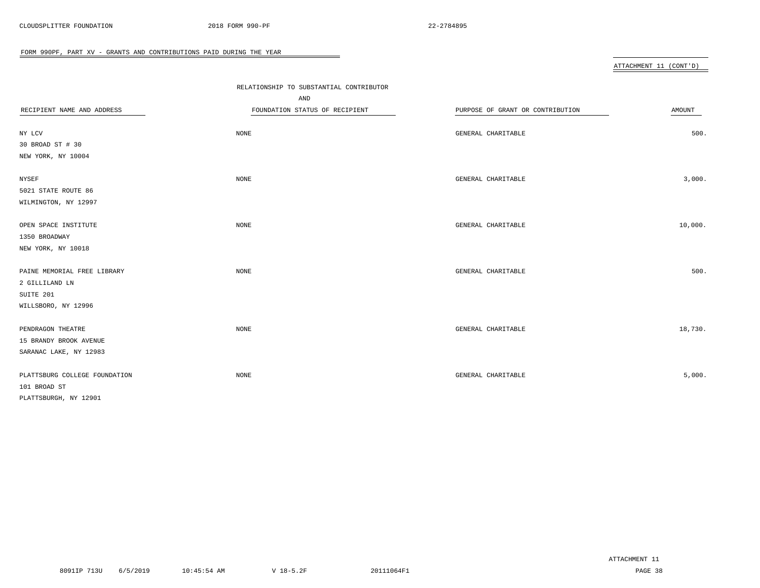|                               | RELATIONSHIP TO SUBSTANTIAL CONTRIBUTOR |                                  |         |
|-------------------------------|-----------------------------------------|----------------------------------|---------|
|                               | AND                                     |                                  |         |
| RECIPIENT NAME AND ADDRESS    | FOUNDATION STATUS OF RECIPIENT          | PURPOSE OF GRANT OR CONTRIBUTION | AMOUNT  |
|                               |                                         |                                  |         |
| NY LCV                        | NONE                                    | GENERAL CHARITABLE               | 500.    |
| 30 BROAD ST # 30              |                                         |                                  |         |
| NEW YORK, NY 10004            |                                         |                                  |         |
|                               |                                         |                                  |         |
| NYSEF                         | <b>NONE</b>                             | GENERAL CHARITABLE               | 3,000.  |
| 5021 STATE ROUTE 86           |                                         |                                  |         |
| WILMINGTON, NY 12997          |                                         |                                  |         |
|                               |                                         |                                  |         |
| OPEN SPACE INSTITUTE          | NONE                                    | GENERAL CHARITABLE               | 10,000. |
| 1350 BROADWAY                 |                                         |                                  |         |
| NEW YORK, NY 10018            |                                         |                                  |         |
|                               |                                         |                                  |         |
| PAINE MEMORIAL FREE LIBRARY   | <b>NONE</b>                             | GENERAL CHARITABLE               | 500.    |
| 2 GILLILAND LN                |                                         |                                  |         |
| SUITE 201                     |                                         |                                  |         |
| WILLSBORO, NY 12996           |                                         |                                  |         |
|                               |                                         |                                  |         |
| PENDRAGON THEATRE             | <b>NONE</b>                             | GENERAL CHARITABLE               | 18,730. |
| 15 BRANDY BROOK AVENUE        |                                         |                                  |         |
| SARANAC LAKE, NY 12983        |                                         |                                  |         |
|                               |                                         |                                  |         |
| PLATTSBURG COLLEGE FOUNDATION | NONE                                    | GENERAL CHARITABLE               | 5,000.  |
| 101 BROAD ST                  |                                         |                                  |         |
| PLATTSBURGH, NY 12901         |                                         |                                  |         |

 $\overline{\phantom{0}}$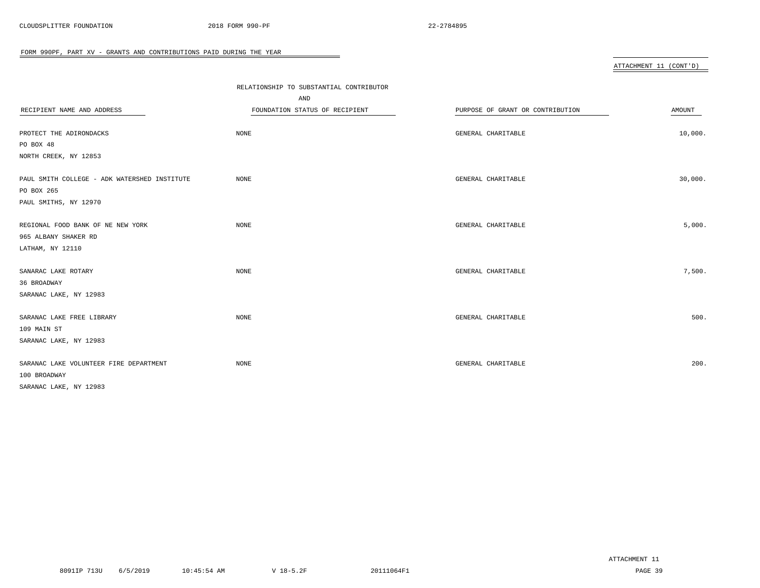|                                                                                     |                                         |                                  | ATTACHMENT 11 (CONT'D) |
|-------------------------------------------------------------------------------------|-----------------------------------------|----------------------------------|------------------------|
|                                                                                     |                                         |                                  |                        |
|                                                                                     | RELATIONSHIP TO SUBSTANTIAL CONTRIBUTOR |                                  |                        |
|                                                                                     | AND                                     |                                  |                        |
| RECIPIENT NAME AND ADDRESS                                                          | FOUNDATION STATUS OF RECIPIENT          | PURPOSE OF GRANT OR CONTRIBUTION | AMOUNT                 |
| PROTECT THE ADIRONDACKS                                                             | NONE                                    | GENERAL CHARITABLE               | 10,000.                |
| PO BOX 48                                                                           |                                         |                                  |                        |
| NORTH CREEK, NY 12853                                                               |                                         |                                  |                        |
| PAUL SMITH COLLEGE - ADK WATERSHED INSTITUTE<br>PO BOX 265<br>PAUL SMITHS, NY 12970 | $\rm{NONE}$                             | GENERAL CHARITABLE               | 30,000.                |
|                                                                                     |                                         |                                  |                        |
| REGIONAL FOOD BANK OF NE NEW YORK                                                   | <b>NONE</b>                             | GENERAL CHARITABLE               | 5,000.                 |
| 965 ALBANY SHAKER RD                                                                |                                         |                                  |                        |
| LATHAM, NY 12110                                                                    |                                         |                                  |                        |
| SANARAC LAKE ROTARY<br>36 BROADWAY                                                  | NONE                                    | GENERAL CHARITABLE               | 7,500.                 |
| SARANAC LAKE, NY 12983                                                              |                                         |                                  |                        |
| SARANAC LAKE FREE LIBRARY<br>109 MAIN ST                                            | NONE                                    | GENERAL CHARITABLE               | 500.                   |
| SARANAC LAKE, NY 12983                                                              |                                         |                                  |                        |
| SARANAC LAKE VOLUNTEER FIRE DEPARTMENT<br>100 BROADWAY                              | NONE                                    | GENERAL CHARITABLE               | 200.                   |
| SARANAC LAKE, NY 12983                                                              |                                         |                                  |                        |
|                                                                                     |                                         |                                  |                        |

 $\equiv$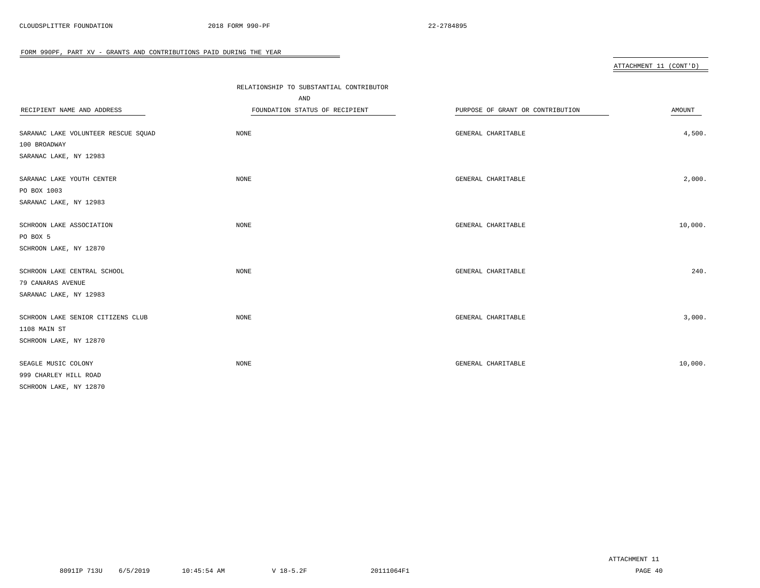|                                     | RELATIONSHIP TO SUBSTANTIAL CONTRIBUTOR |                                  |         |
|-------------------------------------|-----------------------------------------|----------------------------------|---------|
|                                     | AND                                     |                                  |         |
| RECIPIENT NAME AND ADDRESS          | FOUNDATION STATUS OF RECIPIENT          | PURPOSE OF GRANT OR CONTRIBUTION | AMOUNT  |
|                                     |                                         |                                  |         |
| SARANAC LAKE VOLUNTEER RESCUE SQUAD | NONE                                    | GENERAL CHARITABLE               | 4,500.  |
| 100 BROADWAY                        |                                         |                                  |         |
| SARANAC LAKE, NY 12983              |                                         |                                  |         |
| SARANAC LAKE YOUTH CENTER           | NONE                                    | GENERAL CHARITABLE               | 2,000.  |
| PO BOX 1003                         |                                         |                                  |         |
| SARANAC LAKE, NY 12983              |                                         |                                  |         |
| SCHROON LAKE ASSOCIATION            | NONE                                    | GENERAL CHARITABLE               | 10,000. |
| PO BOX 5                            |                                         |                                  |         |
| SCHROON LAKE, NY 12870              |                                         |                                  |         |
|                                     |                                         |                                  |         |
| SCHROON LAKE CENTRAL SCHOOL         | NONE                                    | GENERAL CHARITABLE               | 240.    |
| 79 CANARAS AVENUE                   |                                         |                                  |         |
| SARANAC LAKE, NY 12983              |                                         |                                  |         |
| SCHROON LAKE SENIOR CITIZENS CLUB   | NONE                                    | GENERAL CHARITABLE               | 3,000.  |
| 1108 MAIN ST                        |                                         |                                  |         |
| SCHROON LAKE, NY 12870              |                                         |                                  |         |
| SEAGLE MUSIC COLONY                 | <b>NONE</b>                             | GENERAL CHARITABLE               | 10,000. |
| 999 CHARLEY HILL ROAD               |                                         |                                  |         |
| SCHROON LAKE, NY 12870              |                                         |                                  |         |
|                                     |                                         |                                  |         |

 $\overline{\phantom{a}}$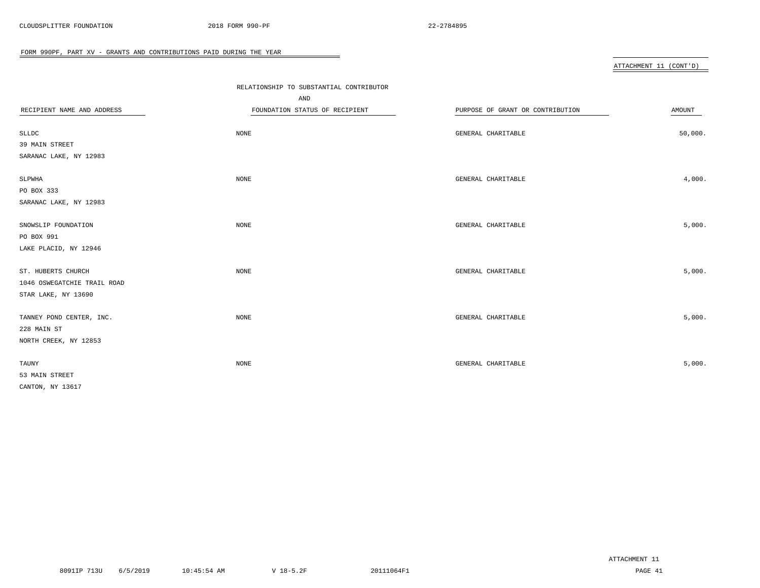|                             | RELATIONSHIP TO SUBSTANTIAL CONTRIBUTOR |                                  |               |
|-----------------------------|-----------------------------------------|----------------------------------|---------------|
|                             | AND                                     |                                  |               |
| RECIPIENT NAME AND ADDRESS  | FOUNDATION STATUS OF RECIPIENT          | PURPOSE OF GRANT OR CONTRIBUTION | <b>AMOUNT</b> |
|                             |                                         |                                  |               |
| <b>SLLDC</b>                | NONE                                    | GENERAL CHARITABLE               | 50,000.       |
| 39 MAIN STREET              |                                         |                                  |               |
| SARANAC LAKE, NY 12983      |                                         |                                  |               |
| SLPWHA                      | NONE                                    | GENERAL CHARITABLE               | 4,000.        |
| PO BOX 333                  |                                         |                                  |               |
| SARANAC LAKE, NY 12983      |                                         |                                  |               |
|                             |                                         |                                  | 5,000.        |
| SNOWSLIP FOUNDATION         | NONE                                    | GENERAL CHARITABLE               |               |
| PO BOX 991                  |                                         |                                  |               |
| LAKE PLACID, NY 12946       |                                         |                                  |               |
| ST. HUBERTS CHURCH          | NONE                                    | GENERAL CHARITABLE               | 5,000.        |
| 1046 OSWEGATCHIE TRAIL ROAD |                                         |                                  |               |
| STAR LAKE, NY 13690         |                                         |                                  |               |
| TANNEY POND CENTER, INC.    | NONE                                    | GENERAL CHARITABLE               | 5,000.        |
| 228 MAIN ST                 |                                         |                                  |               |
| NORTH CREEK, NY 12853       |                                         |                                  |               |
|                             |                                         |                                  |               |
| TAUNY                       | NONE                                    | GENERAL CHARITABLE               | 5,000.        |
| 53 MAIN STREET              |                                         |                                  |               |
| CANTON, NY 13617            |                                         |                                  |               |

 $\overline{\phantom{a}}$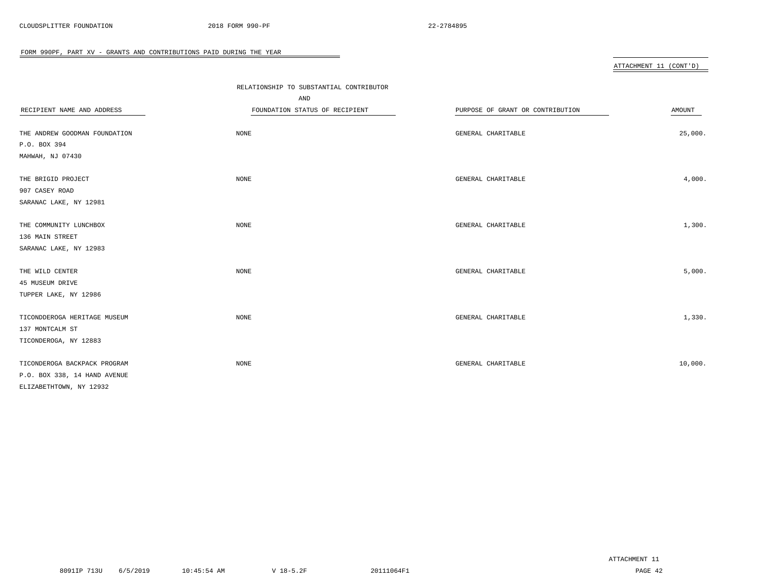|                               | RELATIONSHIP TO SUBSTANTIAL CONTRIBUTOR |                                  |         |  |  |  |  |
|-------------------------------|-----------------------------------------|----------------------------------|---------|--|--|--|--|
|                               | AND                                     |                                  |         |  |  |  |  |
| RECIPIENT NAME AND ADDRESS    | FOUNDATION STATUS OF RECIPIENT          | PURPOSE OF GRANT OR CONTRIBUTION | AMOUNT  |  |  |  |  |
|                               |                                         |                                  |         |  |  |  |  |
| THE ANDREW GOODMAN FOUNDATION | <b>NONE</b>                             | GENERAL CHARITABLE               | 25,000. |  |  |  |  |
| P.O. BOX 394                  |                                         |                                  |         |  |  |  |  |
| MAHWAH, NJ 07430              |                                         |                                  |         |  |  |  |  |
| THE BRIGID PROJECT            | <b>NONE</b>                             | GENERAL CHARITABLE               | 4,000.  |  |  |  |  |
| 907 CASEY ROAD                |                                         |                                  |         |  |  |  |  |
| SARANAC LAKE, NY 12981        |                                         |                                  |         |  |  |  |  |
| THE COMMUNITY LUNCHBOX        | NONE                                    | GENERAL CHARITABLE               | 1,300.  |  |  |  |  |
| 136 MAIN STREET               |                                         |                                  |         |  |  |  |  |
| SARANAC LAKE, NY 12983        |                                         |                                  |         |  |  |  |  |
|                               |                                         |                                  |         |  |  |  |  |
| THE WILD CENTER               | NONE                                    | GENERAL CHARITABLE               | 5,000.  |  |  |  |  |
| 45 MUSEUM DRIVE               |                                         |                                  |         |  |  |  |  |
| TUPPER LAKE, NY 12986         |                                         |                                  |         |  |  |  |  |
| TICONDDEROGA HERITAGE MUSEUM  | <b>NONE</b>                             | GENERAL CHARITABLE               | 1,330.  |  |  |  |  |
| 137 MONTCALM ST               |                                         |                                  |         |  |  |  |  |
| TICONDEROGA, NY 12883         |                                         |                                  |         |  |  |  |  |
|                               |                                         |                                  |         |  |  |  |  |
| TICONDEROGA BACKPACK PROGRAM  | <b>NONE</b>                             | GENERAL CHARITABLE               | 10,000. |  |  |  |  |
| P.O. BOX 338, 14 HAND AVENUE  |                                         |                                  |         |  |  |  |  |
| ELIZABETHTOWN, NY 12932       |                                         |                                  |         |  |  |  |  |

 $\overline{\phantom{a}}$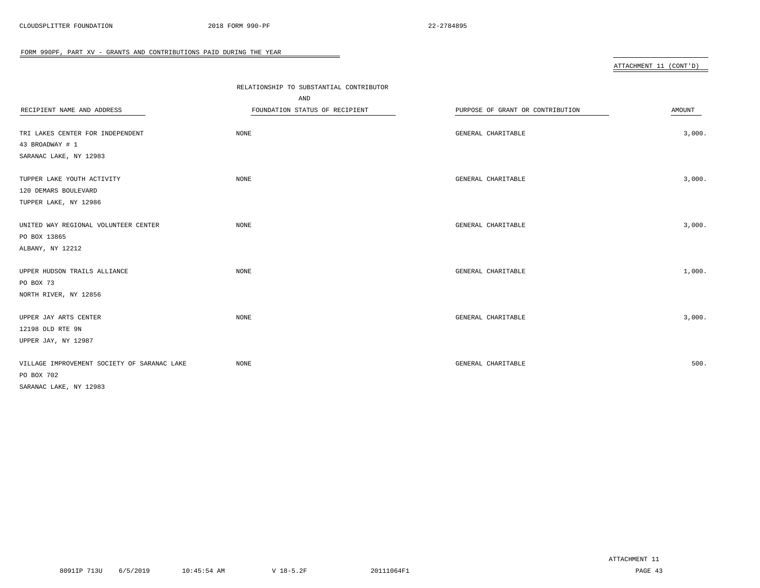|                                             | RELATIONSHIP TO SUBSTANTIAL CONTRIBUTOR |                                  |        |
|---------------------------------------------|-----------------------------------------|----------------------------------|--------|
|                                             | AND                                     |                                  |        |
| RECIPIENT NAME AND ADDRESS                  | FOUNDATION STATUS OF RECIPIENT          | PURPOSE OF GRANT OR CONTRIBUTION | AMOUNT |
|                                             |                                         |                                  |        |
| TRI LAKES CENTER FOR INDEPENDENT            | NONE                                    | GENERAL CHARITABLE               | 3,000. |
| 43 BROADWAY # 1                             |                                         |                                  |        |
| SARANAC LAKE, NY 12983                      |                                         |                                  |        |
| TUPPER LAKE YOUTH ACTIVITY                  | <b>NONE</b>                             | GENERAL CHARITABLE               | 3,000. |
| 120 DEMARS BOULEVARD                        |                                         |                                  |        |
| TUPPER LAKE, NY 12986                       |                                         |                                  |        |
|                                             |                                         |                                  |        |
| UNITED WAY REGIONAL VOLUNTEER CENTER        | <b>NONE</b>                             | GENERAL CHARITABLE               | 3,000. |
| PO BOX 13865                                |                                         |                                  |        |
| ALBANY, NY 12212                            |                                         |                                  |        |
|                                             |                                         |                                  |        |
| UPPER HUDSON TRAILS ALLIANCE                | <b>NONE</b>                             | GENERAL CHARITABLE               | 1,000. |
| PO BOX 73                                   |                                         |                                  |        |
| NORTH RIVER, NY 12856                       |                                         |                                  |        |
| UPPER JAY ARTS CENTER                       | <b>NONE</b>                             | GENERAL CHARITABLE               | 3,000. |
| 12198 OLD RTE 9N                            |                                         |                                  |        |
| UPPER JAY, NY 12987                         |                                         |                                  |        |
|                                             |                                         |                                  |        |
| VILLAGE IMPROVEMENT SOCIETY OF SARANAC LAKE | <b>NONE</b>                             | GENERAL CHARITABLE               | 500.   |
| PO BOX 702                                  |                                         |                                  |        |
| SARANAC LAKE, NY 12983                      |                                         |                                  |        |

 $\equiv$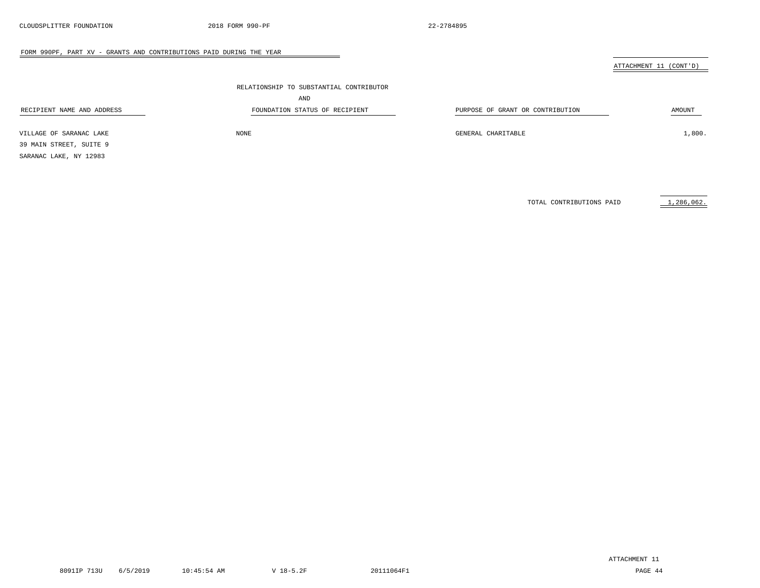ATTACHMENT 11 (CONT'D)

|                            | RELATIONSHIP TO SUBSTANTIAL CONTRIBUTOR |                                  |        |
|----------------------------|-----------------------------------------|----------------------------------|--------|
|                            | AND                                     |                                  |        |
| RECIPIENT NAME AND ADDRESS | FOUNDATION STATUS OF RECIPIENT          | PURPOSE OF GRANT OR CONTRIBUTION | AMOUNT |
| VILLAGE OF SARANAC LAKE    | NONE                                    | GENERAL CHARITABLE               | 1,800. |

39 MAIN STREET, SUITE 9

SARANAC LAKE, NY 12983

TOTAL CONTRIBUTIONS PAID 1,286,062.

8091IP 713U 6/5/2019 10:45:54 AM V 18-5.2F 20111064F1 PAGE 44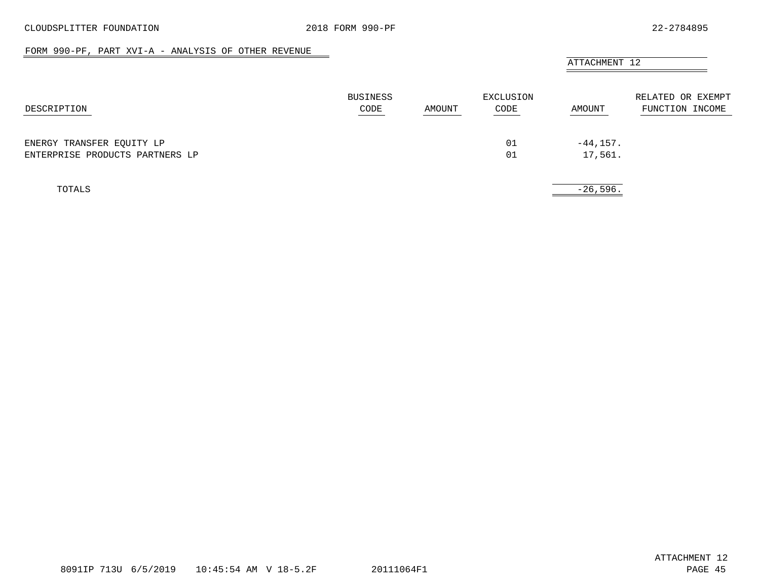#### FORM 990-PF, PART XVI-A - ANALYSIS OF OTHER REVENUE

<span id="page-44-0"></span>

|                                 |                         | AMOUNT | EXCLUSION<br>CODE | ATTACHMENT 12 |                                      |
|---------------------------------|-------------------------|--------|-------------------|---------------|--------------------------------------|
| DESCRIPTION                     | <b>BUSINESS</b><br>CODE |        |                   | AMOUNT        | RELATED OR EXEMPT<br>FUNCTION INCOME |
| ENERGY TRANSFER EQUITY LP       |                         |        | 01                | $-44, 157.$   |                                      |
| ENTERPRISE PRODUCTS PARTNERS LP |                         |        | 01                | 17,561.       |                                      |
| TOTALS                          |                         |        |                   | $-26,596.$    |                                      |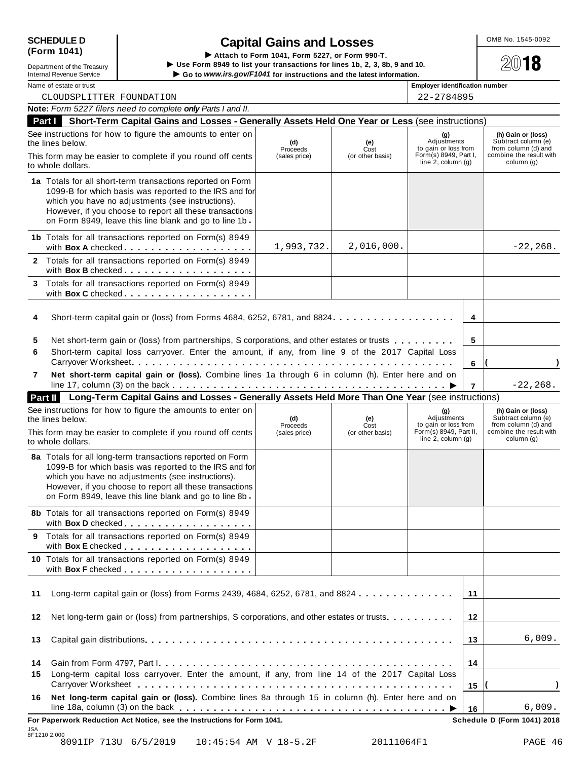| <b>SCHEDULE D</b> |  |
|-------------------|--|
| (Form 1041)       |  |

| Department of the Treasury      |
|---------------------------------|
| <b>Internal Revenue Service</b> |

SCHEDULE D<br>
(Form 1041)<br>
Lepartment of the Treasury<br>
Lepartment of the Treasury<br>
Lepartment of the Treasury<br>
Contained the Section and Section 1041, Form 5227, or Form 990-T.<br>
Contained the Section 1041 and 10. Department of the Treasury<br>
Department of the Treasury<br>
Department of the Treasury<br>
Internal Revenue Service<br>
Name of estate or trust<br>
Name of estate or trust<br>
Name of estate or trust<br>
Name of estate or trust<br>
Name of est

CLOUDSPLITTER FOUNDATION 22-2784895

|                | Note: Form 5227 filers need to complete only Parts I and II.                                                                                                                                                                                                                                                      |                                  |                                 |                                                                                                 |                |                                                                                                           |
|----------------|-------------------------------------------------------------------------------------------------------------------------------------------------------------------------------------------------------------------------------------------------------------------------------------------------------------------|----------------------------------|---------------------------------|-------------------------------------------------------------------------------------------------|----------------|-----------------------------------------------------------------------------------------------------------|
| Part I         | Short-Term Capital Gains and Losses - Generally Assets Held One Year or Less (see instructions)                                                                                                                                                                                                                   |                                  |                                 |                                                                                                 |                |                                                                                                           |
|                | See instructions for how to figure the amounts to enter on<br>the lines below.<br>This form may be easier to complete if you round off cents<br>to whole dollars.                                                                                                                                                 | (d)<br>Proceeds<br>(sales price) | (e)<br>Cost<br>(or other basis) | (g)<br>Adjustments<br>to gain or loss from<br>Form(s) 8949, Part I,<br>line $2$ , column $(g)$  |                | (h) Gain or (loss)<br>Subtract column (e)<br>from column (d) and<br>combine the result with<br>column (g) |
|                | 1a Totals for all short-term transactions reported on Form<br>1099-B for which basis was reported to the IRS and for<br>which you have no adjustments (see instructions).<br>However, if you choose to report all these transactions<br>on Form 8949, leave this line blank and go to line 1b.                    |                                  |                                 |                                                                                                 |                |                                                                                                           |
|                | 1b Totals for all transactions reported on Form(s) 8949<br>with Box A checked.                                                                                                                                                                                                                                    | 1,993,732.                       | 2,016,000.                      |                                                                                                 |                | $-22, 268.$                                                                                               |
|                | 2 Totals for all transactions reported on Form(s) 8949<br>with Box B checked                                                                                                                                                                                                                                      |                                  |                                 |                                                                                                 |                |                                                                                                           |
| 3              | Totals for all transactions reported on Form(s) 8949<br>with Box C checked                                                                                                                                                                                                                                        |                                  |                                 |                                                                                                 |                |                                                                                                           |
| 4              | Short-term capital gain or (loss) from Forms 4684, 6252, 6781, and 8824.                                                                                                                                                                                                                                          |                                  |                                 |                                                                                                 | 4              |                                                                                                           |
| 5<br>6         | Net short-term gain or (loss) from partnerships, S corporations, and other estates or trusts<br>Short-term capital loss carryover. Enter the amount, if any, from line 9 of the 2017 Capital Loss                                                                                                                 |                                  |                                 |                                                                                                 | 5              |                                                                                                           |
| 7              | Net short-term capital gain or (loss). Combine lines 1a through 6 in column (h). Enter here and on                                                                                                                                                                                                                |                                  |                                 |                                                                                                 | 6              | $-22, 268.$                                                                                               |
|                | Part II Long-Term Capital Gains and Losses - Generally Assets Held More Than One Year (see instructions)                                                                                                                                                                                                          |                                  |                                 |                                                                                                 | $\overline{7}$ |                                                                                                           |
|                | See instructions for how to figure the amounts to enter on<br>the lines below.<br>This form may be easier to complete if you round off cents                                                                                                                                                                      | (d)<br>Proceeds<br>(sales price) | (e)<br>Cost<br>(or other basis) | (g)<br>Adjustments<br>to gain or loss from<br>Form(s) 8949, Part II,<br>line $2$ , column $(g)$ |                | (h) Gain or (loss)<br>Subtract column (e)<br>from column (d) and<br>combine the result with<br>column (g) |
|                | to whole dollars.<br>8a Totals for all long-term transactions reported on Form<br>1099-B for which basis was reported to the IRS and for<br>which you have no adjustments (see instructions).<br>However, if you choose to report all these transactions<br>on Form 8949, leave this line blank and go to line 8b |                                  |                                 |                                                                                                 |                |                                                                                                           |
|                | 8b Totals for all transactions reported on Form(s) 8949<br>with Box D checked                                                                                                                                                                                                                                     |                                  |                                 |                                                                                                 |                |                                                                                                           |
|                | 9 Totals for all transactions reported on Form(s) 8949                                                                                                                                                                                                                                                            |                                  |                                 |                                                                                                 |                |                                                                                                           |
|                | 10 Totals for all transactions reported on Form(s) 8949                                                                                                                                                                                                                                                           |                                  |                                 |                                                                                                 |                |                                                                                                           |
| 11             | Long-term capital gain or (loss) from Forms 2439, 4684, 6252, 6781, and 8824                                                                                                                                                                                                                                      |                                  |                                 |                                                                                                 | 11             |                                                                                                           |
| 12             | Net long-term gain or (loss) from partnerships, S corporations, and other estates or trusts.                                                                                                                                                                                                                      |                                  |                                 |                                                                                                 | 12             |                                                                                                           |
|                |                                                                                                                                                                                                                                                                                                                   |                                  |                                 |                                                                                                 | 13             | 6,009.                                                                                                    |
|                |                                                                                                                                                                                                                                                                                                                   |                                  |                                 |                                                                                                 |                |                                                                                                           |
| 13<br>14<br>15 | Long-term capital loss carryover. Enter the amount, if any, from line 14 of the 2017 Capital Loss                                                                                                                                                                                                                 |                                  |                                 |                                                                                                 | 14<br>15       |                                                                                                           |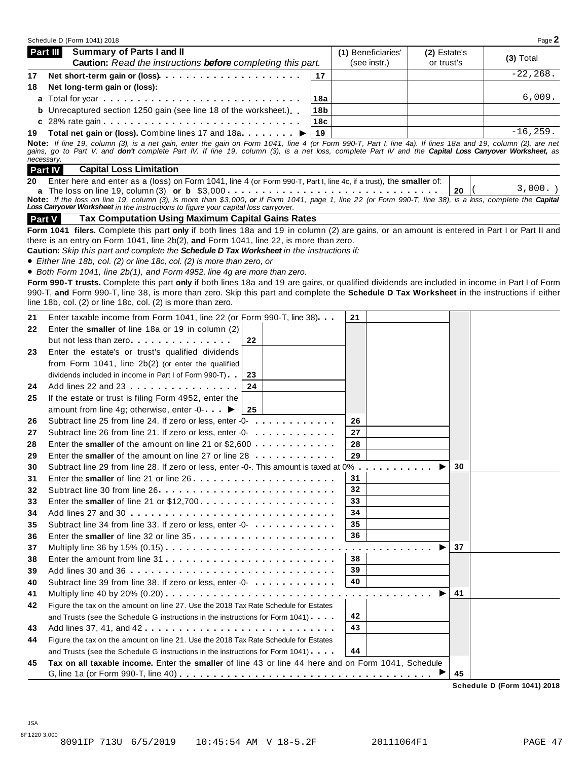|    | Schedule D (Form 1041) 2018                                                                                                                                                                                                                                                                                                                                                            |                 |                                    |                            |    | Page 2      |
|----|----------------------------------------------------------------------------------------------------------------------------------------------------------------------------------------------------------------------------------------------------------------------------------------------------------------------------------------------------------------------------------------|-----------------|------------------------------------|----------------------------|----|-------------|
|    | Summary of Parts I and II<br>Part III<br>Caution: Read the instructions before completing this part.                                                                                                                                                                                                                                                                                   |                 | (1) Beneficiaries'<br>(see instr.) | (2) Estate's<br>or trust's |    | $(3)$ Total |
| 17 | Net short-term gain or (loss)                                                                                                                                                                                                                                                                                                                                                          | 17              |                                    |                            |    | $-22, 268.$ |
| 18 | Net long-term gain or (loss):                                                                                                                                                                                                                                                                                                                                                          |                 |                                    |                            |    |             |
|    |                                                                                                                                                                                                                                                                                                                                                                                        | 18a             |                                    |                            |    | 6,009.      |
|    | <b>b</b> Unrecaptured section 1250 gain (see line 18 of the worksheet.)                                                                                                                                                                                                                                                                                                                | 18 <sub>b</sub> |                                    |                            |    |             |
|    |                                                                                                                                                                                                                                                                                                                                                                                        | 18c             |                                    |                            |    |             |
| 19 | Total net gain or (loss). Combine lines 17 and 18a ▶                                                                                                                                                                                                                                                                                                                                   | 19              |                                    |                            |    | $-16, 259.$ |
|    | Note: If line 19, column (3), is a net gain, enter the gain on Form 1041, line 4 (or Form 990-T, Part I, line 4a). If lines 18a and 19, column (2), are net<br>gains, go to Part V, and don't complete Part IV. If line 19, column (3), is a net loss, complete Part IV and the Capital Loss Carryover Worksheet, as<br>necessary.<br><b>Part IV</b><br><b>Capital Loss Limitation</b> |                 |                                    |                            |    |             |
| 20 | Enter here and enter as a (loss) on Form 1041, line 4 (or Form 990-T, Part I, line 4c, if a trust), the smaller of:                                                                                                                                                                                                                                                                    |                 |                                    |                            |    |             |
|    | Note: If the loss on line 19, column (3), is more than \$3,000, or if Form 1041, page 1, line 22 (or Form 990-T, line 38), is a loss, complete the Capital<br>Loss Carryover Worksheet in the instructions to figure your capital loss carryover.                                                                                                                                      |                 |                                    |                            | 20 | 3,000.      |
|    | <b>Tax Computation Using Maximum Capital Gains Rates</b><br><b>Part V</b>                                                                                                                                                                                                                                                                                                              |                 |                                    |                            |    |             |
|    | Form 1041 filers. Complete this part only if both lines 18a and 19 in column (2) are gains, or an amount is entered in Part I or Part II and                                                                                                                                                                                                                                           |                 |                                    |                            |    |             |
|    | there is an entry on Form 1041, line 2b(2), and Form 1041, line 22, is more than zero.                                                                                                                                                                                                                                                                                                 |                 |                                    |                            |    |             |
|    | Caution: Skip this part and complete the Schedule D Tax Worksheet in the instructions if:                                                                                                                                                                                                                                                                                              |                 |                                    |                            |    |             |
|    | • Either line 18b, col. (2) or line 18c, col. (2) is more than zero, or                                                                                                                                                                                                                                                                                                                |                 |                                    |                            |    |             |
|    | • Both Form 1041, line 2b(1), and Form 4952, line 4g are more than zero.                                                                                                                                                                                                                                                                                                               |                 |                                    |                            |    |             |
|    | Form 990-T trusts. Complete this part only if both lines 18a and 19 are gains, or qualified dividends are included in income in Part I of Form                                                                                                                                                                                                                                         |                 |                                    |                            |    |             |
|    | 990-T, and Form 990-T, line 38, is more than zero. Skip this part and complete the Schedule D Tax Worksheet in the instructions if either<br>line 18b, col. (2) or line 18c, col. (2) is more than zero.                                                                                                                                                                               |                 |                                    |                            |    |             |
|    |                                                                                                                                                                                                                                                                                                                                                                                        |                 |                                    |                            |    |             |
| 21 | Enter taxable income from Form 1041, line 22 (or Form 990-T, line 38).                                                                                                                                                                                                                                                                                                                 |                 | 21                                 |                            |    |             |
| 22 | Enter the smaller of line 18a or 19 in column (2)                                                                                                                                                                                                                                                                                                                                      |                 |                                    |                            |    |             |
|    | but not less than zero<br>22                                                                                                                                                                                                                                                                                                                                                           |                 |                                    |                            |    |             |
| 23 | Enter the estate's or trust's qualified dividends                                                                                                                                                                                                                                                                                                                                      |                 |                                    |                            |    |             |
|    | from Form 1041, line 2b(2) (or enter the qualified                                                                                                                                                                                                                                                                                                                                     |                 |                                    |                            |    |             |
|    | dividends included in income in Part I of Form 990-T)<br>23                                                                                                                                                                                                                                                                                                                            |                 |                                    |                            |    |             |
| 24 | Add lines 22 and 23<br>24                                                                                                                                                                                                                                                                                                                                                              |                 |                                    |                            |    |             |
| 25 | If the estate or trust is filing Form 4952, enter the                                                                                                                                                                                                                                                                                                                                  |                 |                                    |                            |    |             |
|    | amount from line 4g; otherwise, enter -0- ▶<br>25                                                                                                                                                                                                                                                                                                                                      |                 |                                    |                            |    |             |
| 26 | Subtract line 25 from line 24. If zero or less, enter -0-                                                                                                                                                                                                                                                                                                                              |                 | 26                                 |                            |    |             |
| 27 | Subtract line 26 from line 21. If zero or less, enter -0-                                                                                                                                                                                                                                                                                                                              |                 | 27                                 |                            |    |             |
| 28 | Enter the smaller of the amount on line 21 or $$2,600$                                                                                                                                                                                                                                                                                                                                 |                 | 28                                 |                            |    |             |
| 29 | Enter the smaller of the amount on line 27 or line 28                                                                                                                                                                                                                                                                                                                                  |                 | 29                                 |                            |    |             |
| 30 | Subtract line 29 from line 28. If zero or less, enter -0-. This amount is taxed at 0%                                                                                                                                                                                                                                                                                                  |                 |                                    |                            | 30 |             |
| 31 |                                                                                                                                                                                                                                                                                                                                                                                        |                 | 31                                 |                            |    |             |
| 32 | Subtract line 30 from line 26                                                                                                                                                                                                                                                                                                                                                          |                 | 32                                 |                            |    |             |
| 33 |                                                                                                                                                                                                                                                                                                                                                                                        |                 | 33                                 |                            |    |             |
| 34 | Add lines 27 and 30                                                                                                                                                                                                                                                                                                                                                                    |                 | 34                                 |                            |    |             |
| 35 | Subtract line 34 from line 33. If zero or less, enter -0-                                                                                                                                                                                                                                                                                                                              |                 | 35                                 |                            |    |             |
| 36 |                                                                                                                                                                                                                                                                                                                                                                                        |                 | 36                                 |                            |    |             |
| 37 |                                                                                                                                                                                                                                                                                                                                                                                        |                 | .                                  |                            | 37 |             |
| 38 |                                                                                                                                                                                                                                                                                                                                                                                        |                 | 38                                 |                            |    |             |
| 39 | Add lines 30 and 36                                                                                                                                                                                                                                                                                                                                                                    |                 | 39                                 |                            |    |             |
| 40 |                                                                                                                                                                                                                                                                                                                                                                                        |                 | 40                                 |                            |    |             |
| 41 |                                                                                                                                                                                                                                                                                                                                                                                        |                 |                                    |                            | 41 |             |
| 42 | Figure the tax on the amount on line 27. Use the 2018 Tax Rate Schedule for Estates                                                                                                                                                                                                                                                                                                    |                 |                                    |                            |    |             |
|    | and Trusts (see the Schedule G instructions in the instructions for Form 1041)                                                                                                                                                                                                                                                                                                         |                 | 42                                 |                            |    |             |
| 43 |                                                                                                                                                                                                                                                                                                                                                                                        |                 | 43                                 |                            |    |             |
| 44 | Figure the tax on the amount on line 21. Use the 2018 Tax Rate Schedule for Estates                                                                                                                                                                                                                                                                                                    |                 |                                    |                            |    |             |
|    | and Trusts (see the Schedule G instructions in the instructions for Form 1041).                                                                                                                                                                                                                                                                                                        |                 | 44                                 |                            |    |             |
| 45 | Tax on all taxable income. Enter the smaller of line 43 or line 44 here and on Form 1041, Schedule                                                                                                                                                                                                                                                                                     |                 |                                    |                            |    |             |
|    |                                                                                                                                                                                                                                                                                                                                                                                        |                 |                                    |                            | 45 |             |

**Schedule D (Form 1041) 2018**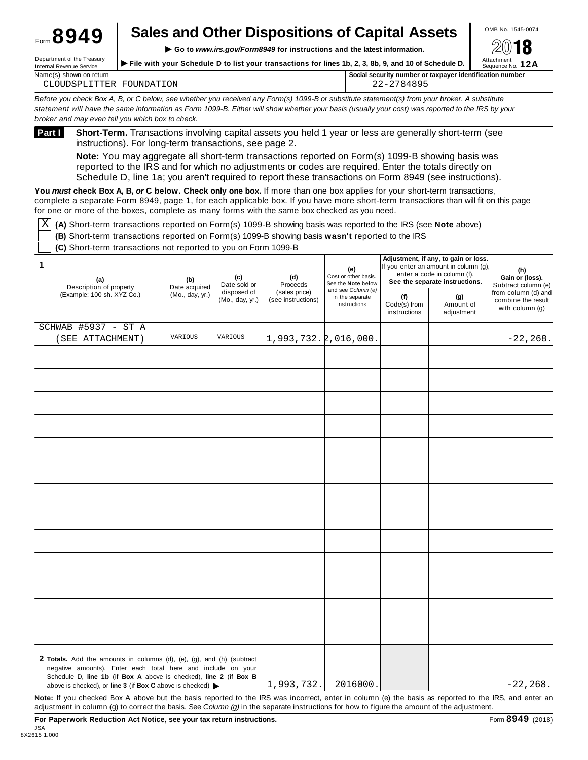| <b>Sales and Other Dispositions of Capital Assets</b> | OMB No. 1545-0074 |
|-------------------------------------------------------|-------------------|
|                                                       |                   |

**IM**<br>Internal Revenue Service incessury File with your Schedule D to list your transactions for lines 1b, 2, 3, 8b, 9, and 10 of Schedule D. Sequence No. 12A Department of the treasury<br>Internal Revenue Service<br>Internal Revenue Service

| Name(s)<br>) shown on return                                                                      | ' Social security number or taxpaver identification number |
|---------------------------------------------------------------------------------------------------|------------------------------------------------------------|
| <b>ION</b><br>את חידי "<br><b>FC</b><br>DА'<br>. ט צויי<br>$\overline{11}$<br>$\mathbf{H}$<br>- 1 | QQE<br>╮                                                   |

Before you check Box A, B, or C below, see whether you received any Form(s) 1099-B or substitute statement(s) from your broker. A substitute statement will have the same information as Form 1099-B. Either will show whether your basis (usually your cost) was reported to the IRS by your *broker and may even tell you which box to check.*

**Short-Term.** Transactions involving capital assets you held 1 year or less are generally short-term (see instructions). For long-term transactions, see page 2. **Part <sup>I</sup>**

**Note:** You may aggregate all short-term transactions reported on Form(s) 1099-B showing basis was reported to the IRS and for which no adjustments or codes are required. Enter the totals directly on Schedule D, line 1a; you aren't required to report these transactions on Form 8949 (see instructions).

**You** *must* **check Box A, B,** *or* **C below. Check only one box.** If more than one box applies for your short-term transactions, complete a separate Form 8949, page 1, for each applicable box. If you have more short-term transactions than will fit on this page for one or more of the boxes, complete as many forms with the same box checked as you need.

 $\overline{X}$  (A) Short-term transactions reported on Form(s) 1099-B showing basis was reported to the IRS (see Note above)

**(B)** Short-term transactions reported on Form(s) 1099-B showing basis **wasn't** reported to the IRS

**(C)** Short-term transactions not reported to you on Form 1099-B

Form **8949**

| 1<br>(a)<br>Description of property                                                                                                                                                                                                                                                          | (b)<br>Date acquired | (e)<br>Cost or other basis.<br>(c)<br>(d)<br>See the Note below<br>Proceeds<br>Date sold or<br>and see Column (e)<br>disposed of<br>(sales price)<br>in the separate<br>(f)<br>(Mo., day, yr.)<br>(see instructions)<br>instructions |                                   |                                | Adjustment, if any, to gain or loss.<br>If you enter an amount in column (g),<br>enter a code in column (f).<br>See the separate instructions. |  | (h)<br>Gain or (loss).<br>Subtract column (e) |
|----------------------------------------------------------------------------------------------------------------------------------------------------------------------------------------------------------------------------------------------------------------------------------------------|----------------------|--------------------------------------------------------------------------------------------------------------------------------------------------------------------------------------------------------------------------------------|-----------------------------------|--------------------------------|------------------------------------------------------------------------------------------------------------------------------------------------|--|-----------------------------------------------|
| (Example: 100 sh. XYZ Co.)                                                                                                                                                                                                                                                                   | (Mo., day, yr.)      |                                                                                                                                                                                                                                      | Code(s) from<br>instructions      | (g)<br>Amount of<br>adjustment | from column (d) and<br>combine the result<br>with column (g)                                                                                   |  |                                               |
| SCHWAB #5937 - ST A                                                                                                                                                                                                                                                                          |                      |                                                                                                                                                                                                                                      |                                   |                                |                                                                                                                                                |  |                                               |
| (SEE ATTACHMENT)                                                                                                                                                                                                                                                                             | VARIOUS              | VARIOUS                                                                                                                                                                                                                              | $1,993,732.\overline{2},016,000.$ |                                |                                                                                                                                                |  | $-22, 268.$                                   |
|                                                                                                                                                                                                                                                                                              |                      |                                                                                                                                                                                                                                      |                                   |                                |                                                                                                                                                |  |                                               |
|                                                                                                                                                                                                                                                                                              |                      |                                                                                                                                                                                                                                      |                                   |                                |                                                                                                                                                |  |                                               |
|                                                                                                                                                                                                                                                                                              |                      |                                                                                                                                                                                                                                      |                                   |                                |                                                                                                                                                |  |                                               |
|                                                                                                                                                                                                                                                                                              |                      |                                                                                                                                                                                                                                      |                                   |                                |                                                                                                                                                |  |                                               |
|                                                                                                                                                                                                                                                                                              |                      |                                                                                                                                                                                                                                      |                                   |                                |                                                                                                                                                |  |                                               |
|                                                                                                                                                                                                                                                                                              |                      |                                                                                                                                                                                                                                      |                                   |                                |                                                                                                                                                |  |                                               |
|                                                                                                                                                                                                                                                                                              |                      |                                                                                                                                                                                                                                      |                                   |                                |                                                                                                                                                |  |                                               |
|                                                                                                                                                                                                                                                                                              |                      |                                                                                                                                                                                                                                      |                                   |                                |                                                                                                                                                |  |                                               |
|                                                                                                                                                                                                                                                                                              |                      |                                                                                                                                                                                                                                      |                                   |                                |                                                                                                                                                |  |                                               |
|                                                                                                                                                                                                                                                                                              |                      |                                                                                                                                                                                                                                      |                                   |                                |                                                                                                                                                |  |                                               |
|                                                                                                                                                                                                                                                                                              |                      |                                                                                                                                                                                                                                      |                                   |                                |                                                                                                                                                |  |                                               |
|                                                                                                                                                                                                                                                                                              |                      |                                                                                                                                                                                                                                      |                                   |                                |                                                                                                                                                |  |                                               |
|                                                                                                                                                                                                                                                                                              |                      |                                                                                                                                                                                                                                      |                                   |                                |                                                                                                                                                |  |                                               |
|                                                                                                                                                                                                                                                                                              |                      |                                                                                                                                                                                                                                      |                                   |                                |                                                                                                                                                |  |                                               |
|                                                                                                                                                                                                                                                                                              |                      |                                                                                                                                                                                                                                      |                                   |                                |                                                                                                                                                |  |                                               |
|                                                                                                                                                                                                                                                                                              |                      |                                                                                                                                                                                                                                      |                                   |                                |                                                                                                                                                |  |                                               |
|                                                                                                                                                                                                                                                                                              |                      |                                                                                                                                                                                                                                      |                                   |                                |                                                                                                                                                |  |                                               |
|                                                                                                                                                                                                                                                                                              |                      |                                                                                                                                                                                                                                      |                                   |                                |                                                                                                                                                |  |                                               |
|                                                                                                                                                                                                                                                                                              |                      |                                                                                                                                                                                                                                      |                                   |                                |                                                                                                                                                |  |                                               |
|                                                                                                                                                                                                                                                                                              |                      |                                                                                                                                                                                                                                      |                                   |                                |                                                                                                                                                |  |                                               |
| 2 Totals. Add the amounts in columns (d), (e), (g), and (h) (subtract<br>negative amounts). Enter each total here and include on your<br>Schedule D, line 1b (if Box A above is checked), line 2 (if Box B<br>above is checked), or line 3 (if Box C above is checked) $\blacktriangleright$ |                      |                                                                                                                                                                                                                                      | 1,993,732.                        | 2016000.                       |                                                                                                                                                |  | $-22, 268.$                                   |

**Note:** If you checked Box A above but the basis reported to the IRS was incorrect, enter in column (e) the basis as reported to the IRS, and enter an adjustment in column (g) to correct the basis. See *Column (g)* in the separate instructions for how to figure the amount of the adjustment.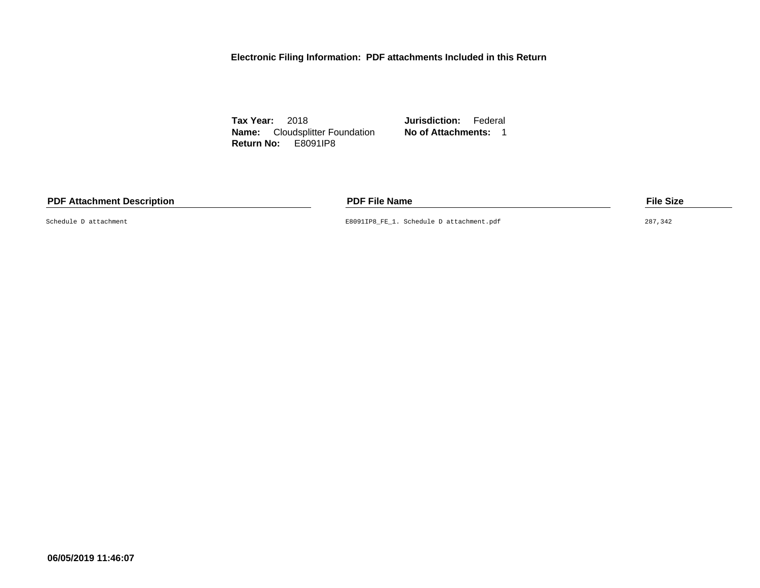**Electronic Filing Information: PDF attachments Included in this Return**

**Tax Year:** 2018 **Jurisdiction:** Federal **Name:** Cloudsplitter Foundation **No of Attachments:** 1 **Return No:** E8091IP8

#### **PDF Attachment Description PDF File Name File Size**

Schedule D attachment E8091IP8\_FE\_1. Schedule D attachment.pdf 287,342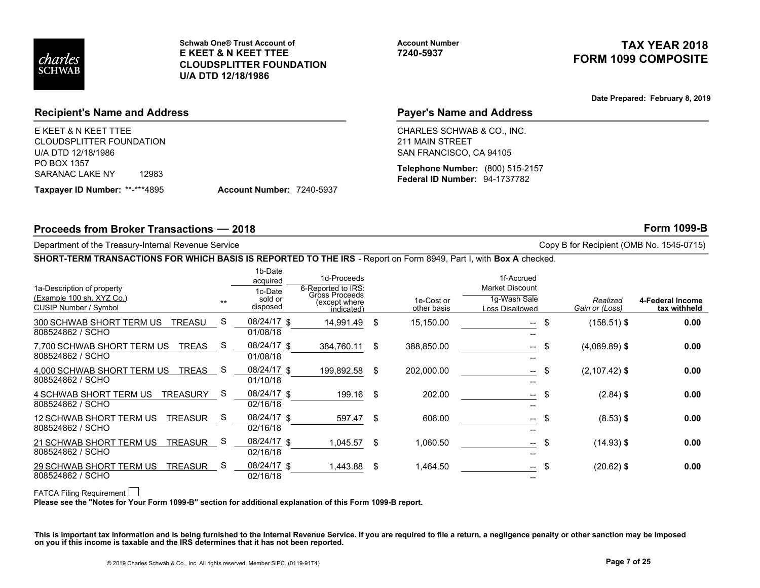

# TAX YEAR 2018 FORM 1099 COMPOSITE

## Recipient's Name and Address

## Payer's Name and Address

#### SHORT-TERM TRANSACTIONS FOR WHICH BASIS IS REPORTED TO THE IRS - Report on Form 8949, Part I, with Box A checked.

| charles<br><b>SCHWAB</b>                                                                                          | U/A DTD 12/18/1986 | <b>Schwab One® Trust Account of</b><br><b>E KEET &amp; N KEET TTEE</b><br><b>CLOUDSPLITTER FOUNDATION</b> |                                      | <b>Account Number</b><br>7240-5937                                       |                                                      |                 | TAX YEAR 2018<br><b>FORM 1099 COMPOSITE</b> |
|-------------------------------------------------------------------------------------------------------------------|--------------------|-----------------------------------------------------------------------------------------------------------|--------------------------------------|--------------------------------------------------------------------------|------------------------------------------------------|-----------------|---------------------------------------------|
|                                                                                                                   |                    |                                                                                                           |                                      |                                                                          |                                                      |                 | Date Prepared: February 8, 2019             |
| <b>Recipient's Name and Address</b>                                                                               |                    |                                                                                                           |                                      |                                                                          | <b>Payer's Name and Address</b>                      |                 |                                             |
| E KEET & N KEET TTEE<br><b>CLOUDSPLITTER FOUNDATION</b><br>U/A DTD 12/18/1986                                     |                    |                                                                                                           |                                      | CHARLES SCHWAB & CO., INC.<br>211 MAIN STREET<br>SAN FRANCISCO, CA 94105 |                                                      |                 |                                             |
| PO BOX 1357<br>SARANAC LAKE NY<br>12983                                                                           |                    |                                                                                                           |                                      |                                                                          | Telephone Number: (800) 515-2157                     |                 |                                             |
| Taxpayer ID Number: **-***4895                                                                                    |                    | Account Number: 7240-5937                                                                                 |                                      | Federal ID Number: 94-1737782                                            |                                                      |                 |                                             |
|                                                                                                                   |                    |                                                                                                           |                                      |                                                                          |                                                      |                 | <b>Form 1099-B</b>                          |
|                                                                                                                   |                    |                                                                                                           |                                      |                                                                          |                                                      |                 |                                             |
| Proceeds from Broker Transactions - 2018                                                                          |                    |                                                                                                           |                                      |                                                                          |                                                      |                 |                                             |
| Department of the Treasury-Internal Revenue Service                                                               |                    |                                                                                                           |                                      |                                                                          |                                                      |                 | Copy B for Recipient (OMB No. 1545-0715)    |
| SHORT-TERM TRANSACTIONS FOR WHICH BASIS IS REPORTED TO THE IRS - Report on Form 8949, Part I, with Box A checked. |                    | 1b-Date                                                                                                   |                                      |                                                                          |                                                      |                 |                                             |
|                                                                                                                   |                    | acquired                                                                                                  | 1d-Proceeds                          |                                                                          | 1f-Accrued                                           |                 |                                             |
| 1a-Description of property<br>(Example 100 sh. XYZ Co.)                                                           |                    | 1c-Date<br>sold or                                                                                        | 6-Reported to IRS:<br>Gross Proceeds | 1e-Cost or                                                               | <b>Market Discount</b><br>1g-Wash Sale               | Realized        |                                             |
| CUSIP Number / Symbol                                                                                             |                    | disposed                                                                                                  | (except where<br>indicated)          | other basis                                                              | Loss Disallowed                                      | Gain or (Loss)  | 4-Federal Income<br>tax withheld            |
| 300 SCHWAB SHORT TERM US TREASU<br>808524862 / SCHO                                                               | S                  | 08/24/17 \$<br>01/08/18                                                                                   | 14,991.49 \$                         | 15,150.00                                                                | -- \$                                                | $(158.51)$ \$   | 0.00                                        |
| 7,700 SCHWAB SHORT TERM US TREAS<br>808524862 / SCHO                                                              | <sub>S</sub>       | 08/24/17 \$<br>01/08/18                                                                                   | 384,760.11 \$                        | 388,850.00                                                               | $--$                                                 | $(4,089.89)$ \$ | 0.00                                        |
| 4,000 SCHWAB SHORT TERM US TREAS S<br>808524862 / SCHO                                                            |                    | 08/24/17 \$<br>01/10/18                                                                                   | 199,892.58 \$                        | 202,000.00                                                               | $\hspace{0.1mm}-\hspace{0.1mm}-\hspace{0.1mm}$       | $(2,107.42)$ \$ | 0.00                                        |
| 4 SCHWAB SHORT TERM US TREASURY<br>808524862 / SCHO                                                               | S                  | 08/24/17 \$<br>02/16/18                                                                                   | 199.16 \$                            | 202.00                                                                   | $\overline{\phantom{a}}$<br>$\overline{\phantom{a}}$ | $(2.84)$ \$     | 0.00                                        |
| 12 SCHWAB SHORT TERM US TREASUR S                                                                                 |                    | 08/24/17 \$                                                                                               | 597.47 \$                            | 606.00                                                                   | - \$<br>$ -$                                         | $(8.53)$ \$     | 0.00                                        |
| 808524862 / SCHO                                                                                                  |                    | 02/16/18                                                                                                  |                                      |                                                                          |                                                      |                 |                                             |
| 21 SCHWAB SHORT TERM US TREASUR S                                                                                 |                    | 08/24/17 \$                                                                                               | 1,045.57 \$                          | 1,060.50                                                                 |                                                      | $(14.93)$ \$    | 0.00                                        |
| 808524862 / SCHO<br>29 SCHWAB SHORT TERM US TREASUR S                                                             |                    | 02/16/18<br>08/24/17 \$                                                                                   | 1,443.88 \$                          | 1,464.50                                                                 | -- \$                                                | $(20.62)$ \$    | 0.00                                        |

#### FATCA Filing Requirement

This is important tax information and is being furnished to the Internal Revenue Service. If you are required to file a return, a negligence penalty or other sanction may be imposed<br>on you if this income is taxable and the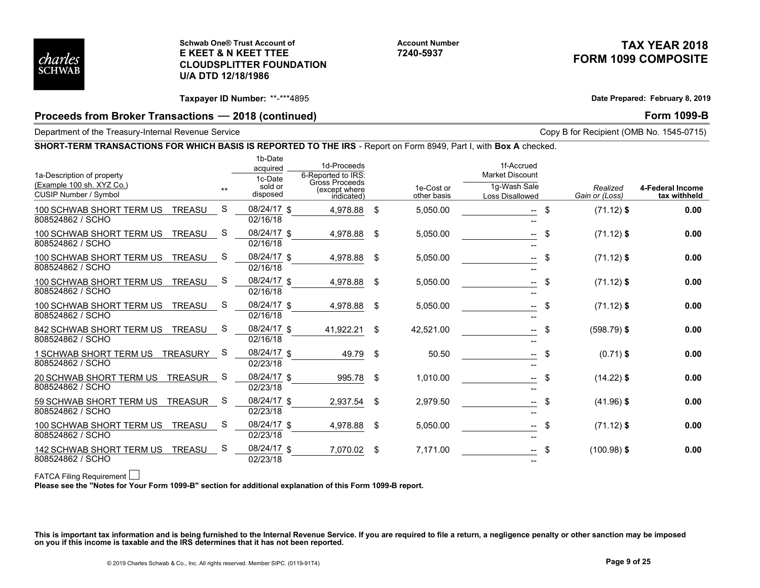

#### Schwab One® Trust Account of E KEET & N KEET TTEE CLOUDSPLITTER FOUNDATION U/A DTD 12/18/1986

# TAX YEAR 2018 FORM 1099 COMPOSITE

# Proceeds from Broker Transactions – 2018 (continued) example and the set of the set of the Form 1099-B

#### SHORT-TERM TRANSACTIONS FOR WHICH BASIS IS REPORTED TO THE IRS - Report on Form 8949, Part I, with Box A checked.

| charles<br><b>SCHWAB</b>                                                                                          |                                 | Schwab One® Trust Account of<br><b>E KEET &amp; N KEET TTEE</b><br><b>CLOUDSPLITTER FOUNDATION</b><br>U/A DTD 12/18/1986 |                                                                                    | <b>Account Number</b><br>7240-5937 |                                                                         |                                                                | TAX YEAR 2018<br><b>FORM 1099 COMPOSITE</b> |
|-------------------------------------------------------------------------------------------------------------------|---------------------------------|--------------------------------------------------------------------------------------------------------------------------|------------------------------------------------------------------------------------|------------------------------------|-------------------------------------------------------------------------|----------------------------------------------------------------|---------------------------------------------|
|                                                                                                                   |                                 | Taxpayer ID Number: **-***4895                                                                                           |                                                                                    |                                    |                                                                         |                                                                | Date Prepared: February 8, 2019             |
| Proceeds from Broker Transactions - 2018 (continued)<br>Department of the Treasury-Internal Revenue Service       |                                 |                                                                                                                          |                                                                                    |                                    |                                                                         | <b>Form 1099-B</b><br>Copy B for Recipient (OMB No. 1545-0715) |                                             |
| SHORT-TERM TRANSACTIONS FOR WHICH BASIS IS REPORTED TO THE IRS - Report on Form 8949, Part I, with Box A checked. |                                 |                                                                                                                          |                                                                                    |                                    |                                                                         |                                                                |                                             |
| 1a-Description of property<br>(Example 100 sh. XYZ Co.)<br>CUSIP Number / Symbol                                  |                                 | 1b-Date<br>acquired<br>1c-Date<br>sold or<br>$**$<br>disposed                                                            | 1d-Proceeds<br>6-Reported to IRS:<br>Gross Proceeds<br>(except where<br>indicated) | 1e-Cost or<br>other basis          | 1f-Accrued<br><b>Market Discount</b><br>1g-Wash Sale<br>Loss Disallowed | Realized<br>Gain or (Loss)                                     | 4-Federal Income<br>tax withheld            |
| 100 SCHWAB SHORT TERM US TREASU<br>808524862 / SCHO                                                               |                                 | 08/24/17 \$<br>-S<br>02/16/18                                                                                            | 4,978.88 \$                                                                        | 5,050.00                           | $-$ \$                                                                  | $(71.12)$ \$                                                   | 0.00                                        |
| 100 SCHWAB SHORT TERM US TREASU S<br>808524862 / SCHO                                                             |                                 | 08/24/17 \$<br>02/16/18                                                                                                  | 4,978.88 \$                                                                        | 5,050.00                           | - \$<br>$  \,$                                                          | $(71.12)$ \$                                                   | 0.00                                        |
| 100 SCHWAB SHORT TERM US TREASU S<br>808524862 / SCHO                                                             |                                 | 08/24/17 \$<br>02/16/18                                                                                                  | 4,978.88 \$                                                                        | 5,050.00                           | $-$ \$                                                                  | $(71.12)$ \$                                                   | 0.00                                        |
| 100 SCHWAB SHORT TERM US TREASU<br>808524862 / SCHO                                                               |                                 | 08/24/17 \$<br>S.<br>02/16/18                                                                                            | 4,978.88 \$                                                                        | 5,050.00                           | $-$ \$                                                                  | $(71.12)$ \$                                                   | 0.00                                        |
| 100 SCHWAB SHORT TERM US TREASU<br>808524862 / SCHO                                                               |                                 | 08/24/17 \$<br>S.<br>02/16/18                                                                                            | 4,978.88 \$                                                                        | 5,050.00                           | -- \$<br>$\hspace{0.1mm}-\hspace{0.1mm}-\hspace{0.1mm}$                 | $(71.12)$ \$                                                   | 0.00                                        |
| 842 SCHWAB SHORT TERM US TREASU S<br>808524862 / SCHO                                                             |                                 | 08/24/17 \$<br>02/16/18                                                                                                  | 41,922.21 \$                                                                       | 42,521.00                          |                                                                         | $(598.79)$ \$                                                  | 0.00                                        |
| 1 SCHWAB SHORT TERM US TREASURY S<br>808524862 / SCHO                                                             |                                 | 08/24/17 \$<br>02/23/18                                                                                                  | 49.79 \$                                                                           | 50.50                              | $-$ \$                                                                  | $(0.71)$ \$                                                    | 0.00                                        |
| 20 SCHWAB SHORT TERM US TREASUR S<br>808524862 / SCHO                                                             |                                 | 08/24/17 \$<br>02/23/18                                                                                                  | 995.78 \$                                                                          | 1,010.00                           | $-$ \$                                                                  | $(14.22)$ \$                                                   | 0.00                                        |
| 59 SCHWAB SHORT TERM US TREASUR S<br>808524862 / SCHO                                                             |                                 | 08/24/17 \$<br>02/23/18                                                                                                  | 2,937.54 \$                                                                        | 2,979.50                           | $--$ \$                                                                 | $(41.96)$ \$                                                   | 0.00                                        |
| 100 SCHWAB SHORT TERM US TREASU S<br>808524862 / SCHO                                                             |                                 | 08/24/17 \$<br>02/23/18                                                                                                  | 4,978.88 \$                                                                        | 5,050.00                           | $--$ \$                                                                 | $(71.12)$ \$                                                   | 0.00                                        |
|                                                                                                                   | 142 SCHWAB SHORT TERM US TREASU | 08/24/17 \$<br><sub>S</sub>                                                                                              | 7,070.02 \$                                                                        | 7,171.00                           | $-$ \$                                                                  | $(100.98)$ \$                                                  | 0.00                                        |

#### FATCA Filing Requirement

This is important tax information and is being furnished to the Internal Revenue Service. If you are required to file a return, a negligence penalty or other sanction may be imposed<br>on you if this income is taxable and the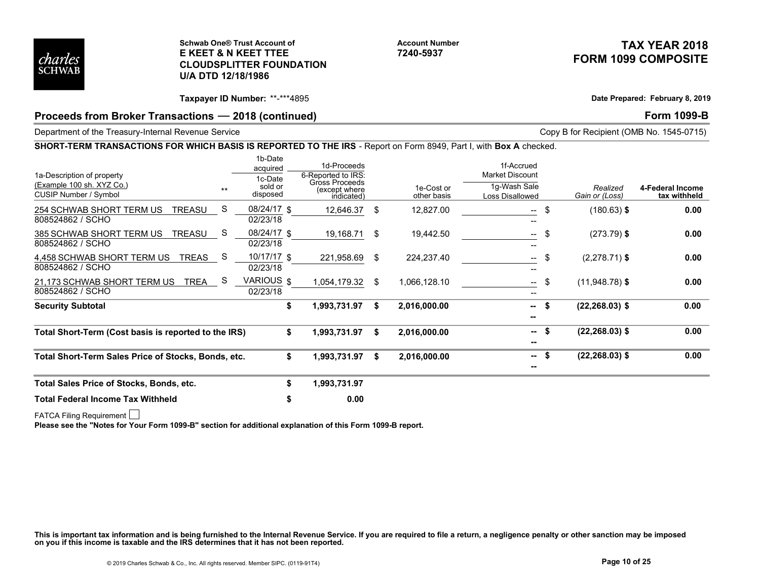

#### Schwab One® Trust Account of E KEET & N KEET TTEE CLOUDSPLITTER FOUNDATION U/A DTD 12/18/1986

# TAX YEAR 2018 FORM 1099 COMPOSITE

# Proceeds from Broker Transactions – 2018 (continued) example and the set of the set of the Form 1099-B

#### SHORT-TERM TRANSACTIONS FOR WHICH BASIS IS REPORTED TO THE IRS - Report on Form 8949, Part I, with Box A checked.

|                                                                                                                   |                    | <b>Schwab One® Trust Account of</b><br><b>E KEET &amp; N KEET TTEE</b> |                                                                                    |      | <b>Account Number</b><br>7240-5937 |                                                                         |                            | TAX YEAR 2018<br><b>FORM 1099 COMPOSITE</b> |
|-------------------------------------------------------------------------------------------------------------------|--------------------|------------------------------------------------------------------------|------------------------------------------------------------------------------------|------|------------------------------------|-------------------------------------------------------------------------|----------------------------|---------------------------------------------|
| charles<br><b>SCHWAB</b>                                                                                          | U/A DTD 12/18/1986 | <b>CLOUDSPLITTER FOUNDATION</b>                                        |                                                                                    |      |                                    |                                                                         |                            |                                             |
|                                                                                                                   |                    | Taxpayer ID Number: **-***4895                                         |                                                                                    |      |                                    |                                                                         |                            | Date Prepared: February 8, 2019             |
| Proceeds from Broker Transactions - 2018 (continued)                                                              |                    |                                                                        |                                                                                    |      |                                    |                                                                         |                            | <b>Form 1099-B</b>                          |
| Department of the Treasury-Internal Revenue Service                                                               |                    |                                                                        |                                                                                    |      |                                    |                                                                         |                            | Copy B for Recipient (OMB No. 1545-0715)    |
| SHORT-TERM TRANSACTIONS FOR WHICH BASIS IS REPORTED TO THE IRS - Report on Form 8949, Part I, with Box A checked. |                    |                                                                        |                                                                                    |      |                                    |                                                                         |                            |                                             |
| 1a-Description of property<br>(Example 100 sh. XYZ Co.)<br>CUSIP Number / Symbol                                  | $*$                | 1b-Date<br>acquired<br>1c-Date<br>sold or<br>disposed                  | 1d-Proceeds<br>6-Reported to IRS:<br>Gross Proceeds<br>(except where<br>indicated) |      | 1e-Cost or<br>other basis          | 1f-Accrued<br><b>Market Discount</b><br>1g-Wash Sale<br>Loss Disallowed | Realized<br>Gain or (Loss) | 4-Federal Income<br>tax withheld            |
| 254 SCHWAB SHORT TERM US TREASU<br>808524862 / SCHO                                                               | -S                 | 08/24/17 \$<br>02/23/18                                                | 12,646.37 \$                                                                       |      | 12,827.00                          | -- \$                                                                   | $(180.63)$ \$              | 0.00                                        |
| 385 SCHWAB SHORT TERM US TREASU<br>808524862 / SCHO                                                               | - S                | 08/24/17 \$<br>02/23/18                                                | 19,168.71 \$                                                                       |      | 19,442.50                          | -\$<br>$\sim$                                                           | $(273.79)$ \$              | 0.00                                        |
| 4,458 SCHWAB SHORT TERM US TREAS<br>808524862 / SCHO                                                              | - S                | 10/17/17 \$<br>02/23/18                                                | 221,958.69 \$                                                                      |      | 224,237.40                         | $-$ \$                                                                  | $(2,278.71)$ \$            | 0.00                                        |
| 21,173 SCHWAB SHORT TERM US TREA<br>808524862 / SCHO                                                              | -S                 | VARIOUS \$<br>02/23/18                                                 | 1,054,179.32                                                                       | - \$ | 1,066,128.10                       | -- \$                                                                   | $(11,948.78)$ \$           | 0.00                                        |
| <b>Security Subtotal</b>                                                                                          |                    | S.                                                                     | 1,993,731.97                                                                       | - \$ | 2,016,000.00                       | $-5$<br>--                                                              | $(22, 268.03)$ \$          | 0.00                                        |
| Total Short-Term (Cost basis is reported to the IRS)                                                              |                    | S                                                                      | 1,993,731.97 \$                                                                    |      | 2,016,000.00                       | $-5$<br>--                                                              | $(22, 268.03)$ \$          | 0.00                                        |
| Total Short-Term Sales Price of Stocks, Bonds, etc.                                                               |                    | S                                                                      | 1,993,731.97 \$                                                                    |      | 2,016,000.00                       | -- \$<br>--                                                             | $(22, 268.03)$ \$          | 0.00                                        |
| Total Sales Price of Stocks, Bonds, etc.                                                                          |                    |                                                                        | 1,993,731.97                                                                       |      |                                    |                                                                         |                            |                                             |
| <b>Total Federal Income Tax Withheld</b>                                                                          |                    |                                                                        | 0.00                                                                               |      |                                    |                                                                         |                            |                                             |

This is important tax information and is being furnished to the Internal Revenue Service. If you are required to file a return, a negligence penalty or other sanction may be imposed<br>on you if this income is taxable and the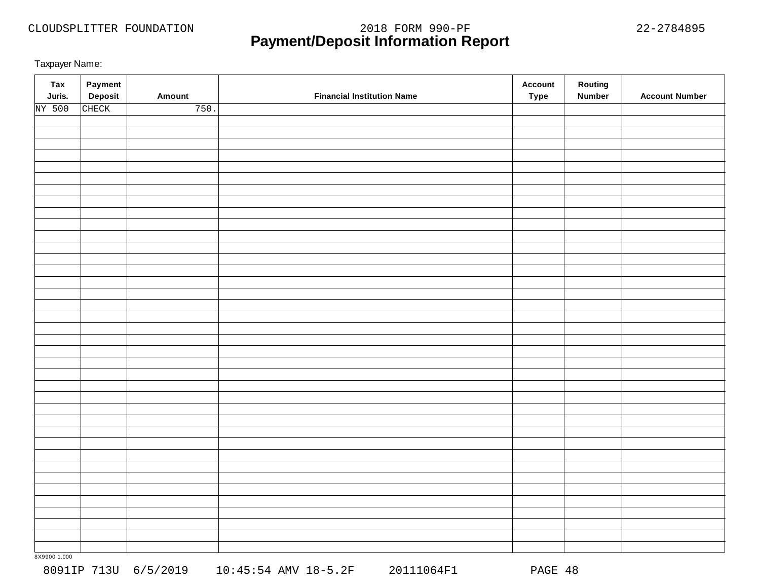# **Payment/Deposit Information Report** CLOUDSPLITTER FOUNDATION 2018 FORM 990-PF 22-2784895

Taxpayer Name:

| <b>Tax</b><br>Juris. | Payment<br>Deposit | Amount | <b>Financial Institution Name</b> | <b>Account</b><br><b>Type</b> | Routing<br><b>Number</b> | <b>Account Number</b> |
|----------------------|--------------------|--------|-----------------------------------|-------------------------------|--------------------------|-----------------------|
| NY 500               | CHECK              | 750.   |                                   |                               |                          |                       |
|                      |                    |        |                                   |                               |                          |                       |
|                      |                    |        |                                   |                               |                          |                       |
|                      |                    |        |                                   |                               |                          |                       |
|                      |                    |        |                                   |                               |                          |                       |
|                      |                    |        |                                   |                               |                          |                       |
|                      |                    |        |                                   |                               |                          |                       |
|                      |                    |        |                                   |                               |                          |                       |
|                      |                    |        |                                   |                               |                          |                       |
|                      |                    |        |                                   |                               |                          |                       |
|                      |                    |        |                                   |                               |                          |                       |
|                      |                    |        |                                   |                               |                          |                       |
|                      |                    |        |                                   |                               |                          |                       |
|                      |                    |        |                                   |                               |                          |                       |
|                      |                    |        |                                   |                               |                          |                       |
|                      |                    |        |                                   |                               |                          |                       |
|                      |                    |        |                                   |                               |                          |                       |
|                      |                    |        |                                   |                               |                          |                       |
|                      |                    |        |                                   |                               |                          |                       |
|                      |                    |        |                                   |                               |                          |                       |
|                      |                    |        |                                   |                               |                          |                       |
|                      |                    |        |                                   |                               |                          |                       |
|                      |                    |        |                                   |                               |                          |                       |
|                      |                    |        |                                   |                               |                          |                       |
|                      |                    |        |                                   |                               |                          |                       |
|                      |                    |        |                                   |                               |                          |                       |
|                      |                    |        |                                   |                               |                          |                       |
|                      |                    |        |                                   |                               |                          |                       |
|                      |                    |        |                                   |                               |                          |                       |
|                      |                    |        |                                   |                               |                          |                       |
|                      |                    |        |                                   |                               |                          |                       |
|                      |                    |        |                                   |                               |                          |                       |
|                      |                    |        |                                   |                               |                          |                       |
|                      |                    |        |                                   |                               |                          |                       |
|                      |                    |        |                                   |                               |                          |                       |
|                      |                    |        |                                   |                               |                          |                       |
|                      |                    |        |                                   |                               |                          |                       |
|                      |                    |        |                                   |                               |                          |                       |
|                      |                    |        |                                   |                               |                          |                       |

8X9900 1.000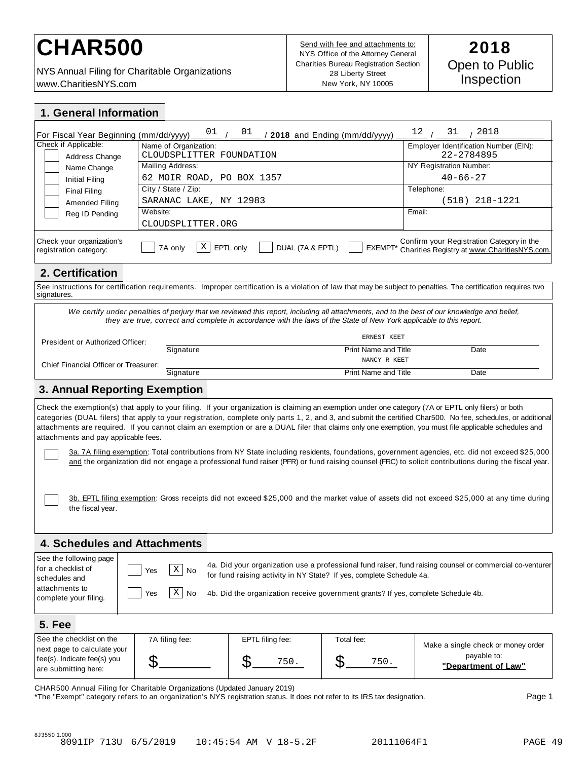# CHAR500<br>**CHAR500 Example 1** Send with fee and attachments to: 2018

NYS Annual Filing for Charitable Organizations www.CharitiesNYS.com

Send with fee and attachments to: NYS Office of the Attorney General Charities Bureau Registration Section 28 Liberty Street New York, NY 10005

| 1. General Information                                                                                   |                                           |                                                                                                                                                           |                                |                                                                                                                                                                                                                                                                                                                                                                                                                                                                                                                                                                                                                                                                                                                                                                                        |
|----------------------------------------------------------------------------------------------------------|-------------------------------------------|-----------------------------------------------------------------------------------------------------------------------------------------------------------|--------------------------------|----------------------------------------------------------------------------------------------------------------------------------------------------------------------------------------------------------------------------------------------------------------------------------------------------------------------------------------------------------------------------------------------------------------------------------------------------------------------------------------------------------------------------------------------------------------------------------------------------------------------------------------------------------------------------------------------------------------------------------------------------------------------------------------|
| For Fiscal Year Beginning (mm/dd/yyyy)                                                                   | 01                                        | 01                                                                                                                                                        | / 2018 and Ending (mm/dd/yyyy) | 12<br>2018<br>31                                                                                                                                                                                                                                                                                                                                                                                                                                                                                                                                                                                                                                                                                                                                                                       |
| Check if Applicable:                                                                                     | Name of Organization:                     |                                                                                                                                                           |                                | Employer Identification Number (EIN):                                                                                                                                                                                                                                                                                                                                                                                                                                                                                                                                                                                                                                                                                                                                                  |
| Address Change                                                                                           | CLOUDSPLITTER FOUNDATION                  |                                                                                                                                                           |                                | 22-2784895                                                                                                                                                                                                                                                                                                                                                                                                                                                                                                                                                                                                                                                                                                                                                                             |
| Name Change                                                                                              | Mailing Address:                          |                                                                                                                                                           |                                | NY Registration Number:                                                                                                                                                                                                                                                                                                                                                                                                                                                                                                                                                                                                                                                                                                                                                                |
| Initial Filing                                                                                           | 62 MOIR ROAD, PO BOX 1357                 |                                                                                                                                                           |                                | $40 - 66 - 27$                                                                                                                                                                                                                                                                                                                                                                                                                                                                                                                                                                                                                                                                                                                                                                         |
| <b>Final Filing</b>                                                                                      | City / State / Zip:                       |                                                                                                                                                           |                                | Telephone:                                                                                                                                                                                                                                                                                                                                                                                                                                                                                                                                                                                                                                                                                                                                                                             |
| Amended Filing                                                                                           | SARANAC LAKE, NY 12983                    |                                                                                                                                                           |                                | (518) 218-1221                                                                                                                                                                                                                                                                                                                                                                                                                                                                                                                                                                                                                                                                                                                                                                         |
| Reg ID Pending                                                                                           | Website:                                  |                                                                                                                                                           |                                | Email:                                                                                                                                                                                                                                                                                                                                                                                                                                                                                                                                                                                                                                                                                                                                                                                 |
|                                                                                                          | CLOUDSPLITTER.ORG                         |                                                                                                                                                           |                                |                                                                                                                                                                                                                                                                                                                                                                                                                                                                                                                                                                                                                                                                                                                                                                                        |
| Check your organization's<br>registration category:                                                      | Χ<br>7A only                              | DUAL (7A & EPTL)<br>EPTL only                                                                                                                             | EXEMPT*                        | Confirm your Registration Category in the<br>Charities Registry at www.CharitiesNYS.com.                                                                                                                                                                                                                                                                                                                                                                                                                                                                                                                                                                                                                                                                                               |
| 2. Certification                                                                                         |                                           |                                                                                                                                                           |                                |                                                                                                                                                                                                                                                                                                                                                                                                                                                                                                                                                                                                                                                                                                                                                                                        |
| signatures.                                                                                              |                                           |                                                                                                                                                           |                                | See instructions for certification requirements. Improper certification is a violation of law that may be subject to penalties. The certification requires two                                                                                                                                                                                                                                                                                                                                                                                                                                                                                                                                                                                                                         |
|                                                                                                          |                                           | they are true, correct and complete in accordance with the laws of the State of New York applicable to this report.                                       | ERNEST KEET                    | We certify under penalties of perjury that we reviewed this report, including all attachments, and to the best of our knowledge and belief,                                                                                                                                                                                                                                                                                                                                                                                                                                                                                                                                                                                                                                            |
| President or Authorized Officer:                                                                         |                                           |                                                                                                                                                           | Print Name and Title           |                                                                                                                                                                                                                                                                                                                                                                                                                                                                                                                                                                                                                                                                                                                                                                                        |
|                                                                                                          | Signature                                 |                                                                                                                                                           | NANCY R KEET                   | Date                                                                                                                                                                                                                                                                                                                                                                                                                                                                                                                                                                                                                                                                                                                                                                                   |
| Chief Financial Officer or Treasurer:                                                                    |                                           |                                                                                                                                                           |                                |                                                                                                                                                                                                                                                                                                                                                                                                                                                                                                                                                                                                                                                                                                                                                                                        |
|                                                                                                          | Signature                                 |                                                                                                                                                           | <b>Print Name and Title</b>    | Date                                                                                                                                                                                                                                                                                                                                                                                                                                                                                                                                                                                                                                                                                                                                                                                   |
| <b>3. Annual Reporting Exemption</b>                                                                     |                                           |                                                                                                                                                           |                                |                                                                                                                                                                                                                                                                                                                                                                                                                                                                                                                                                                                                                                                                                                                                                                                        |
| attachments and pay applicable fees.                                                                     |                                           |                                                                                                                                                           |                                | Check the exemption(s) that apply to your filing. If your organization is claiming an exemption under one category (7A or EPTL only filers) or both<br>categories (DUAL filers) that apply to your registration, complete only parts 1, 2, and 3, and submit the certified Char500. No fee, schedules, or additional<br>attachments are required. If you cannot claim an exemption or are a DUAL filer that claims only one exemption, you must file applicable schedules and<br>3a. 7A filing exemption: Total contributions from NY State including residents, foundations, government agencies, etc. did not exceed \$25,000<br>and the organization did not engage a professional fund raiser (PFR) or fund raising counsel (FRC) to solicit contributions during the fiscal year. |
| the fiscal year.                                                                                         |                                           |                                                                                                                                                           |                                | 3b. EPTL filing exemption: Gross receipts did not exceed \$25,000 and the market value of assets did not exceed \$25,000 at any time during                                                                                                                                                                                                                                                                                                                                                                                                                                                                                                                                                                                                                                            |
| <b>4. Schedules and Attachments</b>                                                                      |                                           |                                                                                                                                                           |                                |                                                                                                                                                                                                                                                                                                                                                                                                                                                                                                                                                                                                                                                                                                                                                                                        |
| See the following page<br>for a checklist of<br>schedules and<br>attachments to<br>complete your filing. | $X \mid N_0$<br>Yes<br>$X \mid No$<br>Yes | for fund raising activity in NY State? If yes, complete Schedule 4a.<br>4b. Did the organization receive government grants? If yes, complete Schedule 4b. |                                | 4a. Did your organization use a professional fund raiser, fund raising counsel or commercial co-venturer                                                                                                                                                                                                                                                                                                                                                                                                                                                                                                                                                                                                                                                                               |
| <b>5. Fee</b>                                                                                            |                                           |                                                                                                                                                           |                                |                                                                                                                                                                                                                                                                                                                                                                                                                                                                                                                                                                                                                                                                                                                                                                                        |
| See the checklist on the                                                                                 | 7A filing fee:                            | EPTL filing fee:                                                                                                                                          | Total fee:                     |                                                                                                                                                                                                                                                                                                                                                                                                                                                                                                                                                                                                                                                                                                                                                                                        |
| next page to calculate your<br>fee(s). Indicate fee(s) you<br>are submitting here:                       | \$                                        | \$<br>750.                                                                                                                                                | \$<br>750.                     | Make a single check or money order<br>payable to:<br>"Department of Law"                                                                                                                                                                                                                                                                                                                                                                                                                                                                                                                                                                                                                                                                                                               |
|                                                                                                          |                                           |                                                                                                                                                           |                                |                                                                                                                                                                                                                                                                                                                                                                                                                                                                                                                                                                                                                                                                                                                                                                                        |

CHAR500 Annual Filing for Charitable Organizations (Updated January 2019)

\*The "Exempt" category refers to an organization's NYS registration status. It does not refer to its IRS tax designation. Page 1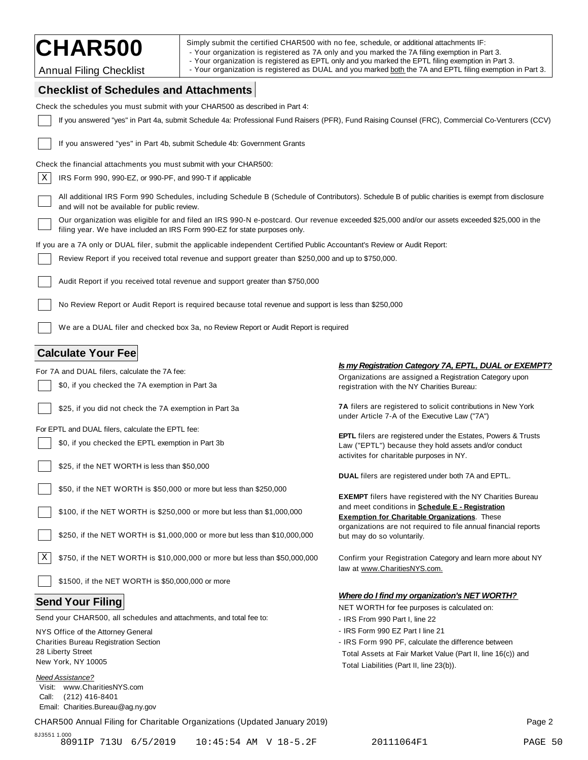| <b>CHAR500</b> |  |
|----------------|--|
|----------------|--|

| Simply submit the certified CHAR500 with no fee, schedule, or additional attachments IF |  |  |
|-----------------------------------------------------------------------------------------|--|--|
|                                                                                         |  |  |

CHAR500<br>- Your organization is registered as 7A only and you marked the 7A filing exemption in Part 3.<br>- Your organization is registered as EPTL only and you marked the EPTL filing exemption in Part 3.

Annual Filing Checklist **Filing Checklist** and a Your organization is registered as DUAL and you marked <u>both</u> the 7A and EPTL filing exemption in Part 3.

# **Checklist of Schedules and Attachments**

| Check the schedules you must submit with your CHAR500 as described in Part 4:                                                                                                                                              |                                                                                                                                                                          |
|----------------------------------------------------------------------------------------------------------------------------------------------------------------------------------------------------------------------------|--------------------------------------------------------------------------------------------------------------------------------------------------------------------------|
| If you answered "yes" in Part 4a, submit Schedule 4a: Professional Fund Raisers (PFR), Fund Raising Counsel (FRC), Commercial Co-Venturers (CCV)                                                                           |                                                                                                                                                                          |
| If you answered "yes" in Part 4b, submit Schedule 4b: Government Grants                                                                                                                                                    |                                                                                                                                                                          |
| Check the financial attachments you must submit with your CHAR500:                                                                                                                                                         |                                                                                                                                                                          |
| X<br>IRS Form 990, 990-EZ, or 990-PF, and 990-T if applicable                                                                                                                                                              |                                                                                                                                                                          |
| All additional IRS Form 990 Schedules, including Schedule B (Schedule of Contributors). Schedule B of public charities is exempt from disclosure<br>and will not be available for public review.                           |                                                                                                                                                                          |
| Our organization was eligible for and filed an IRS 990-N e-postcard. Our revenue exceeded \$25,000 and/or our assets exceeded \$25,000 in the<br>filing year. We have included an IRS Form 990-EZ for state purposes only. |                                                                                                                                                                          |
| If you are a 7A only or DUAL filer, submit the applicable independent Certified Public Accountant's Review or Audit Report:                                                                                                |                                                                                                                                                                          |
| Review Report if you received total revenue and support greater than \$250,000 and up to \$750,000.                                                                                                                        |                                                                                                                                                                          |
| Audit Report if you received total revenue and support greater than \$750,000                                                                                                                                              |                                                                                                                                                                          |
| No Review Report or Audit Report is required because total revenue and support is less than \$250,000                                                                                                                      |                                                                                                                                                                          |
| We are a DUAL filer and checked box 3a, no Review Report or Audit Report is required                                                                                                                                       |                                                                                                                                                                          |
| <b>Calculate Your Fee</b>                                                                                                                                                                                                  |                                                                                                                                                                          |
| For 7A and DUAL filers, calculate the 7A fee:                                                                                                                                                                              | Is my Registration Category 7A, EPTL, DUAL or EXEMPT?                                                                                                                    |
| \$0, if you checked the 7A exemption in Part 3a                                                                                                                                                                            | Organizations are assigned a Registration Category upon<br>registration with the NY Charities Bureau:                                                                    |
| \$25, if you did not check the 7A exemption in Part 3a                                                                                                                                                                     | 7A filers are registered to solicit contributions in New York<br>under Article 7-A of the Executive Law ("7A")                                                           |
| For EPTL and DUAL filers, calculate the EPTL fee:                                                                                                                                                                          |                                                                                                                                                                          |
| \$0, if you checked the EPTL exemption in Part 3b                                                                                                                                                                          | <b>EPTL</b> filers are registered under the Estates, Powers & Trusts<br>Law ("EPTL") because they hold assets and/or conduct<br>activites for charitable purposes in NY. |
| \$25, if the NET WORTH is less than \$50,000                                                                                                                                                                               |                                                                                                                                                                          |
|                                                                                                                                                                                                                            | <b>DUAL</b> filers are registered under both 7A and EPTL.                                                                                                                |
| \$50, if the NET WORTH is \$50,000 or more but less than \$250,000                                                                                                                                                         | <b>EXEMPT</b> filers have registered with the NY Charities Bureau                                                                                                        |
| \$100, if the NET WORTH is \$250,000 or more but less than \$1,000,000                                                                                                                                                     | and meet conditions in <b>Schedule E - Registration</b><br><b>Exemption for Charitable Organizations.</b> These                                                          |
| \$250, if the NET WORTH is \$1,000,000 or more but less than \$10,000,000                                                                                                                                                  | organizations are not required to file annual financial reports<br>but may do so voluntarily.                                                                            |
| X<br>\$750, if the NET WORTH is \$10,000,000 or more but less than \$50,000,000                                                                                                                                            | Confirm your Registration Category and learn more about NY<br>law at www.CharitiesNYS.com.                                                                               |
| \$1500, if the NET WORTH is \$50,000,000 or more                                                                                                                                                                           |                                                                                                                                                                          |
| <b>Send Your Filing</b>                                                                                                                                                                                                    | <b>Where do I find my organization's NET WORTH?</b>                                                                                                                      |
|                                                                                                                                                                                                                            | NET WORTH for fee purposes is calculated on:                                                                                                                             |
| Send your CHAR500, all schedules and attachments, and total fee to:                                                                                                                                                        | - IRS From 990 Part I, line 22                                                                                                                                           |
| NYS Office of the Attorney General                                                                                                                                                                                         | - IRS Form 990 EZ Part I line 21                                                                                                                                         |
| <b>Charities Bureau Registration Section</b><br>28 Liberty Street                                                                                                                                                          | - IRS Form 990 PF, calculate the difference between                                                                                                                      |
| New York, NY 10005                                                                                                                                                                                                         | Total Assets at Fair Market Value (Part II, line 16(c)) and                                                                                                              |
| <b>Need Assistance?</b><br>Visit: www.CharitiesNYS.com<br>(212) 416-8401<br>Call:<br>Email: Charities.Bureau@ag.ny.gov                                                                                                     | Total Liabilities (Part II, line 23(b)).                                                                                                                                 |
| CHAR500 Annual Filing for Charitable Organizations (Updated January 2019)                                                                                                                                                  | Page 2                                                                                                                                                                   |

8J3551 1.000 8091IP 713U 6/5/2019 10:45:54 AM V 18-5.2F 20111064F1 PAGE 50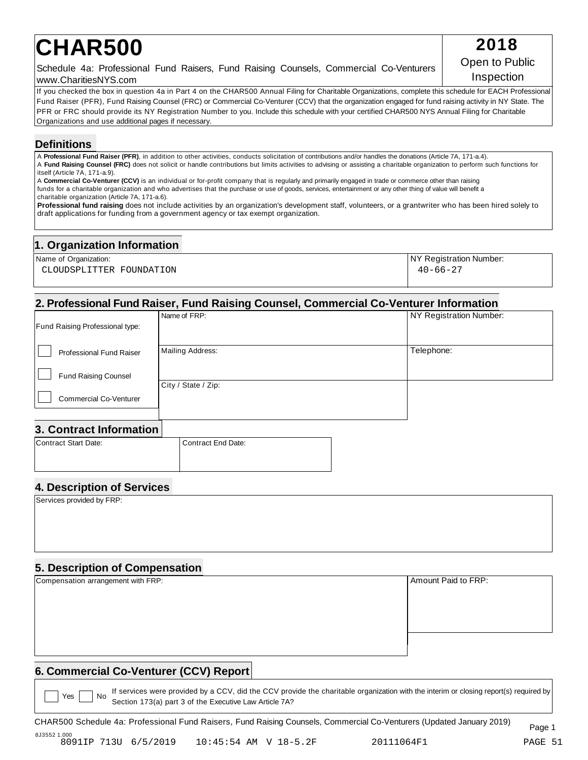# **CHAR500** 2018

Schedule 4a: Professional Fund Raisers, Fund Raising Counsels, Commercial Co-Venturers www.CharitiesNYS.com

If you checked the box in question 4a in Part 4 on the CHAR500 Annual Filing for Charitable Organizations, complete this schedule for EACH Professional Fund Raiser (PFR), Fund Raising Counsel (FRC) or Commercial Co-Venturer (CCV) that the organization engaged for fund raising activity in NY State. The PFR or FRC should provide its NY Registration Number to you. Include this schedule with your certified CHAR500 NYS Annual Filing for Charitable Organizations and use additional pages if necessary.

# **Definitions**

A **Professional Fund Raiser (PFR)**, in addition to other activities, conducts solicitation of contributions and/or handles the donations (Article 7A, 171-a.4). A **Fund Raising Counsel (FRC)** does not solicit or handle contributions but limits activities to advising or assisting a charitable organization to perform such functions for itself (Article 7A, 171-a.9).

A **Commercial Co-Venturer (CCV)** is an individual or for-profit company that is regularly and primarily engaged in trade or commerce other than raising funds for a charitable organization and who advertises that the purchase or use of goods, services, entertainment or any other thing of value will benefit a charitable organization (Article 7A, 171-a.6).

**Professional fund raising** does not include activities by an organization's development staff, volunteers, or a grantwriter who has been hired solely to draft applications for funding from a government agency or tax exempt organization.

# **1. Organization Information**

| Name of Organization:    | NY Registration Number: |
|--------------------------|-------------------------|
| CLOUDSPLITTER FOUNDATION | $40 - 66 - 27$          |
|                          |                         |

# **2. Professional Fund Raiser, Fund Raising Counsel, Commercial Co-Venturer Information**

|                                        | Name of FRP:        | NY Registration Number: |
|----------------------------------------|---------------------|-------------------------|
| <b>Fund Raising Professional type:</b> |                     |                         |
| Professional Fund Raiser               | Mailing Address:    | Telephone:              |
| <b>Fund Raising Counsel</b>            |                     |                         |
| <b>Commercial Co-Venturer</b>          | City / State / Zip: |                         |
|                                        |                     |                         |

# **3. Contract Information**

| Contract Start Date: | l Contract End Date: |
|----------------------|----------------------|
|                      |                      |
|                      |                      |

# **4. Description of Services**

Services provided by FRP:

# **5. Description of Compensation**

| Compensation arrangement with FRP: | Amount Paid to FRP: |
|------------------------------------|---------------------|
|                                    |                     |
|                                    |                     |
|                                    |                     |
|                                    |                     |
|                                    |                     |
|                                    |                     |

# **6. Commercial Co-Venturer (CCV) Report**

If services were provided by a CCV, did the CCV provide the charitable organization with the interim or closing report(s) required by Section 173(a) part 3 of the Executive Law Article 7A?  $Yes \mid \text{No}$ 

CHAR500 Schedule 4a: Professional Fund Raisers, Fund Raising Counsels, Commercial Co-Venturers (Updated January 2019) Page <sup>1</sup>